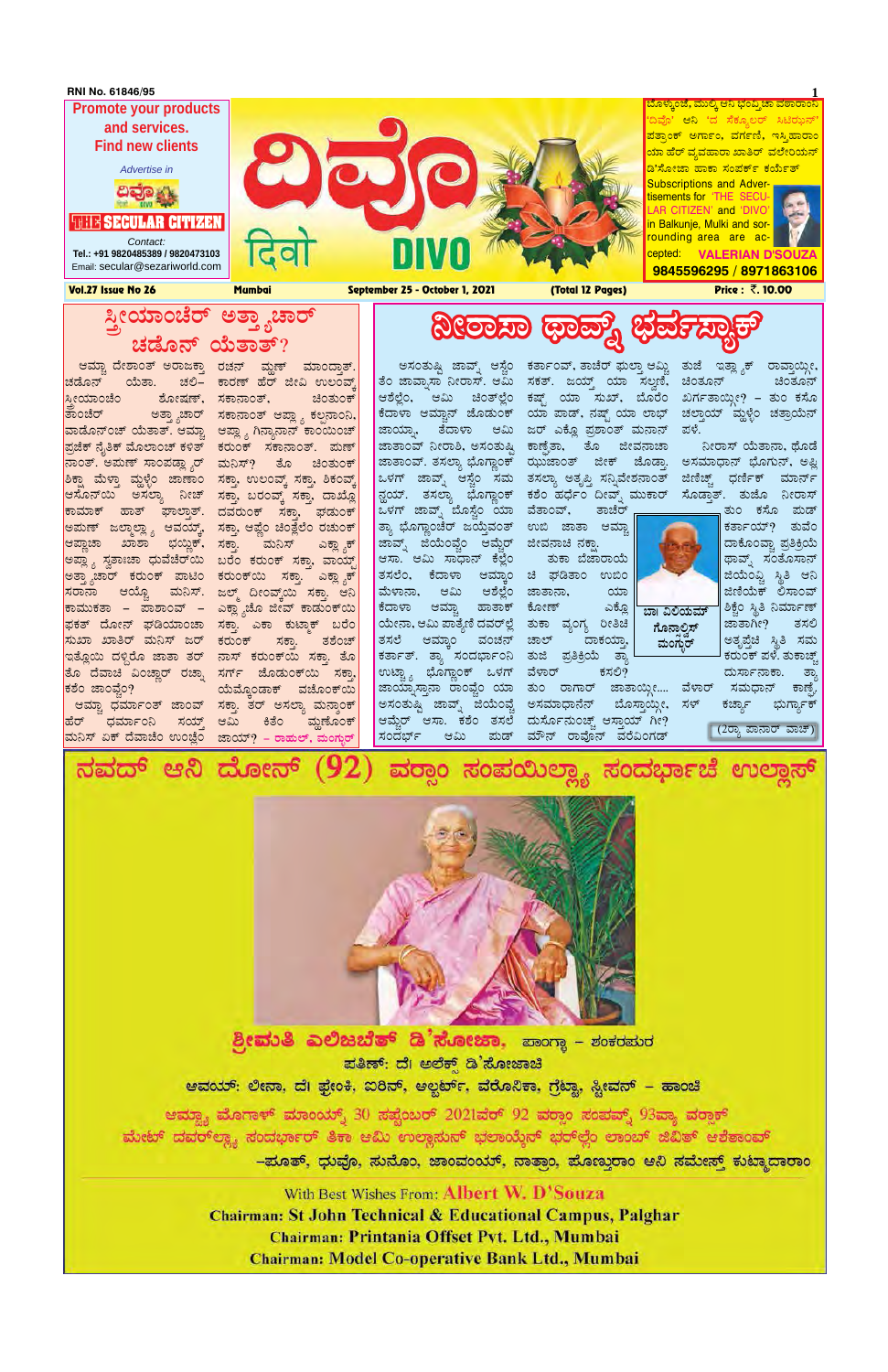# **ಸೀಯಾಂಚೆರ್ ಅತ್ತ್ಯಾಚಾರ್ ZÀqÉÆ£ï AiÉÄvÁvï? ¤ÃgÁ¸Á xÁªïß ¨sÀªÀð¸ÁåPï**

ಿ ಆಮ್ಚಾ ದೇಶಾಂತ್ ಅರಾಜಕ್ತಾ ರಚನ್ ಮ್ದಣ್ ಮಾಂದ್ತಾತ್.| ತಾಂಚೆರ್ ಅತ್ತ್ಯಾಚಾರ್ ಸಕಾನಾಂತ್ ಆಪ್ಲ್ಯಾ ಕಲ್ಪನಾಂನಿ,| ವಾಡೊನ್೦ಚ್ ಯೆತಾತ್. ಆಮ್ಚ್ವಾ ಆಪ್ಲ್ಯಾ ಗಿನ್ಯಾನಾನ್ ಕಾ೦ಯಿ೦ಚ್| ಪ್ರಜೆಕ್ ನೈತಿಕ್ ಮೊಲಾಂಚ್ ಕಳಿತ್ ಕರುಂಕ್ ಸಕಾನಾಂತ್. ಮಣ್| ನಾಂತ್. ಅಮಣ್ ಸಾಂಪಡ್ಲ್ಯಾರ್ ಮನಿಸ್? ತೊ ಚಿಂತುಂಕ್ | ಶಿಕ್ಷಾ ಮೆಳ್ತಾ ಮ್ದಳ್ಳೆಂ ಜಾಣಾಂ ಕಾಮಾಕ್ ಹಾತ್ ಘಾಲ್ತಾತ್. ದವರುಂಕ್ ಸಕ್ತಾ, ಘಡುಂಕ್| ಅಮಣ್ ಜಲ್ಮಾಲ್ಲ್ಯಾ ಆವಯ್ಕ್, ಸಕ್ತಾ, ಆಪ್ಲೆಂ ಚಿಂತ್ಲೆಲೆಂ ರಚುಂಕ್ <mark>|</mark> ಆಪ್ಲಾಚಾ ಖಾಶಾ ಭಯ್ದಿಕ್, ಸಕ್ತಾ. ಅಪ್ಲ್ಯಾ ಸ್ವತಾಃಚಾ ಧುವೆಚೆರ್ಯಿ ಬರೆಂ ಕರುಂಕ್ ಸಕ್ತಾ, ವಾಯ್ಟ್| ಅತ್ತ್ಯಾಚಾರ್ ಕರುಂಕ್ ಪಾಟಿಂ ಕರುಂಕ್ಐು ಸಕ್ತಾ. ಎಕ್ಲ್ಯಾಕ್| ಕಾಮುಕತಾ – ಪಾಶಾಂವ್ – ಎಕ್ಲ್ಯಾಚೊ ಜೀವ್ ಕಾಡುಂಕ್ಯು| ಫಕತ್ ದೋನ್ ಘಡಿಯಾಂಚಾ ಸಕ್ತಾ. ಎಕಾ ಕುಟ್ಮಾಕ್ ಬರೆಂ| <mark>ಸುಖಾ ಖಾತಿರ್ ಮನಿಸ್ ಜರ್</mark> ಇತ್ಲೊಯಿ ದಳ್ದಿರೊ ಜಾತಾ ತರ್ ನಾಸ್ ಕರುಂಕ್ಯು ಸಕ್ತಾ. ತೊ| ತೊ ದೆವಾಚಿ ವಿಂಚ್ಣಾರ್ ರಚ್ನಾ ಸರ್ಗ್ ಜೊಡುಂಕ್ಯು ಸಕ್ತಾ. ಆಮ್ಚಾ ಧರ್ಮಾಂತ್ ಜಾಂವ್ ಸಕ್ತಾ. ತರ್ ಅಸಲ್ಯಾ ಮನ್ಶಾಂಕ್| ಹೆರ್ ಧರ್ಮಾಂನಿ ಸಯ್ತ್ <u>ಮನಿಸ್ ಏಕ್ ದೆವಾಚೆಂ ಉಂಜ್ಲೆಂ ಜಾಯ್? – ರಾಹುಲ್, ಮಂಗ್ಛುರ್</u> - ಚಲಿ– ಕಾರಣ್ ಹೆರ್ ಜೀವಿ ಉಲಂವ್ ಶೋಷಣ್, ಸಕಾನಾಂತ್, ಚಿಂತುಂಕ್ ಸಕ್ತಾ, ಉಲಂವ್ತ್ ಸಕ್ತಾ, ಶಿಕಂವ<del>್</del> ) ನೀಚ್ ಸಕ್ತಾ, ಬರಂವ್ಕ್ ಸಕ್ತಾ, ದಾಖ್<mark>ಲೊ</mark> ೃಮನಿಸ್ ಎಕ್ಲ್<del>ಮಾನ</del>್ \_ ಮನಿಸ್. ಜಲ್ಮ್ ದೀಂವ್ಕ್ರ್ಯ ಸಕ್ತಾ. ಆನಿ ಕರುಂಕ್ ಸಕ್ತಾ. ತಶೆಂಚ್ ಯೆಮ್ತೊಂಡಾಕ್ ವಚೊಂಕ್ಯ ಆಮಿ ಕಿತೆಂ ಮ್ಲಣೊಂಕ್

ಒಳಗ್ ಜಾವ್ನ್ ಬೊಸ್ಚೆಂ ಯಾ ವೆತಾಂವ್, ತಾಚೆರ್ <sub>[</sub> ತ್ಯಾ ಭೊಗ್ಧಾಂಚೆರ್ ಜಯ್ತೆವಂತ್ ಉಬಿ ಜಾತಾ ಆಮ್ಚಾ| ಜಾವ್ನ್ ಜಿಯೆಂಫ್ವೆಂ ಆಮ್ಚೆರ್ ಜೀವನಾಚಿ ನಕ್ಷಾ. ಆಸಾ. ಆಮಿ ಸಾಧಾನ್ ಕೆಲ್ಲೆಂ ತಸಲೆಂ, ಕೆದಾಳಾ ಆಮ್ಕಾಂ ಚಿ ಘಡಿತಾಂ ಉಬಿಂ| ಮೆಳಾನಾ, ಆಮಿ ಆಶೆಲ್ಲೆಂ ಜಾತಾನಾ, ಯಾ| ಕೆದಾಳಾ ಆಮ್ಚಾ ಹಾತಾಕ್ ಯೇನಾ, ಆಮಿ ಪಾತ್ಯೆಣಿ ದವರ್ ಲ್ಲೆ | ತುಕಾ | ವ್ಯಂಗ್ಯ | ರೀತಿಚಿ | ತಸಲೆ ಆಮ್ಕಾಂ ವಂಚನ್ ಚಾಲ್ ಕರ್ತಾತ್. ತ್ಯಾ ಸಂದರ್ಭಾಂನಿ ತುಜಿ ಪ್ರತಿಕ್ರಿಯೆ ತ್ಯಾ ' ಉಟ್ಟ್ಯಾ ಭೊಗ್ಲಾಂಕ್ ಒಳಗ್ ವೆಳಾರ್ ಕಸಲಿ? ಅಸಂತುಷ್ಟಿ ಜಾವ್ನ್ ಜಿಯೆಂವ್ಚೆ ಅಸಮಾಧಾನೆನ್

ಅಸಂತುಷ್ಷಿ ಜಾವ್ನ್ ಆಸ್ಟೆಂ ಕರ್ತಾಂವ್, ತಾಚೆರ್ ಫುಲ್ತಾ ಆಮ್ಟಿ ತುಜೆ ಇತ್ಲ್ಯಾಕ್ ರಾವ್ತಾಯ್ಗೀ, | ತೆಂ ಜಾವ್ನಾಸಾ ನೀರಾಸ್. ಆಮಿ ಸಕತ್. ಜಯ್ತ್ ಯಾ ಸಲ್ವಣಿ, ಚಿಂತೂನ್ ಚಿಂತೂನ್ <mark>|</mark> ಆಶೆಲ್ಲೆಂ, ಆಮಿ ಚಿಂತ್ಲಲ್ಲೆಂ ಕಷ್ಟ್ ಯಾ ಸುಖ್, ಬೊರೆಂ ಖರ್ಗತಾಯ್ಗೀ? – ತುಂ ಕಸೊ <mark>'</mark> ಕೆದಾಳಾ ಆಮ್ಚಾನ್ ಜೊಡುಂಕ್ ಯಾ ಪಾಡ್, ನಷ್ಟ್ ಯಾ ಲಾಭ್ ಜಾಯ್ನಾ, ತೆದಾಳಾ ಆಮಿ ಜರ್ ಎಕ್ಲೊ ಪ್ರಶಾಂತ್ ಮನಾನ್ ಜಾತಾಂವ್ ನೀರಾಶಿ, ಅಸಂತುಷ್ಟಿ ಕಾಣ್ಫೆತಾ, ತೊ ಜೀವನಾಚಾ ಜಾತಾಂವ್. ತಸಲ್ಯಾ ಭೊಗ್ಧಾಂಕ್ ಝುಜಾಂತ್ ಜೀಕ್ ಜೊಡ್ತಾ. ಅಸಮಾಧಾನ್ ಭೊಗುನ್, ಅಪ್ಲಿ <mark>|</mark> ಒಳಗ್ ಜಾವ್ನ್ ಆಸ್ಟೆಂ ಸಮ ತಸಲ್ಯಾ ಅತೃಪ್ತಿ ಸನ್ನಿವೇಶನಾಂತ್ ನ್ಹಯ್. ತಸಲ್ಯಾ ಭೊಗ್ಲಾಂಕ್ ಕಶೆಂ ಹರ್ಧೆಂ ದೀವ್ನ್ ಮುಕಾರ್

ತುಕಾ ಬೆಜಾರಾಯೆ

ಕೋಣ್ ಎಕ್ಲೊ ದಾಕಯ್ತಾ,

ಜಾಯ್ನಾಸ್ತಾನಾ ರಾಂಫ್ಚಂ ಯಾ ತುಂ ರಾಗಾರ್ ಜಾತಾಯ್ಗೀ.... ಆಮ್ಚೆರ್ ಆಸಾ. ಕಶೆಂ ತಸಲೆ ದುರ್ಸೊನುಂಚ್ಚ್ ಆಸ್ತಾಯ್ ಗೀ? ಬೊಸ್ಗಾಯ್ಸೀ, ಸಳ್ ಪುಡ್ ಮೌನ್ ರಾವೊನ್ ವರೆವಿಂಗಡ್ ಜಾತಾಯ್ದೀ.... ವೆಳಾರ್ ಸಮಧಾನ್ ಕಾಣ್ಟೆ

ಚಲ್ತಾಯ್ ಮ್ಲಳ್ಳೆಂ ಚತ್ರಾಯೆನ್ ಪಳೆ.

ನೀರಾಸ್ ಯೆತಾನಾ, ಥೊಡೆ ಜಿಣಿಚ್ಚ್ ಧರ್ಣಿಕ್ ಮಾರ್ನ್ ಸೊಡ್ತಾತ್. ತುಜೊ ನೀರಾಸ್



Vol.27 Issue No 26 Mumbai September 25 - October 1, 2021 (Total 12 Pages) Price :  $\bar{\zeta}$ . 10.00

2ಕಡೊನ್ ಯೆತಾ.

<mark>ಆಸೊನ್**ಯಿ ಅಸಲ್ಯಾ**</mark>

<mark>ಸರಾನಾ ಆಯ್ಟ</mark>ೊ

 $\sigma$ ಕಶೆಂ ಜಾಂವ್ಲೆಂ?

|ಸ್ತೀಯಾಂಚೆಂ<br>|<br>|ತಾಂಚೆರ್



ತುಂ ಕಸೊ ಮಡ್ ಕರ್ತಾಯ್? ತುವೆಂ ದಾಕೊಂವ್ವಾ ಪ್ರತಿಕ್ರಿಯೆ ಥಾವ್ಖ್ ಸಂತೊಸಾನ್ ಜಿಯೆಂವ್ವಿ ಸ್ಥಿತಿ ಆನಿ ಜಿಣಿಯೆಕ್ ಲಿಸಾಂವ್ ಶಿಕ್ಚೆಂ ಸ್ಥಿತಿ ನಿರ್ಮಾಣ್ ಜಾತಾಗೀ? ತಸಲಿ ಅತೃಪ್ತೆಚಿ ಸ್ಥಿತಿ ಸಮ ಕರುಂಕ್ ಪಳೆ. ತುಕಾಚ್ಚ್ ದುರ್ಸಾನಾಕಾ. ತ್ಯಾ

ಕರ್ಜ್ಯಾ ಭುರ್ಗ್ಲಾಕ್

(2ರ್ ಪಾನಾರ್ ವಾಚ್)



ಸಂದರ್ಭ್ ಆಮಿ



# ಶ್ರೀಮುತಿ ಎಲಿಜಬೆತ್ ಡಿ'ಸೋಜಾ, ಪಾಂಗ್ಯಾ – ಶಂಕರಮರ ಪತಿಣ್: ದೆ। ಅಲೆಕ್ಸ್ ಡಿ'ಸೋಜಾಚಿ ಆವಯ್: ಲೀನಾ, ದೆ। ಫ್ರೇಂಕಿ, ಐರಿನ್, ಆಲ್ಬರ್ಟ್, ವೆರೊನಿಕಾ, ಗ್ರೆಟ್ಲಾ, ಸ್ಟೀವನ್ – ಹಾಂಚೆ ಆಮ್ಲ್ಯಾ ಮೊಗಾಳ್ ಮಾಂಯ್ಸ್ 30 ಸಪ್ಟೆಂಬರ್ 2021ವರ್ 92 ವರ್ರಾಂ ಸಂಪವ್ಸ್ 93ವ್ಯಾ ವರ್ರಾಕ್ ಮೇಟ್ ದವರ್ಅಶ್ಲ್ಯ ಸಂದರ್ಭಾರ್ ತಿಕಾ ಆಮಿ ಉಲ್ಲಾಸುನ್ ಭಲಾಯ್ಕೆನ್ ಭರ್ಲಲ್ಲೆಂ ಲಾಂಬ್ ಜಿವಿತ್ ಆಶೆತಾಂವ್ –ಮೂತ್, ಧುವೊ, ಸುನೊಂ, ಜಾಂವಂಯ್, ನಾತ್ರಾಂ, ಮೊಣ್ತುರಾಂ ಆನಿ ಸಮೇಸ್ತ್ ಕುಟ್ಮಾದಾರಾಂ

With Best Wishes From: Albert W. D'Souza **Chairman: St John Technical & Educational Campus, Palghar** Chairman: Printania Offset Pvt. Ltd., Mumbai **Chairman: Model Co-operative Bank Ltd., Mumbai**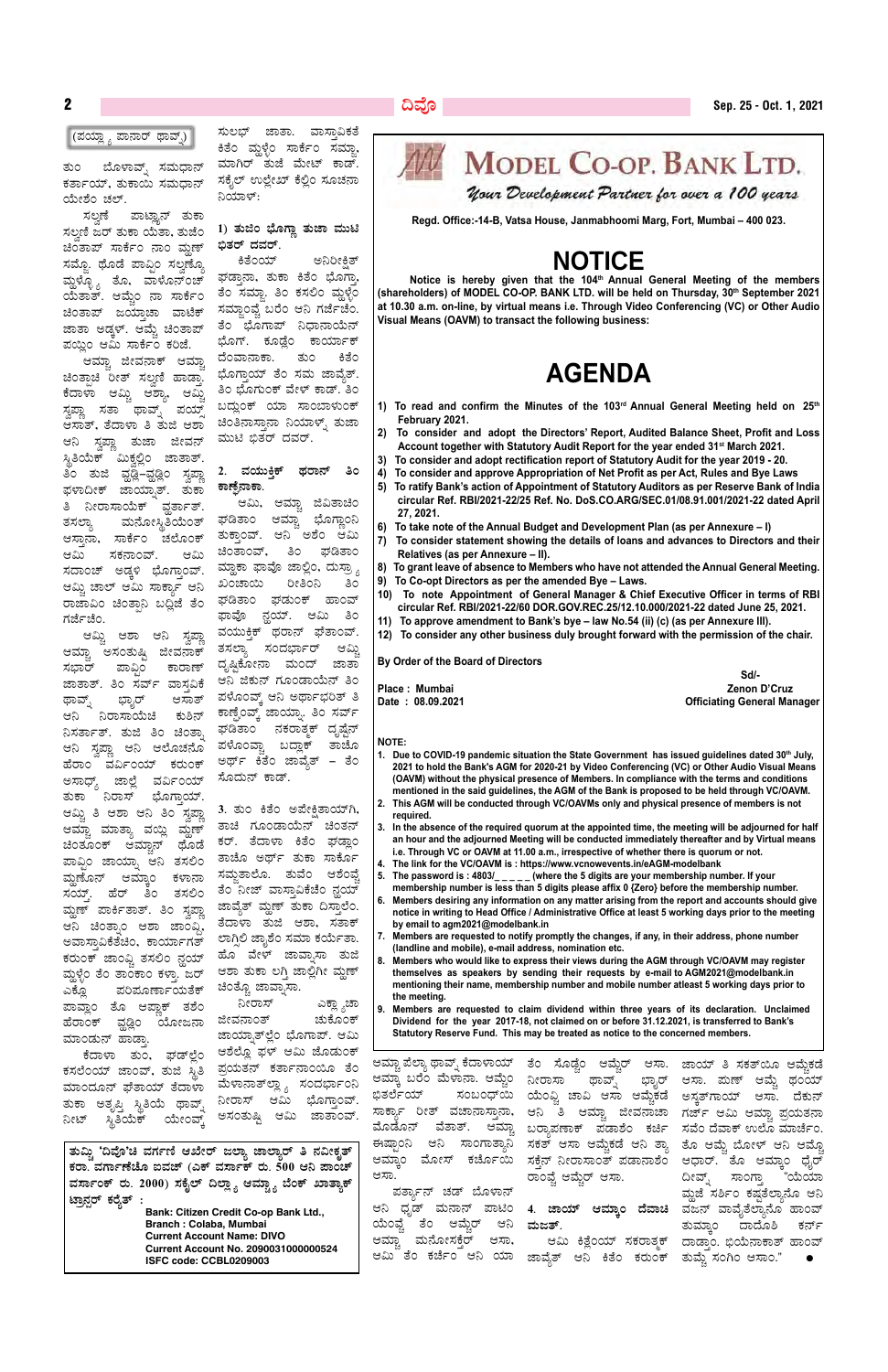ತುಂ ಬೊಳಾವ್ಶ್ ಸಮಧಾನ್ ಕರ್ತಾಯ್, ತುಕಾಯಿ ಸಮಧಾನ್ ಯೇಶಂ ಚಲ್.

ಸಲ್ವಣೆ ಪಾಟ್ಞಾನ್ ತುಕಾ ಸಲ್ಪಣಿ ಜರ್ ತುಕಾ ಯೆತಾ, ತುಜೆಂ ಚಿಂತಾಪ್ ಸಾರ್ಕೆಂ ನಾಂ ಮ್ಲಣ್ ಸಮ್ತೊ. ಥೊಡೆ ಪಾವ್ಗಿಂ ಸಲ್ಷಣ್ಕೊ ವ್ದುಳ್ಳೊ<sub>,</sub> ತೊ, ವಾಳೊನ್ಂಚ್ ಯತಾತ್. ಆಮ್ಚೆಂ ನಾ ಸಾರ್ಕೆಂ ಚಿ೦ತಾಪ್ ಜಯ್ತಾಚಾ ವಾಟೆಕ್ ಜಾತಾ ಅಡ್ಕಳ್. ಆಮ್ಚೆ ಚಿಂತಾಪ್ ಪಯ್ತಿಂ ಆಮಿ ಸಾರ್ಕೆಂ ಕರಿಜೆ.

ಆಮ್ಚಾ ಜೀವನಾಕ್ ಆಮ್ಜಾ ಚಿಂತ್ಪಾಚಿ ರೀತ್ ಸಲ್ವಣಿ ಹಾಡ್ತಾ.<br>ಕೆದಾಳಾ ಆಮ್ಲಿ ಆಶ್ಯಾ, ಆಮ್ಲಿ ಕೆದಾಳಾ ಆಮ್ಚಿ ಆಶ್ಯಾ, ಆಮ್ಜಿ ಸ್ವಪ್ಲಾ ಸತಾ ಥಾವ್ನ್ ಪಯ್ತ್ ಆಸಾತ್, ತೆದಾಳಾ ತಿ ತುಜಿ ಆಶಾ ಆನಿ ಸ್ವಪ್ಲಾ ತುಜಾ ಜೀವನ್ ಸ್ಥಿತಿಯೆಕ್ ಮಿಕ್ಲಲ್ಲಿಂ ಜಾತಾತ್. ತಿಂ ತುಜಿ ವೃಡ್ಲಿ–ವೃಡ್ಲಿಂ ಸ್ವಪ್ಲಾ ಘಳಾದೀಕ್ ಜಾಯ್ಸಾತ್. ತುಕಾ ತಿ ನೀರಾಸಾಯೆಕ್ ವ್ವರ್ತಾತ್. ತಸಲ್ಯಾ ಮನೋಸ್ಥಿತಿಯಂತ್ ಆಸ್ತಾನಾ, ಸಾರ್ಕೆಂ ಚಲೊಂಕ್ ಆಮಿ ಸಕನಾಂವ್. ಆಮಿ ಸದಾಂಚ್ ಅಡ್ಕಳಿ ಭೊಗ್ತಾಂವ್. ಆಮ್ತಿ ಚಾಲ್ ಆಮಿ ಸಾರ್ಕ್ಲಾ ಆನಿ ರಾಜಾವಿಂ ಚಿಂತ್ತಾನಿ ಬದ್ದಿಜೆ ತೆಂ ಗರ್ಜೆಚೆಂ.

ಆಮ್ಚಿ ಆಶಾ ಆನಿ ಸ್ವಪ್ಲಾ ಆಮ್ಚಾ ಅಸಂತುಷ್ಟಿ ಜೀವನಾಕ್ ಸಭಾರ್ ಪಾವಿಂ ಕಾರಾಣ್ ಜಾತಾತ್. ತಿಂ ಸರ್ವ್ ವಾಸ್ತವಿಕೆ ಥಾವ್ನ್ ಭ್ಯಾರ್ ಆಸಾತ್ ಆನಿ ನಿರಾಸಾಯೆಚಿ ಕುಶಿನ್ ನಿಸರ್ತಾತ್. ತುಜಿ ತಿಂ ಚಿಂತಾ. ಆನಿ ಸ್ವಪ್ಲಾ ಆನಿ ಆಲೊಚನೊ ಹರಾಂ ವರ್ವಿಂಯ್ ಕರುಂಕ್<br>ಅಸಾಧ್ಯ್ ಜಾಲ್ಲೆ ವರ್ವಿಂಯ್ ಜಾಲ್ಲೆ ವರ್ವಿಂಯ್ ತುಕಾ ನಿರಾಸ್ ಭೊಗ್ತಾಯ್. ಆಮ್ಚಿ ತಿ ಆಶಾ ಆನಿ ತಿಂ ಸ್ರಪ್ತಾ ಆಮ್ಚಾ ಮಾತ್ಯಾ ವಯ್ಲಿ ಮ್ದಣ್ ಚಿಂತೂಂಕ್ ಆಮ್ಚಾನ್ ಥೊಡೆ<br>ಪಾವ್ರಿಂ ಜಾಯಾ, ಆನಿ ತಸಲಿಂ ಪಾವಿಂ ಜಾಯ್ಸಾ ಮ್ಲಣೊನ್ ಆಮ್ನಾಂ ಕಳಾನಾ ಸಯ್. ಹೆರ್ ತಿಂ ತಸಲಿಂ <mark>ಮ್ದಣ್ ಪಾರ್ಕಿತಾತ್. ತಿಂ</mark> ಸ್ರಪ್ತಾ ಆನಿ ಚಿಂತ್ಸಾಂ ಆಶಾ ಜಾಂವ್ರಿ ಅವಾಸ್ತಾವಿಕೆತೆಚಿಂ, ಕಾರ್ಯಾಗತ್ ಕರುಂಕ್ ಜಾಂವ್ಚಿ ತಸಲಿಂ ನ್ಹಯ್ ಮ್ದಳ್ಳೆಂ ತೆಂ ತಾಂಕಾಂ ಕಳ್ತಾ. ಜರ್ ಎಕ್ಡೊ ಪರಿಮೂರ್ಣಾಯತೆಕ್ ಪಾವ್ಲಾಂ ತೊ ಆಪ್ಲಾಕ್ ತಶೆಂ ಹೆರಾಂಕ್ ವ್ಹಡ್ಲಿಂ ಯೋಜನಾ <sup>ಜೀವನಾಂತ್</sup> ಚುಕೊಂಕ್ ಮಾಂಡುನ್ ಹಾಡ್ತಾ. ಕಸಲೆಂಯ್ ಜಾಂವ್, ತುಜಿ ಸ್ಥಿತಿ ಪ್ರಯತನ್ ಕರ್ತಾನಾಂಯೊ ತೆಂ ಮಾಂದೂನ್ ಘೆತಾಯ್ ತೆದಾಳಾ ತುಕಾ ಅತೃಪ್ತಿ ಸ್ಥಿತಿಯೆ ಥಾವ್ನ್ ನೀಟ್ ಸ್ಥಿತಿಯೆಕ್ ಯೇಂವ್ಕ್

ಸುಲಭ್ ಜಾತಾ. ವಾಸ್ತಾವಿಕತೆ ಕಿತೆಂ ಮ್ಲಳ್ಳೆಂ ಸಾರ್ಕೆಂ ಸಮ್ಜಾ, ಮಾಗಿರ್ ತುಜೆ ಮೇಟ್ ಕಾಡ್. ಸಕೈಲ್ ಉಲ್ಲೇಖ್ ಕೆಲ್ಲಿಂ ಸೂಚನಾ ನಿಯಾಳ್:

#### <u>1)</u> ತುಜಿಂ ಭೊಗ್ಣಾ ತುಜಾ ಮುಟಿ ಭಿತರ್ ದವ**ರ್**.

ಕಿತೆಂಯ್ ಅನಿರೀಕ್ಷಿತ್ ಘಡ್ತಾನಾ, ತುಕಾ ಕಿತೆಂ ಭೊಗ್ರಾ ತಂ ಸಮ್ಜಾ. ತಿಂ ಕಸಲಿಂ ಮ್ದಳ್ಳೆಂ ಸಮ್ನಾಂವೈ ಬರೆಂ ಆನಿ ಗರ್ಜೆಚೆಂ. ತೆಂ ಭೂಗಾಪ್ ನಿಧಾನಾಯೆನ್ ಭೂಗ್. ಕೂಡ್ದೆಂ ಕಾರ್ಯಾಕ್ ದೆಂವಾನಾಕಾ. ತುಂ ಕಿತೆಂ ಭೂಗ್ತಾಯ್ ತೆಂ ಸಮ ಜಾವ್ಮೆತ್. ತಿಂ ಭೊಗುಂಕ್ ವೇಳ್ ಕಾಡ್. ತಿಂ ಬದ್ಧುಂಕ್ ಯಾ ಸಾಂಬಾಳುಂಕ್ ಚಿಂತಿನಾಸ್ತಾನಾ ನಿಯಾಳ್ನ್ ತುಜಾ ಮುಟಿ ಭಿತರ್ ದವರ್.

#### <u>2.</u> ವಯುಕ್ತಿಕ್ ಥರಾನ್ ತಿಂ ಕಾ<u>ಣ್</u>ಸೆನಾಕಾ.

ಆಮಿ, ಆಮ್ಚಾ ಜಿವಿತಾಚಿಂ<br>ತಾಂ ಆಮ್ಚಾ ಭೊಗ್ಲಾಂನಿ ಘಡಿತಾಂ ಆಮ್ಚಾ ಭೊಗ್ಲಾಂನಿ ತುಕ್ತಾಂವ್. ಆನಿ ಅಶೆಂ ಆಮಿ ಚಿಂತಾಂವ್, ತಿಂ ಘಡಿತಾಂ ಮ್ಲಾಕಾ ಫಾವೊ ಜಾಲ್ಲಿಂ, ದುಸ್ತ್ರ್ಯ ಖಂಚಾಯಿ ರೀತಿಂನಿ ತಿಂ ಘಡಿತಾಂ ಘಡುಂಕ್ ಹಾಂವ್ ಘಾವೂ ನ್ದಯ್. ಆಮಿ ತಿಂ ವಯುಕ್ಕಿಕ್ ಥರಾನ್ ಫೆತಾಂವ್. ತಸಲ್ಯಾ ಸಂದರ್ಭಾರ್ ಆಮ್ಬಿ ದೃಷ್ಷಿಕೋನಾ ಮಂದ್ ಜಾತಾ ಆನಿ ಜಿಕುನ್ ಗೂಂಡಾಯೆನ್ ತಿಂ ಪಳೊಂವ್ತ್ ಆನಿ ಅರ್ಥಾಭರಿತ್ ತಿ ಕಾಣ್ಪೆಂವ್ಕ್ ಜಾಯ್ನಾ. ತಿಂ ಸರ್ವ್ ಘಡಿತಾಂ ನಕರಾತ್ಮಕ್ ದೃಷ್ಟೆನ್ ಪಳೊಂವ್ವಾ ಬದ್ಲಾಕ್ ತಾಚೊ ಅರ್ಥ್ ಕಿತೆಂ ಜಾವ್ನೆತ್ – ತೆಂ ಸೊದುನ್ ಕಾಡ್.

3. ತುಂ ಕಿತೆಂ ಅಪೇಕ್ಷಿತಾಯ್ಗ<u>ಿ</u>, ತಾಚಿ ಗೂಂಡಾಯೆನ್ ಚಿಂತನ್ ಕರ್. ತೆದಾಳಾ ಕಿತೆಂ ಘಡ್ಲಾಂ ತಾಚೊ ಅರ್ಥ್ ತುಕಾ ಸಾರ್ಕೊ<br>ಸಮೃತಾಲೊ. ತುವೆಂ ಆಶೆಂವೈ ಸಮ್ತತಾಲೊ. ತುವೆಂ ತೆಂ ನೀಜ್ ವಾಸ್ತಾವಿಕೆಚೆಂ ನ್ಲಯ್ ಜಾವ್ಮೆತ್ ಮ್ಲಣ್ ತುಕಾ ದಿಸ್ತಾಲೆಂ. ತೆದಾಳಾ ತುಜಿ ಆಶಾ, ಸತಾಕ್ ಲಾಗ್ಗಿಲಿ ಜ್ಯಾಶೆಂ ಸಮಾ ಕರ್ಯತಾ. ಹೊ ವೇಳ್ ಜಾವಾ,ಸಾ ತುಜಿ ಆಶಾ ತುಕಾ ಲಗ್ತಿ ಜಾಲ್ಲಿಗೀ ಮ್ಲಣ್ ಚಿಂತ್ಚೊ ಜಾವ್ನಾಸಾ.

ಕೆದಾಳಾ ತುಂ, ಘಡ್ಲಲ್ಲೆಂ ಆಶೆಲ್ಲೊ ಫಳ್ ಆಮಿ ಜೊಡುಂಕ್ ನೀರಾಸ್ ಎಕ್ಲ್ಯಾಚಾ ಜಾಯ್ಶಾತ್ಲಲಿಂ ಭೊಗಾಪ್. ಆಮಿ ಮೆಳಾನಾತ್<sup>ಲ್ಲಾ</sup> , ಸಂದರ್ಭಾಂನಿ ನೀರಾಸ್ ಆಮಿ ಭೊಗ್ತಾಂವ್. ಅಸಂತುಷ್ಟಿ ಆಮಿ ಜಾತಾಂವ್.

# **MODEL CO-OP. BANK LTD.**

Your Development Partner for over a 100 years.

ತುಮ್ತಿ 'ದಿವೊ'ಚಿ ವರ್ಗಣಿ ಆಖೇರ್ ಜಲ್ನಾ ಜಾಲ್ನಾರ್ ತಿ **ನವೀಕೃತ್** ಕರಾ. ವರ್ಗಾಣೆಚೊ ಐವಜ್ (ಎಕ್ ವರ್ಸಾಕ್ ರು. 500 ಆನಿ ಪಾಂಚ್ ವರ್ಸಾಂಕ್ ರು. 2000) ಸಕೈಲ್ ದಿಲ್ಲ್ಯಾ ಆಮ್ಚ್ಯಾ ಬೆಂಕ್ ಖಾತ್ಯಾಕ್ **mÁæ£Ààgï PÀgÉåvï : Bank: Citizen Credit Co-op Bank Ltd., Branch : Colaba, Mumbai**

> **Current Account Name: Divo Current Account No. 2090031000000524 ISFC code: CCBL0209003**

Notice is hereby given that the 104<sup>th</sup> Annual General Meeting of the members **(shareholders) of MODEL CO-OP. BANK LTD. will be held on Thursday, 30th September 2021 at 10.30 a.m. on-line, by virtual means i.e. Through Video Conferencing (VC) or Other Audio Visual Means (OAVM) to transact the following business:**

**Regd. Office:-14-B, Vatsa House, Janmabhoomi Marg, Fort, Mumbai – 400 023.**

# **NOTICE**

# **AGENDA**

- **1) To read and confirm the Minutes of the 103rd Annual General Meeting held on 25th February 2021.**
- **2) To consider and adopt the Directors' Report, Audited Balance Sheet, Profit and Loss Account together with Statutory Audit Report for the year ended 31st March 2021.**
- **3) To consider and adopt rectification report of Statutory Audit for the year 2019 20.**
- **4) To consider and approve Appropriation of Net Profit as per Act, Rules and Bye Laws 5) To ratify Bank's action of Appointment of Statutory Auditors as per Reserve Bank of India circular Ref. RBI/2021-22/25 Ref. No. DoS.CO.ARG/SEC.01/08.91.001/2021-22 dated April 27, 2021.**
- **6) To take note of the Annual Budget and Development Plan (as per Annexure I)**
- **7) To consider statement showing the details of loans and advances to Directors and their Relatives (as per Annexure – II).**
- **8) To grant leave of absence to Members who have not attended the Annual General Meeting.**
- **9) To Co-opt Directors as per the amended Bye Laws.**
- **10) To note Appointment of General Manager & Chief Executive Officer in terms of RBI circular Ref. RBI/2021-22/60 DOR.GOV.REC.25/12.10.000/2021-22 dated June 25, 2021.**
- **11) To approve amendment to Bank's bye law No.54 (ii) (c) (as per Annexure III).**
- **12) To consider any other business duly brought forward with the permission of the chair.**

- 1. Due to COVID-19 pandemic situation the State Government has issued guidelines dated 30<sup>th</sup> July, **2021 to hold the Bank's AGM for 2020-21 by Video Conferencing (VC) or Other Audio Visual Means (OAVM) without the physical presence of Members. In compliance with the terms and conditions mentioned in the said guidelines, the AGM of the Bank is proposed to be held through VC/OAVM.**
- **2. This AGM will be conducted through VC/OAVMs only and physical presence of members is not required.**
- **3. In the absence of the required quorum at the appointed time, the meeting will be adjourned for half an hour and the adjourned Meeting will be conducted immediately thereafter and by Virtual means i.e. Through VC or OAVM at 11.00 a.m., irrespective of whether there is quorum or not.**
- **4. The link for the VC/OAVM is : https://www.vcnowevents.in/eAGM-modelbank**
- **5. The password is : 4803/\_ \_ \_ \_ \_ (where the 5 digits are your membership number. If your membership number is less than 5 digits please affix 0 {Zero} before the membership number.**
- **6. Members desiring any information on any matter arising from the report and accounts should give notice in writing to Head Office / Administrative Office at least 5 working days prior to the meeting by email to agm2021@modelbank.in**
- **7. Members are requested to notify promptly the changes, if any, in their address, phone number (landline and mobile), e-mail address, nomination etc.**
- **8. Members who would like to express their views during the AGM through VC/OAVM may register themselves as speakers by sending their requests by e-mail to AGM2021@modelbank.in mentioning their name, membership number and mobile number atleast 5 working days prior to the meeting.**
- 

**By Order of the Board of Directors**

**Sd/- Place : Mumbai Zenon D'Cruz**

**Date : 08.09.2021 Officiating General Manager** 

#### **NOTE:**

**9. Members are requested to claim dividend within three years of its declaration. Unclaimed Dividend for the year 2017-18, not claimed on or before 31.12.2021, is transferred to Bank's Statutory Reserve Fund. This may be treated as notice to the concerned members.**

ಆಮ್ಚಾ ಪೆಲ್ಯಾ ಥಾವ್ನ್ ಕೆದಾಳಾಯ್ ತೆಂ ಸೊಡ್ಚೆಂ ಆಮ್ಚೆರ್ ಆಸಾ. ಜಾಯ್ ತಿ ಸಕತ್ಂೊ ಆಮ್ಚೆಕಡೆ ಆಮ್ಕಾ ಬರೆಂ ಮೆಳಾನಾ. ಆಮ್ಚೆಂ ನೀರಾಸಾ ಥಾವ್ನ್ ಭ್ಯಾರ್ ಭಿತರ್ಲೆಯ್ ಸಂಬಂಧ್ಯಿ ಯೆಂಫ್ಚಿ ಚಾವಿ ಆಸಾ ಆಮ್ಚೆಕಡೆ ಅಸ್ಕೃತ್ಗಾಯ್ ಆಸಾ. ದೆಕುನ್ ಸಾರ್ಕ್ಯಾ ರೀತ್ ವಚಾನಾಸ್ತಾನಾ, ಆನಿ ತಿ ಆಮ್ಚಾ ಜೀವನಾಚಾ ಗರ್ಜ್ ಆಮಿ ಆಮ್ಚಾ ಪ್ರಯತನಾ ಮೊಡೊನ್ ವೆತಾತ್. ಆಮ್ಚಾ ಈಷ್ಟಾಂನಿ ಅನಿ ಸಾಂಗಾತ್ಯಾನಿ ಸಕತ್ ಆಸಾ ಆಮ್ಚೆಕಡೆ ಆನಿ ತ್ಯಾ ತೊ ಆಮ್ಚೆ ಬೋಳ್ ಆನಿ ಆಮ್ಚೊ ಆಮ್ಕಾಂ ಮೋಸ್ ಕರ್ಜೊಯಿ ಸಕ್ತೆನ್ ನೀರಾಸಾಂತ್ ಪಡಾನಾಶೆಂ ಆಧಾರ್. ತೊ ಆಮ್ಕಾಂ ಧೈರ್ ಆಸಾ. ಪರ್ತ್ಯಾನ್ ಚಡ್ ಬೊಳಾನ್ ಆನಿ ಧೃಡ್ ಮನಾನ್ ಪಾಟಿಂ 4. **ಜಾಯ್ ಆಮ್ಕಾಂ ದೆವಾಚಿ** ವಜನ್ ವಾವೈತೆಲ್ಯಾನೊ ಹಾಂವ್ ಯಂವ್ವೆ ತೆಂ ಆಮ್ಲೆರ್ ಆಮ್ಚಾ ಮನೋಸಕ್ಕೆರ್ ಆಸಾ, ಆಮಿ ತೆ೦ ಕರ್ಚೆ೦ ಆನಿ ಯಾ ಜಾವೈತ್ ಆನಿ ಕಿತೆ೦ ಕರು೦ಕ್ ತುಮ್ಚೆ ಸಂಗಿ೦ ಆಸಾ೦." ● ಬರ್ಧಾಪಣಾಕ್ ಪಡಾಶೆಂ ಕರ್ಚಿ ಸವೆಂದಮಾಕ್ ಉಲೊ ಮಾರ್ಚೆಂ. ರಾಂವ್ಚೆ ಆಮ್ಚೆರ್ ಆಸಾ. ಆನಿ ಮಜತ್. ಆಮಿ ಕಿತ್ಲೆಂಯ್ ಸಕರಾತ್ಮಕ್ ದಾಡ್ತಾಂ. ಭಿಯೆನಾಕಾತ್ ಹಾಂವ್ ಭ್ಯಾರ್ ಆಸಾ. ಮಣ್ ಆಮ್ಚೆ ಥಂಯ್ ದೀವ್ಸ್ ಸಾಂಗ್ತಾ "ಯೆಯಾ ಮ್ದಜೆ ಸರ್ಶಿಂ ಕಷ್ತತೆಲ್ಲಾನೊ ಆನಿ ತುಮ್ತಾಂ ದಾದೊಶಿ ಕರ್ನ್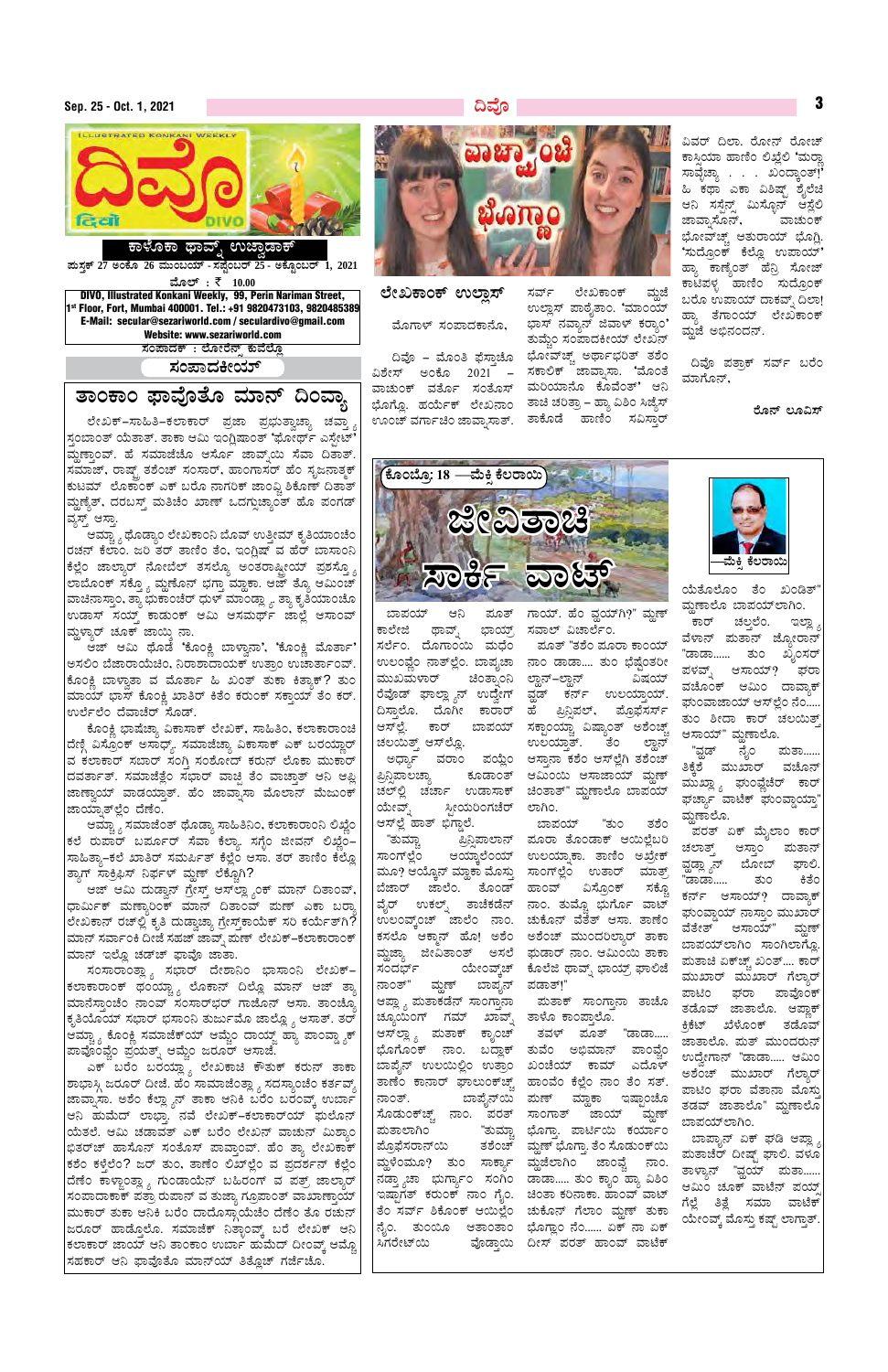# **Sep. 25 - Oct. 1, 2021 ¢ªÉÇ** <sup>3</sup>



## ಕಾಳೊಕಾ ಥಾವ್ನ್ ಉಜ್ವಾಡ<del>ಾ</del>ಕ್

**¥ÀĸÀÛPï 27 CAPÉÆ 26 ªÀÄÄA§AiÀiï - ¸À¥ÉÖA§gï 25 - CPÉÆÖA§gï 1, 2021** 

**ªÉƯï :** ` **10.00** DIVO, Illustrated Konkani Weekly, 99, Perin Nariman Street, 1st Floor, Fort, Mumbai 400001. Tel.: +91 9820473103, 9820485389 E-Mail: secular@sezariworld.com / seculardivo@gmail.com Website: www.sezariworld.com

 $\,$ ಸಂಪಾದಕ್ $\,$  : ಲೋರೆನ್ಸ್ ಕುವೆಲ್ಲೊ

<u>ಸಂಪಾದಕೀಯ್</u>

## <u>ತಾಂಕಾಂ ಫಾವೊತೊ ಮಾನ್ ದಿಂವ್ತಾ</u>

ಲೇಖಕ್–ಸಾಹಿತಿ–ಕಲಾಕಾರ್ ಪ್ರಜಾ ಪ್ರಭುತ್ವಾಚ್ಯಾ ಚವ್ತಾ ಸ್ತಂಬಾಂತ್ ಯೆತಾತ್. ತಾಕಾ ಆಮಿ ಇಂಗ್ಲಿಷಾಂತ್ 'ಘೋರ್ಥ್ ಎಸ್ಟೇಟ್' |ಮ್ಣಣ್ತಾಂವ್. ಹೆ ಸಮಾಜೆಚೊ ಆರ್ಸೊ ಜಾವ್<del>ನ</del>ಯಿ ಸೆವಾ ದಿತಾತ್. ಸಮಾಜ್, ರಾಷ್ಟ್ ತಶೆಂಚ್ ಸಂಸಾರ್, ಹಾಂಗಾಸರ್ ಹೆಂ ಸೃಜನಾತ್ಮಕ್ ಕುಟಮ್ ಲೊಕಾಂಕ್ ಎಕ್ ಬರೊ ನಾಗರಿಕ್ ಜಾಂವ್ಸಿ ಶಿಕೊಣ್ ದಿತಾತ್ ಮ್ದಣ್ಯೆತ್, ದರಬಸ್ತ್ ಮತಿಚೆಂ ಖಾಣ್ ಒದಗ್ಗುಚ್ಯಾಂತ್ ಹೊ ಪಂಗಡ್ |ವ್ಯಸ್ತ್ ಆಸ್ತಾ.

ಿ ಆಮ್ಚ್ಯಾ ಥೊಡ್ಯಾಂ ಲೇಖಕಾಂನಿ ಬೊವ್ ಉತ್ತೀಮ್ ಕೃತಿಯಾಂಚೆಂ ರಚನ್ ಕೆಲಾಂ. ಜರಿ ತರ್ ತಾಣಿಂ ತೆಂ, ಇಂಗ್ಲಿಷ್ ವ ಹೆರ್ ಬಾಸಾಂನಿ |ಕೆಲ್ಲೆಂ ಜಾಲ್ಯಾರ್ ನೋಬೆಲ್ ತಸಲ್ಯೊ ಅಂತರಾಷ್ಟೀಯ್ ಪ್ರಶಸ್ತ್ರೊ ಲಾಬೊಂಕ್ ಸಕ್ತ್ಯೊ ಮ್ದಣೊನ್ ಭಗ್ತಾ ಮ್ಹಾಕಾ. ಆಜ್ ತ್ಯೊ ಆಮಿಂಚ್ ವಾಚಿನಾಸ್ತಾಂ, ತ್ಯಾ ಭುಕಾಂಚೆರ್ ಧುಳ್ ಮಾಂಡ್ಲ್ಯಾ. ತ್ಯಾ ಕೃತಿಯಾಂಚೊ |ಉಡಾಸ್ ಸಯ್ಮ್ ಕಾಡುಂಕ್ ಆಮಿ ಆಸಮರ್ಥ್ ಜಾಲ್ಲೆ ಆಸಾಂವ್ ಮ್ಲಳ್ನಾರ್ ಚೂಕ್ ಜಾಯ್ತಿ ನಾ.

ಆಜ್ ಆಮಿ ಥೊಡೆ 'ಕೊಂಕ್ಲಿ ಬಾಳ್ವಾನಾ', 'ಕೊಂಕ್ಲಿ ಮೊರ್ತಾ' ಅಸಲಿಂ ಬೆಜಾರಾಯೆಚಿಂ, ನಿರಾಶಾದಾಯಕ್ ಉತ್ರಾಂ ಉಚಾರ್ತಾಂವ್. ಕೊಂಕ್ಷಿ ಬಾಳ್ವಾತಾ ವ ಮೊರ್ತಾ ಹಿ ಖಂತ್ ತುಕಾ ಕಿತ್ತಾಕ್? ತುಂ ಮಾಯ್ ಭಾಸ್ ಕೊಂಕ್ಷಿ ಖಾತಿರ್ ಕಿತೆಂ ಕರುಂಕ್ ಸಕ್ತಾಯ್ ತೆಂ ಕರ್. |ಉರ್ಲೆಲೆಂ ದೆವಾಚೆರ್ ಸೊಡ್.

ಕೊಂಕ್ಲಿ ಭಾಷೆಚ್ಯಾ ವಿಕಾಸಾಕ್ ಲೇಖಕ್, ಸಾಹಿತಿಂ, ಕಲಾಕಾರಾಂಚಿ |ದೆಣ್ಗಿ ವಿಸ್ರೊಂಕ್ ಅಸಾಧ್ಯ್. ಸಮಾಜೆಚ್ಯಾ ವಿಕಾಸಾಕ್ ಎಕ್ ಬರಯ್ಲಾರ್ |ವ ಕಲಾಕಾರ್ ಸಬಾರ್ ಸಂಗ್ತಿ ಸಂಶೋದ್ ಕರುನ್ ಲೊಕಾ ಮುಕಾರ<mark>್</mark> |ದವರ್ತಾತ್. ಸಮಾಜೆತ್ಲೆಂ ಸಭಾರ್ ವಾಚ್ಛಿ ತೆಂ ವಾಚ್ತಾತ್ ಆನಿ ಆಪ್ಲಿ ಜಾಣ್ತಾಯ್ ವಾಡಯ್ತಾತ್. ಹೆಂ ಜಾವ್ಸಾಸಾ ಮೊಲಾನ್ ಮೆಜುಂಕ್ ಜಾಯ್ನಾತ್ಲಲಿಂ ದೆಣೆಂ.

ಿಕಮ್ಚ್ಯಾ ಸಮಾಜೆಂತ್ ಥೊಡ್ಯಾ ಸಾಹಿತಿನಿಂ, ಕಲಾಕಾರಾಂನಿ ಲಿಖ್ಣೆಂ ಕಲೆ ರುಪಾರ್ ಬರ್ಮೂರ್ ಸೆವಾ ಕೆಲ್ಲಾ. ಸಗೈಂ ಜೀವನ್ ಲಿಖ್ಹೆಂ– |ಸಾಹಿತ್ಯಾ–ಕಲೆ ಖಾತಿರ್ ಸಮರ್ಪಿತ್ ಕೆಲ್ಲೆಂ ಆಸಾ. ತರ್ ತಾಣಿಂ ಕೆಲ್ಲೊ |ತ್ಯಾಗ್ ಸಾಕ್ರಿಫಿಸ್ ನಿರ್ಫಳ್ ಮ್ದಣ್ ಲೆಕ್<u>ಟೊ</u>ಗಿ?

ಆಜ್ ಆಮಿ ದುಡ್ವಾನ್ ಗ್ರೇಸ್ತ್ ಆಸ್೮್ಲ್ಯಾಂಕ್ ಮಾನ್ ದಿತಾಂವ್, ಧಾರ್ಮಿಕ್ ಮಣ್ಯಾರಿಂಕ್ ಮಾನ್ ದಿತಾಂವ್ ಮಣ್ ಎಕಾ ಬರ್<mark>ಢಾ</mark> ಲೇಖಕಾನ್ ರಚ್ಲಲ್ಲಿ ಕೃತಿ ದುಡ್ವಾಚ್ಯಾ ಗ್ರೇಸ್ಮ್ ಕಾಯೆಕ್ ಸರಿ ಕರ್ಯತ್ಗ? |ಮಾನ್ ಸರ್ವಾಂಕಿ ದೀಜೆ ಸಹಜ್ ಜಾವ್ಸ್ ಮಣ್ ಲೇಖಕ್–ಕಲಾಕಾರಾಂಕ್ |ಮಾನ್ ಇಲ್ಲೊ ಚಡ್**ಚ್ ಫಾವೊ ಜಾ**ತಾ.

ಸಂಸಾರಾಂತ್ಲ್ಯಾ ಸಭಾರ್ ದೇಶಾನಿಂ ಭಾಸಾಂನಿ ಲೇಖಕ್– |ಕಲಾಕಾರಾಂಕ್ ಥಂಯ್ಚ್ಯಾ ಲೊಕಾನ್ ದಿಲ್ಲೊ ಮಾನ್ ಆಜ್ ತ್ಯಾ |ಮಾನೆಸ್ತಾಂಚೆಂ ನಾಂವ್ ಸಂಸಾರ್*ಭರ್ ಗಾ*ಜೊನ್ ಆಸಾ. ತಾಂಚ್<mark>ನ</mark>ೊ |ಕೃತಿಯೊಯ್ ಸಭಾರ್ ಭಸಾಂನಿ ತುರ್ಜುಮೊ ಜಾಲ್ಲೊ <sub>3</sub> ಆಸಾತ್. ತರ್ 'ಆಮ್ಚ್ಯಾ ಕೊಂಕ್ಲಿ ಸಮಾಜೆಕ್*ಯ್ ಆ*ಮ್ಚೆಂ ದಾಯ್ಜ್ ಹ್ಯಾ ಪಾಂವ್ಡ್ <sub>ಸ</sub>ಕ್ ¥ÁªÉÇAªÉÑA ¥ÀæAiÀÄvïß DªÉÄÑA dgÀÆgï D¸ÁeÉ. ಎಕ್ ಬರೆಂ ಬರಯ್ಲ್ಲಾ ಲೇಖಕಾಚಿ ಕೌತುಕ್ ಕರುನ್ ತಾಕಾ  $|$ ಶಾಭಾಸ್ಗಿ ಜರೂರ್ ದೀಜೆ. ಹೆಂ ಸಾಮಾಜೆಂತ್ಲಾ  $_{s}$ ಸದಸ್ಯಾಂಚೆಂ ಕರ್ತವ್ಯ್ |ಜಾವ್ನಾಸಾ. ಅಶೆಂ ಕೆಲ್ಲ್ಯಾನ್ ತಾಕಾ ಆನಿಕಿ ಬರೆಂ ಬರಂವ್ಕ್ ಉರ್ಬಾ |ಆನಿ ಹುಮೆದ್ ಲಾಭ್ತಾ. ನವೆ ಲೇಖಕ್–ಕಲಾಕಾರ್ಯ್ ಘುಲೊನ್ |ಯೆತಲೆ. ಆಮಿ ಚಡಾವತ್ ಎಕ್ ಬರೆಂ ಲೇಖನ್ ವಾಚುನ್ ಮಿಶ್ನಾಂ |ಭಿತರ್*ಜ್ ಹಾ*ಸೊನ್ ಸಂತೊಸ್ ಪಾವ್ತಾಂವ್. ಹೆಂ ತ್ಯಾ ಲೇಖಕಾಕ್ |ಕಶೆಂ ಕಳೆಲೆಂ? ಜರ್ ತುಂ, ತಾಣೆಂ ಲಿಖ್ಲೆಂ ವ ಪ್ರದರ್ಶನ್ ಕೆಲ್ಲೆಂ |ದೆಣೆಂ ಕಾಳ್ಜಾಂತ್ಲ್ಯಾ ಗುಂಡಾಯೆನ್ ಬಹಿರಂಗ್ ವ ಪತ್ರ್ ಜಾಲ<mark>್ಯಾ</mark>ರ್ |ಸಂಪಾದಾಕಾಕ್ ಪತ್ರಾ ರುಪಾನ್ ವ ತುಜ್ಯಾ ಗ್ರೂಪಾಂತ್ ವಾಖಾಣ್ತಾಯ್ |ಮುಕಾರ್ ತುಕಾ ಆನಿಕಿ ಬರೆಂ ದಾದೊಸ್ಗಾಯೆಚೆಂ ದೆಣೆಂ ತೊ ರಚುನ್ |ಜರೂರ್ ಹಾಡ್ತೊಲೊ. ಸಮಾಜೆಕ್ ನಿತ್ಛಾಂವ್ಕ್ ಬರೆ ಲೇಖಕ್ ಆನಿ |ಕಲಾಕಾರ್ ಜಾಯ್ ಆನಿ ತಾಂಕಾಂ ಉರ್ಬಾ ಹುಮೆದ್ ದೀಂವ<u>್</u>ತ್ ಆಮ್ಬೊ |ಸಹಕಾರ್ ಆನಿ ಫಾವೊತೊ ಮಾನ್ಯ್ ತಿತ್ಲೊಚ್ ಗರ್ಜೆಚೊ.





ಲೇಖಕಾಂಕ್ ಉಲ್ಲಾಸ<u>್</u>

ಮೊಗಾಳ್ ಸಂಪಾದಕಾನೊ,

ವಿಶೇಸ್ ಅಂಕೊ 2021 – ವಾಚುಂಕ್ ವರ್ತೊ ಸಂತೊಸ್ ಭೊಗ್ಲೊ. ಹರ್ಯೆಕ್ ಲೇಖನಾಂ ತಾಚಿ ಚರಿತ್ರಾ – ಹ್ಯಾ ವಿಶಿಂ ಸಿಜ್ಯೆಸ್

ದಿವೊ – ಮೊಂತಿ ಫೆಸ್ತಾಚೊ ಭೋವ್ಚ್ಚ್ ಅರ್ಥಾಭರಿತ್ ತಶಂ ಊಂಚ್ ವರ್ಗಾಚಿಂ ಜಾವ್ನಾಸಾತ್. ತಾಕೊಡೆ ಹಾಣಿಂ ಸವಿಸ್ತಾರ್ ಸರ್ವ್ ಲೇಖಕಾಂಕ್ ಮ್ದಜೆ ಉಲ್ಲಾಸ್ ಪಾಠೈತಾಂ. 'ಮಾಂಯ್ ಭಾಸ್ ನವ್ಯಾನ್ ಜಿವಾಳ್ ಕರ್ಾು' ತುಮ್ಚಿಂ ಸಂಪಾದಕೀಯ್ ಲೇಖನ್ ಸಕಾಲಿಕ್ ಜಾವ್ಯಾಸಾ. 'ಮೊಂತೆ ಮರಿಯಾನೊ ಕೊವೆಂತ್' ಆನಿ

ವಿವರ್ ದಿಲಾ. ರೋನ್ ರೋಚ್ ಕಾಸ್ತಿಯಾ ಹಾಣಿಂ ಲಿಖ್ಲೆಲಿ 'ಮರ್<u>ಲ</u> ಸಾವೈಚ್ಯಾ . . . ಖಂದ್ಕಾಂತ್!' ಹಿ ಕಥಾ ಎಕಾ ವಿಶಿಷ್ಟ್ ಶೈಲೆಚಿ ಆನಿ ಸಸ್ಪೆನ್ಸ್ ಮಿಸ್ಟೊನ್ ಆಸ್ಲೆಲಿ ಜಾವ್ಸಾಸೊನ್, ಪಾಚುಂಕ್ ಭೋವ್ಚ್ ಆತುರಾಯ್ ಭೊಗ್ಲಿ. 'ಸುದ್ರೊಂಕ್ ಕೆಲ್ಲೊ ಉಪಾಯ್' ಹ್ಯಾ ಕಾಣ್ಯೆಂತ್ ಹೆನ್ರಿ ಸೋಜ್ ಕಾಟಿಪಳ್ಳ ಹಾಣಿಂ ಸುದ್ರೊಂಕ್ ಬರೊ ಉಪಾಯ್ ದಾಕವ್ಸ್ ದಿಲಾ! ಹ್ಯಾ ತೆಗಾಂಯ್ ಲೇಖಕಾಂಕ್ ಮ್ಣಜೆ ಅಭಿನಂದನ್.

ದಿವೊ ಪತ್ರಾಕ್ ಸರ್ವ್ ಬರೆಂ ಮಾಗೊನ್,

#### ರೊನ್ ಲೂವಿಸ್



ಬಾಪಯ್ ಆನಿ ಪೂತ್ ಕಾಲೇಜಿ ಥಾವ್ನ್ ಸರ್ಲೆಂ. ದೊಗಾಂಯಿ ಮಧೆಂ ಮುಖಮಳಾರ್ ರೆವೊಡ್ ಘಾಲ್ಲ್ಯಾನ್ ಉದ್ವೇಗ್ ಚಲಯಿತ್ತ್ ಆಸ್ಲಲ್ಲೊ.

ಪ್ರಿನ್ಷಿಪಾಲಚ್ಯಾ ಕೂಡಾಂತ್ ಯೇವ್ನ್ ಸ್ಟೀಯರಿಂಗಚೆರ್ ಲಾಗಿಂ. ಆಸ್<sup>ಲ್ಲೆ</sup> ಹಾತ್ ಭಿಗ್ದಾಲೆ.<br>"ತುಮ್ಸಾ ಪ್ರಿನ್ಸಿ

"ತುಮ್ಚಾ ಪ್ರಿನ್ಸಿಪಾಲಾನ್ ಪೂರಾ ತೊಂಡಾಕ್ ಆಯಿಲ್ಲೆಬರಿ ಸಾಂಗ್ ಲ್ಲೆಂ ಆಯ್ಕಾಲೆಂಯ್ ಉಲಯ್ನಾಕಾ. ತಾಣಿಂ ಅಖ್ರೇಕ್ ªÀÄÆ? DAiÉÆÌ£ï ªÀiÁíPÁ ªÉƸÀÄÛ ¸ÁAUï¯ÉèA GvÁgï ªÀiÁvïæ ಬೆಜಾರ್ ಜಾಲೆಂ. ತೊಂಡ್ ಹಾಂವ್ ವಿಸ್ರೊಂಕ್ ಸಕ್ಚೊ ವೈರ್ ಉಕಲ್ನ್ ತಾಚೆಕಡೆನ್ ನಾಂ. ತುಮ್ಚೊ ಭುರ್ಗೊ ವಾಟ್ ಉಲಂವ್ಕ್ರೆಂಚ್ ಜಾಲೆಂ ನಾಂ. ಚುಕೊನ್ ವೆತೆತ್ ಆಸಾ. ತಾಣೆಂ ಕಸಲೊ ಆಕ್ಮಾನ್ ಹೊ! ಅಶೆಂ ಅಶೆಂಚ್ ಮುಂದರಿಲ್ಯಾರ್ ತಾಕಾ ಮ್ಹಜ್ಯಾ ಜೀವಿತಾಂತ್ ಅಸಲೆ ಘುಡಾರ್ ನಾಂ. ಆಮಿಂಯಿ ತಾಕಾ ¸ÀAzÀ¨sïð AiÉÄÃAªïÌZï PÉÆ¯Éf xÁªïß ¨sÁAiÀiïæ WÁ°eÉ ನಾಂತ್" ಮ್ಹಣ್ ಬಾಪೃನ್ ಪಡಾತ್!" ಆಪ್ಲ್ಯಾ ಮತಾಕಡೆನ್ ಸಾಂಗ್ತಾನಾ ಚ್ಯೂಯಿಂಗ್ ಗಮ್ ಖಾವ್ನ್ ತಾಳೊ ಕಾಂಪ್ತಾಲೊ. ಆಸ್′ಲ್ಲಾ ್ಯ ಮತಾಕ್ ಕ್ಯಾಂಚ್ ತವಳ್ ಪೂತ್ "ಡಾಡಾ..... ಭೊಗೊಂಕ್ ನಾಂ. ಬದ್ಲಾಕ್ ತುವೆಂ ಅಭಿಮಾನ್ ಪಾಂವ್ಚಂ ಬಾಪೈನ್ ಉಲಯಿಲ್ಲಿಂ ಉತ್ರಾಂ ಖಂಚೆಯ್ ಕಾಮ್ ಎದೊಳ್ ತಾಣೆಂ ಕಾನಾರ್ ಫಾಲುಂಕ್ಚ್ಚ್ ಹಾಂವೆಂ ಕೆಲ್ಲೆಂ ನಾಂ ತೆಂ ಸತ್. ನಾಂತ್. ಬಾಪೈನ್ಯಿ ಮಣ್ ಮ್ಹಾಕಾ ಇಷ್ಟಾಂಚೊ ಸೊಡುಂಕ್ ಚ್ಚ್ ನಾಂ. ಪರತ್ ಸಾಂಗಾತ್ ಜಾಯ್ ಮ್ದಣ್ ಮತಾಲಾಗಿಂ "ತುಮ್ಚಾ ಭೂಗ್ತಾ. ಪಾರ್ಟಿಯಿ ಕರ್ಯಾಂ ಪ್ರೊಫೆಸರಾನ್ಯ ತಶಂಚ್ ಮ್ಹಣ್ ಭೊಗ್ತಾ. ತಂ ಸೊಡುಂಕ್ ಯಿ ಮ್ಹಳೆಂಮೂ? ತುಂ ಸಾರ್ಕ್ಯಾ ಮ್ಹಜೆಲಾಗಿಂ ಜಾಂವ್ಚೆ ನಾಂ. ನಡ್ತ್ಯಾಚಾ ಭುರ್ಗ್ಯಾಂ ಸಂಗಿಂ ಡಾಡಾ..... ತುಂ ಕ್ಯಾಂ ಹ್ಯಾ ವಿಶಿಂ ಇಷ್ಟಾಗತ್ ಕರುಂಕ್ ನಾಂ ಗೈಂ. ಚಿಂತಾ ಕರಿನಾಕಾ. ಹಾಂವ್ ವಾಟ್ ತೆಂ ಸರ್ವ್ ಶಿಕೊಂಕ್ ಆಯಿಲ್ಲೆಂ ಚುಕೊನ್ ಗೆಲಾಂ ಮ್ಹಣ್ ತುಕಾ ನೈಂ. ತುಂಯೊ ಆತಾಂತಾಂ ಭೊಗ್ಲಾಂ ನೆಂ...... ಏಕ್ ನಾ ಏಕ್ ಸಿಗರೇಟ್ಯ ಅಂಜ್ರಾಯಿ ದೀಸ್ ಪರತ್ ಹಾಂವ್ ವಾಟೆಕ್

ಗಾಯ್. ಹೆಂ ವ್ಲಯ್ಗ?" ಮೃಣ್ ಭಾಯ್ಸ್ ಸವಾಲ್ ವಿಚಾರ್ಲೆಂ.



ಉಲಂವ್ಣೆಂ ನಾತ್ಲಲಿಂ. ಬಾಪೃಚಾ ನಾಂ ಡಾಡಾ.... ತುಂ ಭೆಷ್ಟೆಂತರೀ ದಿಸ್ತಾಲೊ. ದೊಗೀ ಕಾರಾರ್ ಹೆ ಪ್ರಿನ್ಸಿಪಲ್, ಪ್ರೊಫೆಸರ್ಸ್ ಆಸ್ಆಲ್ಲೆ. ಕಾರ್ ಬಾಪಯ್ ಸಕ್ಟಾಂಯ್ಚಾ ವಿಷ್ಯಾಂತ್ ಅಶೆಂಚ್ಚ್ ಅರ್ಧ್ಯಾ ವರಾಂ ಪಯ್ಲೆಂ ಆಸ್ತಾನಾ ಕಶೆಂ ಆಸ್ಆಲ್ಲೆಗಿ ತಶೆಂಚ್ ಚಲ್© ಚರ್ಚಾ ಉಡಾಸಾಕ್ ಚಿಂತಾತ್" ಮ್ಹಣಾಲೊ ಬಾಪಯ್ ಮೂತ್ "ತಶೆಂ ಮೂರಾ ಕಾಂಯ್ ಚಿಂತ್ಕಾಂನಿ ಲ್ಲಾನ್–ಲ್ಲಾನ್ ವಿಷಯ್ - ವ್ಹಡ್ ಕರ್ನ್ ಉಲಯ್ತಾಯ್. ಉಲಯ್ತಾತ್. ತೆಂ ಲ್ಹಾನ್ ಆಮಿಂಯಿ ಆಸಾಜಾಯ್ ಮ್ಲಣ್

ಯೆತೊಲೊಂ ತೆಂ ಖಂಡಿತ್ ಮ್ದಣಾಲೊ ಬಾಪಯ್ಐಗಿಂ. ಕಾರ್ ಚಲ್ಗಲೆಂ. ಇಲ್ಲಾ ವೆಳಾನ್ ಪುತಾನ್ ಜ್ಯೋರಾನ್ "ಡಾಡಾ...... ತುಂ ಖ್ಯಂಸರ್ ಪಳವ್ಖ್ ಆಸಾಯ್? ಘರ<u>ಾ</u> ವಚೊಂಕ್ ಆಮಿಂ ದಾವ್ಯಾಕ್ ಘುಂವಾಜಾಯ್ ಆಸ್್ಲೆಂ ನೆಂ.... ತುಂ ಶೀದಾ ಕಾರ್ ಚಲಯಿತ್ ಆಸಾಯ್" ಮೃಣಾಲೊ. "ವ್ಹಡ್ ನೈಂ ಮತಾ..... ತಿಕ್ಕೆಶೆ ಮುಖಾರ್ ವಚೊನ್ ಮುಖ್ಲ್ಯಾ ಘುಂವ್ಣೆಚೆರ್ ಕಾರ್ ಘರ್ಜ್ಯಾ ವಾಟೆಕ್ ಘುಂವ್ಡಾಯ್ತಾ ಮ್ದಣಾಲೊ. <sup>್</sup>ಪರತ್ ಏಕ್ ಮೈಲಾಂ ಕಾರ್ ಚಲಾತ್ ಆಸ್ತಾಂ ಮತಾನ್ ವ್ಹಡ್ಲ್ಯಾನ್ ಬೋಬ್ ಘಾಲಿ. "ಡಾಡಾ..... ತುಂ ಕಿತೆಂ ಕರ್ನ್ ಆಸಾಯ್? ದಾವ್ಯಾಕ್ ಘುಂವ್ಡಾಯ್ ನಾಸ್ತಾಂ ಮುಖಾರ್ ವೆತೇತ್ ಆಸಾಯ್" ಮ್ಲಣ್ ಬಾಪಯ್ಐಗಿಂ ಸಾಂಗಿಲಾಗ್ಲೊ. ಮತಾಚಿ ಏಕ್ಚ್ಚ್ ಖಂತ್.... ಕಾರ್ ಮುಖಾರ್ ಮುಖಾರ್ ಗೆಲ್ಯಾರ್ ಪಾಟಿಂ ಘರಾ ಪಾವೊಂಕ್ ತಡೊವ್ ಜಾತಾಲೊ. ಆಪ್ಲಾಕ ಕ್ರಿಕೆಟ್ ಖೆಳೊಂಕ್ ತಡೊವ್ ಜಾತಾಲೊ. ಮತ್ ಮುಂದರುನ್ ಉದ್ದೇಗಾನ್ "ಡಾಡಾ..... ಆಮಿಂ ಅಶೆಂಚ್ ಮುಖಾರ್ ಗೆಲ್ಯಾರ್ ಪಾಟಿಂ ಘರಾ ವೆತಾನಾ ಮೊಸ್ತು ತಡವ್ ಜಾತಾಲೊ" ಮ್ದಣಾಲೊ ಬಾಪಯ್ಐಗಿಂ. ಬಾಪ್ಯಾನ್ ಏಕ್ ಘಡಿ ಆಪ್ಲಾ <u>ಪುತಾಚೆರ್ ದೀಷ್</u>ಟ್ ಘಾಲಿ. ವಳೂ ತಾಳ್ಯಾನ್ "ವ್ಹಯ್ ಮತಾ..... ಆಮಿಂ ಚೂಕ್ ವಾಟೆನ್ ಪಯ್ತ್ ಗೆಲ್ಲೆ ತಿತ್ಲೆ ಸಮಾ ವಾಟೆಕ್ ಯೇಂವ್ಕ್ ಮೊಸ್ತು ಕಷ್ಟ್ ಲಾಗ್ತಾತ್.

ಬಾಪಯ್ "ತುಂ ತಶೆಂ

<u>ಮತಾಕ್ ಸಾಂಗ್ತಾನಾ ತಾಚೊ</u>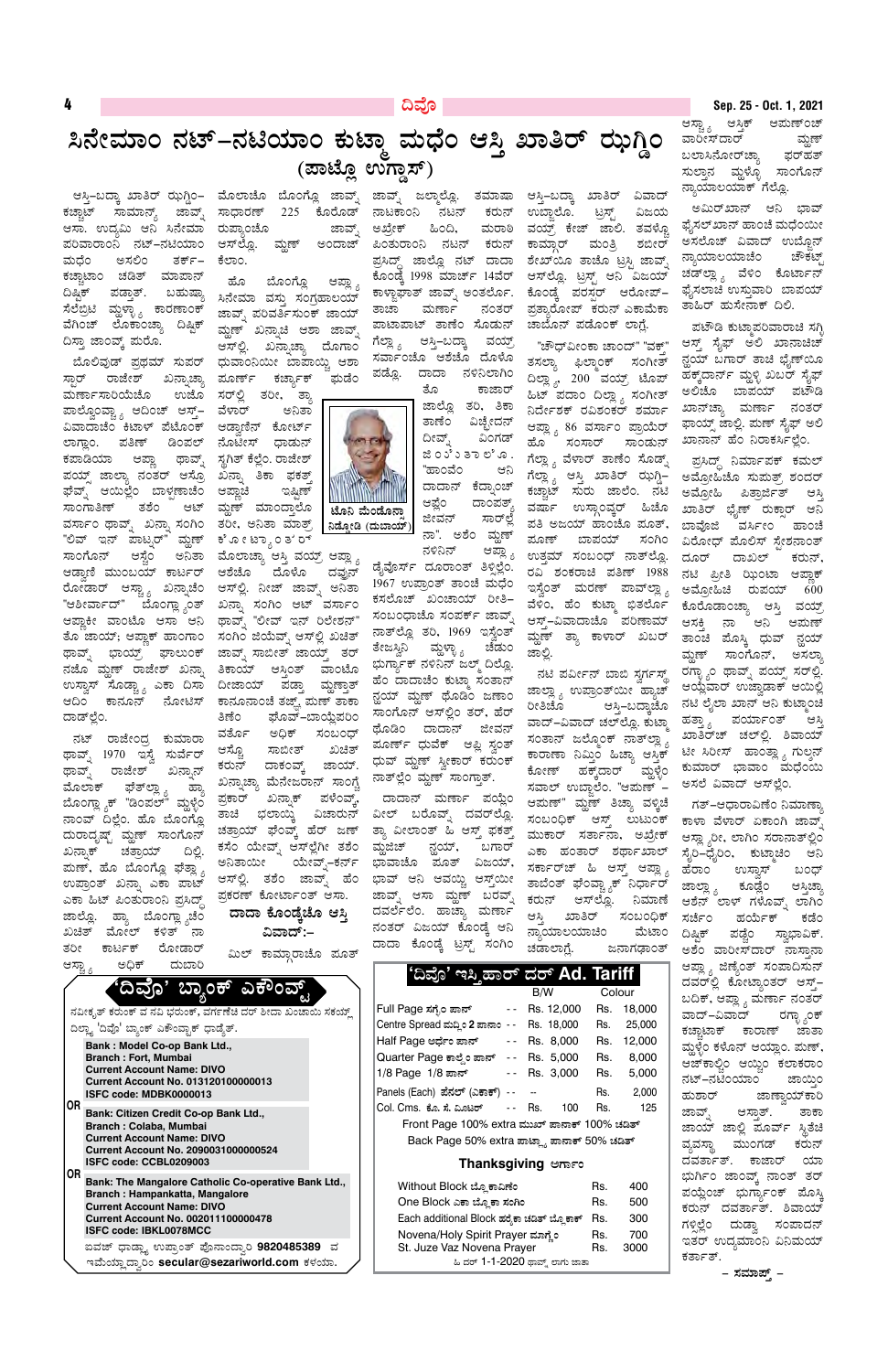## ದಿವೊ

# ಸಿನೇಮಾಂ ನಟ್–ನಟಿಯಾಂ ಕುಟ್ತಾ ಮಧೆಂ ಆಸ್ತಿ ಖಾತಿರ್ ಝಗ್ಡಿಂ (ಪಾಟ್ಲೊ ಉಗ್ಡಾಸ್)

ಕಚ್ಚಾಟ್ ಸಾಮಾನ್ಯ್ ಆಸಾ. ಉದ್ಯಮಿ ಆನಿ ಸಿನೇಮಾ ರುಪ್ತಾಂಚೊ ಪರಿವಾರಾಂನಿ ನಟ್–ನಟಿಯಾಂ ಮಧೆಂ ಅಸಲಿಂ ತರ್ಕ್– ಕಚ್ಚಾಟಾಂ ಚಡಿತ್ ಮಾಪಾನ್ ದಿಷ್ಷಿಕ್ ಪಡ್ತಾತ್. ಬಹುಷ್ಯಾ ಸೆಲೆಬ್ರಿಟಿ ಮ್ದಳ್ಳ್ಯಾ ಕಾರಣಾಂಕ್ ವೆಗಿಂಚ್ ಲೊಕಾಂಚ್ತಾ ದಿಷ್ಠಿಕ್ ದಿಸ್ತಾ ಜಾಂವ್ಕ್ ಮರೊ.

ಸ್ಪಾರ್ ರಾಜೇಶ್ ಖನ್ನಾಚ್ಯಾ ಮರ್ಣಾಸಾರಿಯೆಚೊ ಪಾಲ್ವೊಂವ್ಚ್ಯಾ ಆದಿಂಚ್ ಆಸ್ತ್– ವಿವಾದಾಚೆಂ ಕಿಟಾಳ್ ಪೆಟೊಂಕ್ ಲಾಗ್ಲಾಂ. ಪತಿಣ್ ಡಿಂಪಲ್ ಕಪಾಡಿಯಾ ಆಪ್ಲಾ ಥಾವ್ನ್ ಪಯ್ನ್ ಜಾಲ್ಯಾ ನಂತರ್ ಆಸ್ರೊ ಘೆವ್ನ್ ಆಯಿಲ್ಲೆಂ ಬಾಳ್ಷಣಾಚೆಂ ಸಾಂಗಾತಿಣ್ ತಶೆಂ ಆಟ್ ವರ್ಸಾಂ ಥಾವ್ನ್ ಖನ್ನಾ ಸಂಗಿಂ ತರೀ, ಅನಿತಾ ಮಾತ್ರ್ "ಲಿವ್ ಇನ್ ಪಾಟ್ನರ್" ಮ್ದಣ್ ಸಾಂಗೊನ್ ಆಸ್ಟೆಂ ಅನಿತಾ ಮೊಲಾಚ್ಯಾ ಆಸ್ತಿ ವಯ್ರ್ ಆಪ್ಲ್ಯಾ ಆಡ್ವಾಣಿ ಮುಂಬಯ್ ಕಾರ್ಟರ್ ರೋಡಾರ್ ಆಸ್ಟ್ಯಾ ಖನ್ನಾಚೆಂ ಆಸ್©. ನೀಜ್ ಜಾವ್ನ್ ಅನಿತಾ "ಆಶೀರ್ವಾದ್" ಬೊಂಗ್ಲ್ಯಾಂತ್ ಖನ್ನಾ ಸಂಗಿಂ ಆಟ್ ವರ್ಸಾಂ ಆಪ್ಲಾಕೀ ವಾಂಟೊ ಆಸಾ ಆನಿ ತೊ ಜಾಯ್; ಆಪ್ಲಾಕ್ ಹಾಂಗಾಂ ಥಾವ್ನ್ ಭಾಯ್ರ್ ಘಾಲುಂಕ್ ನಜೊ ಮ್ದಣ್ ರಾಜೇಶ್ ಖನ್ಸಾ ಉಸ್ವಾಸ್ ಸೊಡ್ಚ್ಯಾ ಎಕಾ ದಿಸಾ ಆದಿಂ ಕಾನೂನ್ ನೋಟಿಸ್ ದಾಡ್ಲಿಂ.

ನಟ್ ರಾಜೇಂದ್ರ ಕುಮಾರಾ ಥಾವ್ನ್ 1970 ಇಸ್ವೆ ಸುರ್ವೆರ್ ಥಾವ್ನ್ ರಾಜೇಶ್ ಖನ್ನಾನ್ ಮೊಲಾಕ್ ಫೆತ್<sup>ಲ್ಲಾ</sup> <sub>ಶಿ</sub> ಹ್ಯಾ ಬೊಂಗ್ಲ್ಯಾಕ್ "ಡಿಂಪಲ್" ಮ್ಗಳ್ಳೆಂ ನಾಂವ್ ದಿಲ್ಲೆಂ. ಹೊ ಬೊಂಗ್ಲೊ ದುರಾದೃಷ್ಟ್ ಮ್ಹಣ್ ಸಾಂಗೊನ್ ಖನ್ನಾಕ್ ಚತ್ರಾಯ್ ದಿಲ್ಲಿ. ಮಣ್, ಹೊ ಬೊಂಗ್ಲೊ ಫೆತ್ಲಾ <sub>ಶಿ</sub> ಉಪ್ರಾಂತ್ ಖನ್ನಾ ಎಕಾ ಪಾಟ್ ಎಕಾ ಹಿಟ್ ಪಿಂತುರಾಂನಿ ಪ್ರಸಿದ್ಧ್ ಜಾಲ್ಲೊ. ಹ್ಯಾ ಬೊಂಗ್ಲ್ಯಾಚೆಂ ಖಚಿತ್ ಮೋಲ್ ಕಳಿತ್ ನಾ ತರೀ ಕಾರ್ಟಕ್ ರೋಡಾರ್ ಅಧಿಕ್ ದುಬಾರಿ

ಆಸ್ತಿ–ಬದ್ಕಾ ಖಾತಿರ್ ಝಗ್ಡಿಂ– ಮೊಲಾಚೊ ಬೊಂಗ್ಲೊ ಜಾವ್ನ್ ಜಾವ್ನ್ ಜಲ್ಮಾಲ್ಲೊ. ತಮಾಷಾ ಆಸ್ತಿ–ಬದ್ಕಾ ಖಾತಿರ್ ವಿವಾದ್ ಜಾವ್ಶ್ ಸಾಧಾರಣ್ 225 ಕೊರೊಡ್ ಜಾವ್ನ್ ಆಸ್ಐ್ಲೂ ಮ್ದಣ್ ಅಂದಾಜ್ ಕೆಲಾಂ.

ಆಪ್ಲ್ಯಾ ಬೊಂಗ್ಲೊ ಹೊ ಸಿನೇಮಾ ವಸ್ತು ಸಂಗ್ರಹಾಲಯ್ ಜಾವ್ಸ್ ಪರಿವರ್ತಿಸುಂಕ್ ಜಾಯ್ ಮ್ದಣ್ ಖನ್ನಾಚಿ ಆಶಾ ಜಾವ್ನ್ ಆಸ್್ಲಲೆ. ಖನ್ನಾಚ್ಯಾ ದೊಗಾಂ ಬೊಲಿವುಡ್ ಪ್ರಥಮ್ ಸುಪರ್ ಧುವಾಂನಿಯೀ ಬಾಪಾಯ್ಚಿ ಆಶಾ ಘುಡೆಂ ಮೂರ್ಣ್ ಕರ್ಜ್ಯಾಕ್

ಉಜೊ ಸರ್ಲ್ಲಿ ತರೀ, ತ್ಯಾ ವೆಳಾರ್ ಅನಿತಾ ಆಡ್ವಾಣಿನ್ ಕೋರ್ಟ್ ನೊಟೀಸ್ ಧಾಡುನ್ ಸ್ಥಗಿತ್ ಕೆಲ್ಲೆಂ. ರಾಜೇಶ್ ಖನ್ನಾ ತಿಕಾ ಫಕತ್ತ್ ಇಷ್ಟಿಣ್ ಆಪ್ಲಾಚಿ ಮ್ದಣ್ ಮಾಂದ್ತಾಲೊ ಕೆ .ೂ ೕಟ್ಯಾಂ ತ`ರ್

ಆಶೆಚೊ ದೊಳೊ ದವುನ್ ಥಾವ್ನ್ "ಲೀವ್ ಇನ್ ರಿಲೇಶನ್" ಸಂಗಿಂ ಜಿಯೆವ್ನ್ ಆಸ್©್ಲ ಖಚಿತ್ ಜಾವ್ನ್ ಸಾಬೀತ್ ಜಾಯ್ತ್ ತರ್ ತಿಕಾಯ್ ಆಸ್ತಿಂತ್ ವಾಂಟೊ ದೀಜಾಯ್ ಪಡ್ತಾ ಮ್ದಣ್ತಾತ್ ಕಾನೂನಾಂಚೆ ತಜ್ಞ್ ಮಣ್ ತಾಕಾ ನ್ಹಯ್ ಮ್ಹಣ್ ಥೊಡಿಂ ಜಣಾಂ ತಿಣೆಂ ಘೊವ್–ಬಾಯ್ಜೆಪರಿಂ ವರ್ತೊ ಅಧಿಕ್ ಸಂಬಂಧ್ ಆಸ್ಟೊ ಸಾಬೀತ್ ಖಚಿತ್ ಕರುನ್ ದಾಕಂವ್ಕ್ ಜಾಯ್. ಖನ್ನಾಚ್ಯಾ ಮೆನೇಜರಾನ್ ಸಾಂಗ್ಷೆ ಪ್ರಕಾರ್ ಖನ್ನಾಕ್ ಪಳೆಂವ್ಕ್, ತಾಚಿ ಭಲಾಯ್ಕಿ ವಿಚಾರುನ್ ಚತ್ರಾಯ್ ಘೆಂವ್ಕ್ ಹೆರ್ ಜಣ್ ಕಸೆಂ ಯೇವ್ನ್ ಆಸ್ಲಲೆಗೀ ತಶೆಂ ಅನಿತಾಯೀ ಯೇವ್ಖ್–ಕರ್ನ್ ಆಸ್©್ಲ. ತಶೆಂ ಜಾವ್ನ್ ಹೆಂ ಪ್ರಕರಣ್ ಕೋರ್ಟಾಂತ್ ಆಸಾ.

ದಾದಾ ಕೊಂಡ್ಕೆಚೊ ಆಸ್ತಿ ವಿವಾದ್:–

ಮಿಲ್ ಕಾಮ್ಗಾರಾಚೊ ಪೂತ್

ನಾಟಕಾಂನಿ ನಟನ್ ಕರುನ್ ಅಖ್ರೇಕ್ ಹಿಂದಿ, ಮರಾಠಿ ಪಿಂತುರಾಂನಿ ನಟನ್ ಕರುನ್ ಪ್ರಸಿದ್ಧ್ ಜಾಲ್ಲೊ ನಟ್ ದಾದಾ ಕೊಂಡ್ಕೆ 1998 ಮಾರ್ಚ್ 14ವೆರ್ ಕಾಳ್ಜಾಘಾತ್ ಜಾವ್ನ್ ಅಂತರ್ಲೊ. ನಂತರ್ ತಾಚಾ ಮರ್ಣಾ ಪಾಟಾಪಾಟ್ ತಾಣೆಂ ಸೊಡುನ್ ವಯ್, ಗೆಲ್ಲ್ಯಾ ಆಸ್ತಿ–ಬದ್ಕಾ ಸರ್ವಾಂಚೊ ಆಶೆಜೊ ದೊಳೊ ಪಡ್ಲೊ. ದಾದಾ ನಳಿನಿಲಾಗಿಂ

> ತೊ ಕಾಜಾರ್ ಜಾಲ್ಲೊ ತರಿ, ತಿಕಾ ವಿಚ್ಛೇದನ್ ತಾಣೆ೦ ವಿಂಗಡ್ ದೀವ್ಪ್ ಜಿ ೦ ು ರಿ ತಾಲಿ .ೂ. "ಹಾಂವೆಂ ಆನಿ ದಾದಾನ್ ಕೆದ್ನಾಂಚ್ ದಾಂಪತ್ಯ್ ಆಫ್ಲೆಂ ಜೀವನ್ ಸಾರ್ಲ್ಲೆ ನಾ". ಅಶೆಂ ಮ್ದಣ್ ನಳಿನಿನ್ ಆಪ್ಲ್ಯಾ

ಡೈವೊರ್ಸ್ ದೂರಾಂತ್ ತಿಳ್ಸಿಲ್ಲೆಂ. 1967 ಉಪ್ರಾಂತ್ ತಾಂಚೆ ಮಧೆಂ ಕಸಲೊಚ್ ಖಂಚಾಯ್ ರೀತಿ– ಸಂಬಂಧಾಚೊ ಸಂಪರ್ಕ್ ಜಾವ್ನ್ ನಾತ್ಲ್ಲೂ ತರಿ, 1969 ಇಸ್ವೆಂತ್ ತೇಜಸ್ವಿನಿ ಮ್ಹಳ್ಳಾ<sub>, ಚೆ</sub>ಡುಂ ಭುರ್ಗ್ಯಾಕ್ ನಳಿನಿನ್ ಜಲ್ಮ್ ದಿಲ್ಲೊ. ಹೆಂ ದಾದಾಚೆಂ ಕುಟ್ಮಾ ಸಂತಾನ್ ಸಾಂಗೊನ್ ಆಸ್ಲ್ಲಿಂ ತರ್, ಹೆರ್ ಥೊಡಿಂ ದಾದಾನ್ ಜೀವನ್ ಪೂರ್ಣ್ ಧುವೆಕ್ ಆಪ್ಲಿ ಸ್ವಂತ್ ಧುವ್ ಮ್ಹಣ್ ಸ್ವೀಕಾರ್ ಕರುಂಕ್ ನಾತ್ಲಿಂ ಮ್ಹಣ್ ಸಾಂಗ್ತಾತ್.

ದಾದಾನ್ ಮರ್ಣಾ ಪಯ್ಲೆಂ ವೀಲ್ ಬರೊವ್ನ್ ದವರ್ಲ್ಲೊ. ತ್ಯಾ ವೀಲಾಂತ್ ಹಿ ಆಸ್ತ್ ಫಕತ್ತ್ ಮ್ದಜಿಚ್ ನ್ಹಯ್, ಬಗಾರ್ ಭಾವಾಚೊ ಪೂತ್ ವಿಜಯ್, ಭಾವ್ ಆನಿ ಆವಯ್ಚಿ ಆಸ್ತ್ರ್ಯ ಜಾವ್ನ್ ಆಸಾ ಮ್ದಣ್ ಬರವ್ನ್ ದವರ್ಲೆಲೆಂ. ಹಾಚ್ಯಾ ಮರ್ಣಾ ನಂತರ್ ವಿಜಯ್ ಕೊಂಡ್ಕೆ ಆನಿ ದಾದಾ ಕೊಂಡ್ಕೆ ಟ್ರಸ್ಟ್ ಸಂಗಿಂ

'ದಿವೊ' ಇಸಿ ಹಾರ್

ಉಬ್ಲಾಲೊ. ಟ್ರಸ್ಟ್ ವಿಜಯ ವಯ್, ಕೇಜ್ ಜಾಲಿ. ತವಳ್ಳೊ ಕಾಮ್ಗಾರ್ ಮಂತ್ರಿ ಶಬೀರ್ ಶೇಖ್ಯೂ ತಾಚೊ ಟ್ರಸ್ಟಿ ಜಾವ್ನ್ ಆಸ್ಲ್ಲೊ. ಟ್ರಸ್ಟ್ ಆನಿ ವಿಜಯ್ ಕೊಂಡ್ಕೆ ಪರಸ್ಪರ್ ಆರೋಪ್– ಪ್ರತ್ಯಾರೋಪ್ ಕರುನ್ ಎಕಾಮೆಕಾ ಚಾಬೊನ್ ಪಡೊಂಕ್ ಲಾಗ್ಷೆ.

"ಚೌಧ್ವೀಂಕಾ ಚಾಂದ್" "ವಕ್" ತಸಲ್ಯಾ ಫಿಲ್ಮಾಂಕ್ ಸಂಗೀತ್ ದಿಲ್ಲಾೖ, 200 ವಯ್ರ್ ಟೊಪ್ ಹಿಟ್ ಪದಾಂ ದಿಲ್ಲ್ಯಾ ಸಂಗೀತ್ ನಿರ್ದೇಶಕ್ ರವಿಶಂಕರ್ ಶರ್ಮಾ ಆಪ್ಲ್ಯಾ 86 ವರ್ಸಾಂ ಪ್ರಾಯೆರ್ ಹೊ ಸಂಸಾರ್ ಸಾಂಡುನ್ ಗೆಲ್ಲ್ಯಾ ವೆಳಾರ್ ತಾಣೆಂ ಸೊಡ್ನ್ ಕಚ್ಚಾಟ್ ಸುರು ಜಾಲೆಂ. ನಟಿ ವರ್ಷಾ ಉಸ್ಗಾಂವ್ಕರ್ ಹಿಚೊ ಪತಿ ಅಜಯ್ ಹಾಂಚೊ ಪೂತ್, ಪೂಣ್ ಬಾಪಯ್ ಸಂಗಿಂ ಉತ್ತಮ್ ಸಂಬಂಧ್ ನಾತ್ಲ್ಲೊ. ರವಿ ಶಂಕರಾಚಿ ಪತಿಣ್ 1988 ಇಸ್ಲೆಂತ್ ಮರಣ್ ಪಾವ್ಲ್ಡ್ಗ್ ವೆಳಿಂ, ಹೆಂ ಕುಟ್ಮಾ ಭಿತರ್ಲೊ ಆಸ್-ವಿವಾದಾಚೊ ಪರಿಣಾಮ್ ಮ್ಹಣ್ ತ್ಯಾ ಕಾಳಾರ್ ಖಬರ್ ಜಾಲ್ಲಿ.

ನಟಿ ಪರ್ವೀನ್ ಬಾಬಿ ಸ್ವರ್ಗಸ್ಥ್ ಜಾಲ್ಲ್ಯಾ ಉಪ್ರಾಂತ್**ಯೀ** ಹ್ಯಾಚ್ ರೀತಿಚೊ ಆಸ್ತಿ–ಬದ್ನಾಚೊ ವಾದ್–ವಿವಾದ್ ಚಲ್ಲ್ಲೊ. ಕುಟ್ಮಾ ಸಂತಾನ್ ಜಲ್ಮೊಂಕ್ ನಾತ್**ಲ್ಲಾ** <sub>ಬಿ</sub> ಕಾರಾಣಾ ನಿಮ್ತಿಂ ಹಿಚ್ಯಾ ಆಸ್ತಿಕ್ ಕೋಣ್ ಹಕ್ಕ್*ದಾರ್* ಮ್ದಳ್ಳೆಂ ಸವಾಲ್ ಉಬ್ಜಾಲೆಂ. "ಆಮಣ್ -ಆಮಣ್" ಮ್ದಣ್ ತಿಚ್ಯಾ ವಳ್ಕಿಚೆ ಸಂಬಂಧಿಕ್ ಆಸ್ತ್ ಲುಟುಂಕ್ ಮುಕಾರ್ ಸರ್ತಾನಾ, ಅಖ್ರೇಕ್ ಎಕಾ ಹಂತಾರ್ ಶರ್ಥಾಖಾಲ್ ಸರ್ಕಾರ್ಚ್ ಹಿ ಆಸ್ಟ್ ಆಪ್ಲ್ಯಾ ತಾಬೆಂತ್ ಫೆಂವ್ಚ್ಯಾಕ್ ನಿರ್ಧಾರ್ ಕರುನ್ ಆಸ್ಲ್ಲೊ. ನಿಮಾಣೆ ಆಸ್ತಿ ಖಾತಿರ್ ಸಂಬಂಧಿಕ್ ನ್ಯಾಯಾಲಯಾಚಿಂ ಮೆಟಾಂ ಜನಾಗಢಾಂತ್ ಚಡಾಲಾಗ್ಷೆ.

ದರ್ Ad. Tariff

Colour

 $B/W$ 

#### Sep. 25 - Oct. 1, 2021

ಆಸ್ಟ್ಯಾ ಆಸ್ತಿಕ್ ಆಮಣ್೦ಚ್ ವಾರೀಸ್ದಾರ್ ಮ್ದಣ್ ಬಲಾಸಿನೋರ್ಚ್ಯಾ ಫರ್ಹತ್ ಸುಲ್ತಾನ ಮ್ದಳ್ಳೊ ಸಾಂಗೊನ್ ನ್ಯಾಯಾಲಯಾಕ್ ಗೆಲ್ಲೊ.

ಅಮಿರ್ಖಾನ್ ಆನಿ ಭಾವ್ ಫೈಸಲ್ ಖಾನ್ ಹಾಂಚೆ ಮಧೆಂಯೀ ಅಸಲೊಚ್ ವಿವಾದ್ ಉಬ್ಜೊನ್ ನ್ಯಾಯಾಲಯಾಚೆಂ ಚೌಕಟ್ ಚಡ್ಐ್ಲ್ಯ ವೆಳಿಂ ಕೊರ್ಟಾನ್ ಫೈಸಲಾಚಿ ಉಸ್ತುವಾರಿ ಬಾಪಯ್ ತಾಹಿರ್ ಹುಸೇನಾಕ್ ದಿಲಿ.

ಪಟೌಡಿ ಕುಟ್ಮಾಪರಿವಾರಾಚಿ ಸಗ್ಬಿ ಆಸ್ತ್ ಸೈಫ್ ಅಲಿ ಖಾನಾಚಿಚ್ ನ್ಹಯ್ ಬಗಾರ್ ತಾಚಿ ಭೈಣ್ಯೂ ಹಕ್ಕ್ರದಾರ್ನ್ ಮ್ದಳ್ಳಿ ಖಬರ್ ಸೈಫ್ ಅಲಿಚೊ ಬಾಪಯ್ ಪಟೌಡಿ ಖಾನ್**ಚ್ಯಾ ಮರ್ಣಾ ನಂ**ತರ್ ಫಾಯ್ಸ್ ಜಾಲ್ಲಿ. ಮಣ್ ಸೈಫ್ ಅಲಿ ಖಾನಾನ್ ಹೆಂ ನಿರಾಕರ್ಸಿಲ್ಲೆಂ.

ಪ್ರಸಿದ್ಧ್ ನಿರ್ಮಾಪಕ್ ಕಮಲ್ ಅಮ್ರೋಹಿಚೊ ಸುಮತ್ರ್ ಶಂದರ್ ಅಮ್ರೋಹಿ ಪಿತ್ರಾರ್ಜಿತ್ ಆಸಿ ಖಾತಿರ್ ಭೈಣ್ ರುಕ್ಸಾರ್ ಆನಿ ಬಾವೊಜಿ ವರ್ಸೀಂ ಹಾಂಚೆ ವಿರೋಧ್ ಮೊಲಿಸ್ ಸ್ಪೇಶನಾಂತ್ ದೂರ್ ದಾಖಲ್ ಕರುನ್, ನಟಿ ಪ್ರೀತಿ ಝಿಂಟಾ ಆಪ್ಲಾಕ್ ಅಮ್ರೋಹಿಚಿ ರುಪಯ್ 600 ಕೊರೊಡಾಂಚ್ಯಾ ಆಸ್ತಿ ವಯ್ತ್ ಆಸಕ್ತಿ ನಾ ಆನಿ ಆಮಣ್ ತಾಂಚಿ ಪೊಸ್ಕಿ ಧುವ್ ನ್ಹಯ್ ಮ್ದಣ್ ಸಾಂಗೊನ್, ಅಸಲ್ನಾ ರಗ್ಳ್ಯಾಂ ಥಾವ್ನ್ ಪಯ್ಸ್ ಸರ್ಲ್ಲಿ. ಆಯ್ಲೆವಾರ್ ಉಜ್ವಾಡಾಕ್ ಆಯಿಲ್ಲಿ ನಟಿ ಲೈಲಾ ಖಾನ್ ಆನಿ ಕುಟ್ತಾಂಚಿ ಹತ್ತಾ<sub>ಶಿ</sub> ಪರ್ಯಾಂತ್ ಆಸಿ ಖಾತಿರ್ಚ್ ಚಲ್ಲಲೆ. ಶಿವಾಯ್ ಟೀ ಸಿರೀಸ್ ಹಾಂತ್ಲಾ <sub>3</sub> ಗುಲ್ಶನ್ ಕುಮಾರ್ ಭಾವಾಂ ಮಧೆಂಯಿ ಅಸಲೆ ವಿವಾದ್ ಆಸ್ಲ್ಲೆಂ.

ಗತ್–ಆಧಾರಾವಿಣೆಂ ನಿಮಾಣ್ತಾ ಕಾಳಾ ವೆಳಾರ್ ಏಕಾಂಗಿ ಜಾವ್ಶ್ ಆಸ್ಲ್ಯಾರೀ, ಲಾಗಿಂ ಸರಾನಾತ್ಲಲಿಂ ಸೈರಿ–ಧೈರಿಂ, ಕುಟ್ಕಾಚಿಂ ಆನಿ ಹೆರಾಂ ಉಸ್ವಾಸ್ ಬಂಧ್ ಜಾಲ್ಲ್ಯಾ ಕೂಡ್ಲೆಂ ಆಸ್ತಿಚ್<mark>ಚಾ</mark> ಆಶೆನ್ ಲಾಳ್ ಗಳೊವ್ಶ್ ಲಾಗಿಂ ಸರ್ಚೆಂ ಹರ್ಯೆಕ್ ಕಡೆಂ ದಿಷ್ಟಿಕ್ ಪಡ್ಚೆಂ ಸ್ವಾಭಾವಿಕ್. ಅಶೆಂ ವಾರೀಸ್ದಾರ್ ನಾಸ್ತಾನಾ ಆಪ್ಲ್ಯಾ ಜಿಣ್ಯೆಂತ್ ಸಂಪಾದಿಸುನ್ ದವರ್ಲ್ಲಿ ಕೋಟ್ಯಾಂತರ್ ಆಸ್ಟ್– ಬದಿಕ್, ಆಪ್ಲ್ಯಾ ಮರ್ಣಾ ನಂತರ್ ರಗ್ಳಾ ೃಂಕ್ ವಾದ್–ವಿವಾದ್ ಕಚ್ಚಾಟಾಕ್ ಕಾರಾಣ್ ಜಾತಾ ಮ್ದಳ್ಳೆಂ ಕಳೊನ್ ಆಯ್ಲಾಂ. ಮಣ್, ಆಜ್ ಕಾಲ್ಚಿಂ ಆಯ್ಚಿಂ ಕಲಾಕರಾಂ ನಟ್–ನಟಿಂಯಾಂ ಜಾಯ್ತಿಂ ಜಾಣ್ತಾಯ್ಕಾರಿ ಹುಶಾರ್ ಜಾವ್ಫ್ ಆಸ್ತಾತ್. " ತಾಕಾ ಜಾಯ್ ಜಾಲ್ಲಿ ಪೂರ್ವ್ ಸ್ಥಿತೆಚಿ ವ್ಯವಸ್ಥಾ ಮುಂಗಡ್ ಕರುನ್ ದವರ್ತಾತ್. ಕಾಜಾರ್ ಯಾ ಭುರ್ಗಿಂ ಜಾಂವ್ಕ್ ನಾಂತ್ ತರ್ ಪಯ್ಲೆಂಚ್ ಭುರ್ಗ್ಯಾಂಕ್ ಪೊಸ್ಕಿ ಕರುನ್ ದವರ್ತಾತ್. ಶಿವಾಯ್ ಗಳ್ಳಿಲ್ಲೆಂ ದುಡ್ವಾ ಸಂಪಾದನ್ ಇತರ್ ಉದ್ಯಮಾಂನಿ ವಿನಿಮಯ್ ಕರ್ತಾತ್. – ಸಮಾಪ್ಸ್ –



|          |                                            | ನವೀಕೃತ್ ಕರುಂಕ್ ವ ನವಿ ಭರುಂಕ್, ವರ್ಗಣೆಚಿ ದರ್ ಶೀದಾ ಖಂಚಾಯಿ ಸಕಯ್ಡ್                                                                                                                                                      |  |  |  |
|----------|--------------------------------------------|-------------------------------------------------------------------------------------------------------------------------------------------------------------------------------------------------------------------|--|--|--|
|          | ದಿಲ್ಲಾ 'ದಿವೊ' ಬ್ಯಾಂಕ್ ಎಕೌಂವ್ಟಾಕ್ ಧಾಡ್ಶೆತ್. |                                                                                                                                                                                                                   |  |  |  |
| 0R<br>0R |                                            | <b>Bank: Model Co-op Bank Ltd.,</b><br><b>Branch: Fort, Mumbai</b><br><b>Current Account Name: DIVO</b><br><b>Current Account No. 013120100000013</b><br>ISFC code: MDBK0000013                                   |  |  |  |
|          |                                            | <b>Bank: Citizen Credit Co-op Bank Ltd.,</b><br><b>Branch: Colaba, Mumbai</b><br><b>Current Account Name: DIVO</b><br>Current Account No. 2090031000000524<br>ISFC code: CCBL0209003                              |  |  |  |
|          |                                            | Bank: The Mangalore Catholic Co-operative Bank Ltd.,<br><b>Branch: Hampankatta, Mangalore</b><br><b>Current Account Name: DIVO</b><br><b>Current Account No. 002011100000478</b><br><b>ISFC code: IBKL0078MCC</b> |  |  |  |
|          |                                            | ಐವಜ್ ಧಾಡ್ಲ್ಯಾ ಉಪ್ರಾಂತ್ ಪೊನಾಂದ್ವಾರಿ 9820485389  ವ                                                                                                                                                                  |  |  |  |
|          |                                            | ಇಮೆಯ್ತಾದ್ರಾರಿಂ secular@sezariworld.com ಕಳಯಾ.                                                                                                                                                                      |  |  |  |

('ದಿವೊ' ಬ್ಯಾಂಕ್ ಎಕೌಂವ್ಸ್

| Full Page ಸಗೈಂ ಪಾನ್                             |                                                                                                |     | Rs. 12,000      | Rs. | 18,000 |
|-------------------------------------------------|------------------------------------------------------------------------------------------------|-----|-----------------|-----|--------|
| Centre Spread ಮದ್ದಿಂ 2 ಪಾನಾಂ                    | $\sim$ $\sim$                                                                                  |     | Rs. 18,000      | Rs. | 25,000 |
| Half Page ಅರ್ಧೆಂ ಪಾನ್                           | $\frac{1}{2} \left( \frac{1}{2} \right) \left( \frac{1}{2} \right) \left( \frac{1}{2} \right)$ |     | Rs. 8,000       | Rs. | 12,000 |
| Quarter Page ಕಾಲ್ದೆಂ ಪಾನ್                       |                                                                                                |     | -- Rs. 5,000    | Rs. | 8,000  |
| 1/8 Page 1/8 ಪಾನ್                               |                                                                                                |     | $- -$ Rs. 3,000 | Rs. | 5,000  |
| Panels (Each) ಪೆನಲ್ (ಎಕಾಕ್)                     | $\overline{\phantom{a}}$                                                                       |     |                 | Rs. | 2,000  |
| Col. Cms. ಕೊ. ಸೆ. ಮಿಂಟರ್                        | $\sim 10^{-10}$                                                                                | Rs. | 100             | Rs. | 125    |
| Front Page 100% extra ಮುಖ್ ಪಾನಾಕ್ 100% ಚಡಿತ್    |                                                                                                |     |                 |     |        |
| Back Page 50% extra ಪಾಟ್ಲ್ಯಾ ಪಾನಾಕ್ 50% ಚಡಿತ್   |                                                                                                |     |                 |     |        |
| Thanksgiving ಆರ್ಗಾಂ                             |                                                                                                |     |                 |     |        |
| Without Block ಬ್ಹೊಕಾವಿಣೆಂ                       |                                                                                                |     |                 | Rs. | 400    |
| One Block ಎಕಾ ಬ್ಲೊಕಾ ಸಂಗಿಂ                      |                                                                                                |     | Rs.             | 500 |        |
| Each additional Block ಹರೈಕಾ ಚಡಿತ್ ಬ್ಲೊಕಾಕ್      |                                                                                                |     | Rs.             | 300 |        |
| Novena/Holy Spirit Prayer ಮಾಗ್ಲೆಂ<br>700<br>Rs. |                                                                                                |     |                 |     |        |
| St. Juze Vaz Novena Prayer<br>Rs.<br>3000       |                                                                                                |     |                 |     |        |
| ಹಿ ದರ್ 1-1-2020 ಥಾವ್ತ್ ಲಾಗು ಜಾತಾ                |                                                                                                |     |                 |     |        |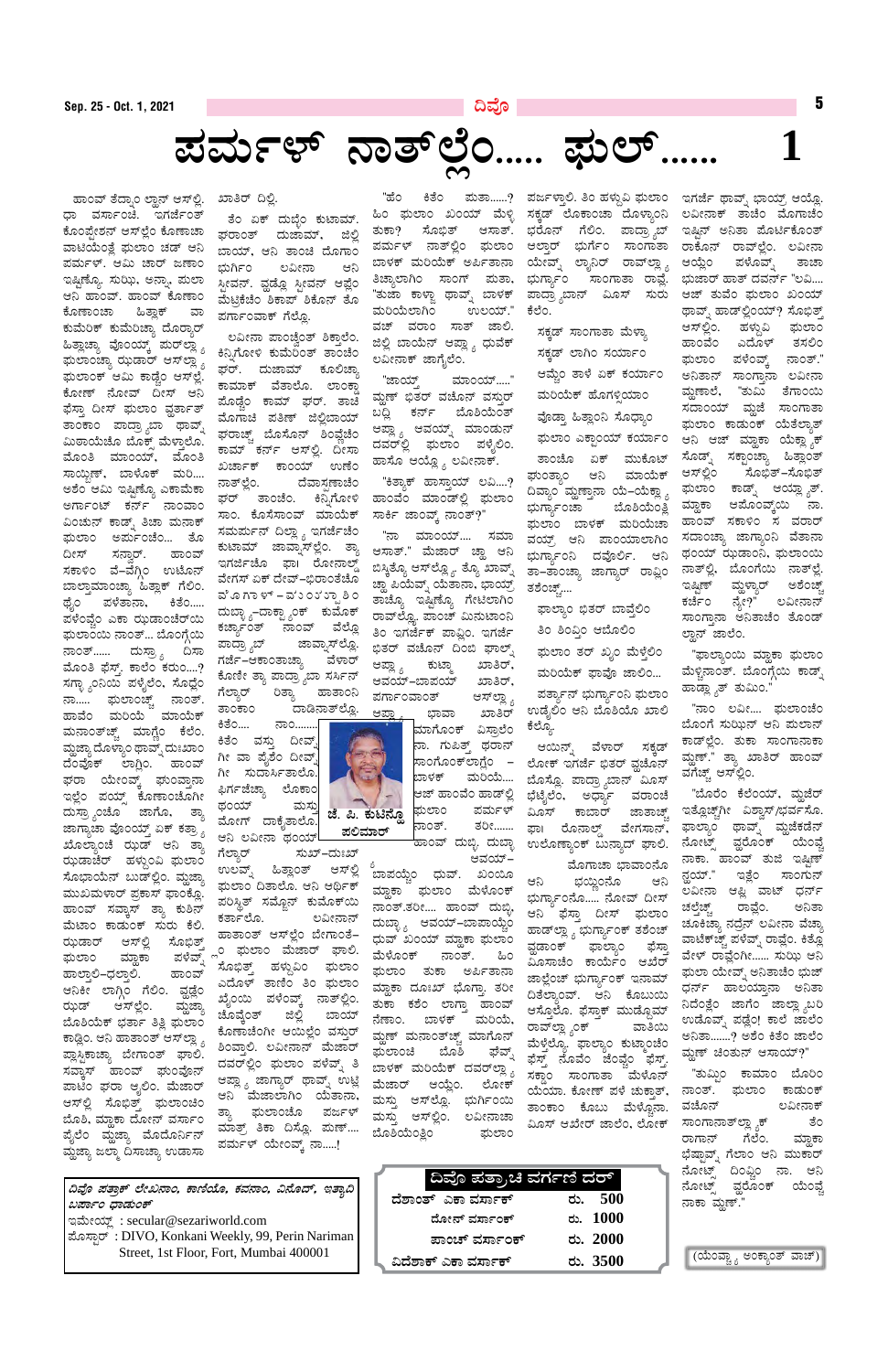**¢ªÉÇ ¥ÀvÁæPï ¯ÉÃR£ÁA, PÁtÂAiÉÆ, PÀªÀ£ÁA, «£ÉÆzï, EvÁå¢**   $z$ ಪರ್ಕಾಂ ಧಾಡುಂಕ್

| ದಿವೊ ಪತ್ರಾಚಿ ವರ್ಗಣಿ ದರ್ |                 |
|-------------------------|-----------------|
| ದೆಶಾಂತ್ ಎಕಾ ವರ್ಸಾಕ್     | ರು. 500         |
| ದೋನ್ ವರ್ಸಾಂಕ್           | ರು. 1000        |
| ಪಾಂಚ್ ವರ್ಸಾಂಕ್          | ರು. 2000        |
| ವಿದೆಶಾಕ್ ಎಕಾ ವರ್ಸಾಕ್    | <u>ರು. 3500</u> |

(ಯೆಂವ್ಚ್ಗಾ ಅಂಕ್ಯಾಂತ್ ವಾಚ್)

ಇಮೇಯ್ಲ್ : secular@sezariworld.com ಮೊಸ್ಸಾರ್: DIVO, Konkani Weekly, 99, Perin Nariman Street, 1st Floor, Fort, Mumbai 400001

"ºÉA QvÉA ¥ÀÄvÁ......? ¥Àdð¼ÁÛ°. wA ºÀ¼ÀÄÝ« ¥sÀįÁA EUÀeÉð xÁªïß ¨sÁAiÀiïæ DAiÉÆè. ತುಕಾ? ಸೊಭಿತ್ ಆಸಾತ್. ಭರೊನ್ ಗೆಲಿಂ. ಪಾದ್ರ್ಯಾಬ್ ಪರ್ಮಳ್ ನಾತ್ಲಲಿಂ ಫುಲಾಂ ಆಲ್ತಾರ್ ಭುರ್ಗೆಂ ಸಾಂಗಾತಾ ರಾಕೊನ್ ರಾವ್ಲಲ್ಲೆಂ. ಲವೀನಾ ಬಾಳಕ್ ಮರಿಯೆಕ್ ಅರ್ಪಿತಾನಾ ಯೇವ್ನ್ ಲ್ಯಾನಿರ್ ರಾವ್ಲಲ್ಲ್ಯಾ ಆಯ್ಲೆಂ ಪಳೊವ್ನ್ ತಾಚಾ ಕೆಲೆಂ.

> ಸಕ್ಕಡ್ ಸಾಂಗಾತಾ ಮೆಳ್ತಾ ಸಕ್ಕಡ್ ಲಾಗಿಂ ಸರ್ಯಾಂ ಆಮ್ಚೆಂ ತಾಳೆ ಏಕ್ ಕರ್ಯಾಂ ಮರಿಯೆಕ್ ಹೊಗಳ್ಳಿಯಾಂ ವೊಡ್ಡಾ ಹಿತ್ಲಾಂನಿ ಸೊಧ್ಯಾಂ ಘುಲಾಂ ಎಕ್ಟಾಂಯ್ ಕರ್ಯಾಂ ತಾಂಚೊ ಏಕ್ ಮುಕೊಟ್ ಘುಂತ್ಯಾಂ ಆನಿ ಮಾಯೆಕ್ ದಿವ್ಯಾಂ ಮ್ದಣ್ಯಾನಾ ಯೆ–ಯೆಕ್ಲ್ಯಾ ಭುಗ್ಯಾ೯೦ಚಾ ಬೊಶಿಯೆಂತ್ಲಿ ಘುಲಾಂ ಬಾಳಕ್ ಮರಿಯೆಚಾ ವಯ್, ಆನಿ ಪಾಂಯಾಲಾಗಿಂ ಭುಗ್ಯಾ೯೦ನಿ ದವೊರ್ಲಿ. ಆನಿ ತಾ–ತಾಂಚ್ಯಾ ಜಾಗ್ಯಾರ್ ರಾವ್ಲಿಂ ತಶೆಂಚ್ಚ್....

ಘಾಲ್ಯಾಂ ಭಿತರ್ ಬಾವೆಲಿಂ ತಿಂ ಶಿಂವಿಂ ಆಬೊಲಿಂ ಘುಲಾಂ ತರ್ ಖ್ಯಂ ಮೆಳ್ತೆಲಿಂ

ಮರಿಯೆಕ್ ಫಾವೊ ಜಾಲಿಂ...

ಪರ್ತ್ಯಾನ್ ಭುರ್ಗ್ಯಾಂನಿ ಘುಲಾಂ ಉಡೈಲಿಂ ಆನಿ ಬೊಶಿಯೊ ಖಾಲಿ ಕೆಲ್ಯೊ.

ಆಯಿನ್ನ್ ವೆಳಾರ್ ಸಕ್ಕಡ್ ಲೋಕ್ ಇಗರ್ಜೆ ಭಿತರ್ ವ್ವಚೊನ್ ಬೊಸ್ಲೊ. ಪಾದ್ರ್ಯಾಬಾನ್ ಮಿೂಸ್ ಭೆಟೈಲೆಂ, ಅರ್ಧ್ಯಾ ವರಾಂಚೆ ಮಿಂಸ್ ಕಾಬಾರ್ ಜಾತಾಚ್ಚ್ ಘಾ। ರೊನಾಲ್ಡ್ ವೇಗಸಾನ್, ಉಲೊಣ್ಯಾಂಕ್ ಬುನ್ಯಾದ್ ಘಾಲಿ.

ಬಾಳಕ್ ಮರಿಯೆಕ್ ದವರ್ಲ್ಲ್ಯಾ ಸ್ತಾಂ ಸಾಂಗಾತಾ "ಮೆಳೊನ್<br>ಮೊತಾಡ್ಸ್ ಆಯ್ಲ್ಲ್ಯೋಕ್ ಸಕ್ಡಾಂ ಸಾಂಗಾತಾ "ಮೆಳೊನ್ ಮೊಗಾಚಾ ಭಾವಾಂನೊ ಆನಿ ಭಯ್ದಿಂನೊ ಆನಿ ಭುಗ್ಯಾ೯೦ನೊ..... ನೋವ್ ದೀಸ್ ಆನಿ ಫೆಸ್ತಾ ದೀಸ್ ಘುಲಾಂ ಹಾಡ್೪್ಲಾ ಭುರ್ಗ್ಯಾಂಕ್ ತಶೆಂಚ್ ವ್ಹಡಾಂಕ್ ಫಾಲ್ಯಾಂ ಫೆಸ್ತಾ ಮಿೂಸಾಚೆಂ ಕಾರ್ಯೆಂ ಆಖೆರ್ ಜಾಲ್ಲೆಂಚ್ ಭುರ್ಗ್ಯಾಂಕ್ ಇನಾಮ್ ದಿತೆಲ್ಯಾಂವ್. ಆನಿ ಕೊಬುಯಿ ಆಸ್ತೊಲೊ. ಫೆಸ್ತಾಕ್ ಮುಡ್ದೊಮ್ ರಾವ್ಲಣ್ಣ ೈಂಕ್ <sup>ದ</sup>ವಾತಿಯಿ ಮೆಳ್ತೆಲ್ಲೊ. ಫಾಲ್ಯಾಂ ಕುಟ್ಮಾಂಚೆಂ ಘವ್ನ್ ಫೆಸ್ಟ್ ನೊವೆಂ ಜೆಂವೈಂ ಫೆಸ್ತ್ ಯೆಯಾ. ಕೋಣ್ ಪಳೆ ಚುಕಾತ್, ತಾಂಕಾಂ ಕೊಬು ಮೆಳ್ಚೊನಾ. ಮಿೂಸ್ ಆಖೇರ್ ಜಾಲೆಂ, ಲೋಕ್

ಸಕ್ಕಡ್ ಲೊಕಾಂಚಾ ದೊಳ್ಯಾಂನಿ ಲವೀನಾಕ್ ತಾಚೆಂ ಮೊಗಾಚೆಂ ಭುರ್ಗ್ಯಾಂ ಸಾಂಗಾತಾ ರಾವ್ಲೆ. ಭುಜಾರ್ ಹಾತ್ ದವರ್ನ್ "ಲವಿ.... ಪಾದ್ರ್ಯಾಬಾನ್ ವಿೂಸ್ ಸುರು ಆಜ್ ತುವೆಂ ಘುಲಾಂ ಖಂಯ್ ಇಷ್ಟಿನ್ ಅನಿತಾ ಮೊರ್ಟಿಕೊಂತ್ ಥಾವ್ಶ್ ಹಾಡ್ಲಿಂಯ್? ಸೊಭಿತ್ ಆಸ್ಲ್ಲಿಂ. ಹಳ್ಗುವಿ ಘುಲಾಂ ಹಾಂವೆಂ ಎದೊಳ್ ತಸಲಿಂ ಘುಲಾಂ ಪಳೆಂವ್ಕ್ ನಾಂತ್.' ಅನಿತಾನ್ ಸಾಂಗ್ತಾನಾ ಲವೀನಾ ವ್ದುಣಾಲೆ, "ತುಮಿ ತೆಗಾಂಯಿ ಸದಾಂಯ್ ಮ್ದಜೆ ಸಾಂಗಾತಾ ಘುಲಾಂ ಕಾಡುಂಕ್ ಯೆತೆಲ್ಯಾತ್ ಆನಿ ಆಜ್ ಮ್ಹಾಕಾ ಯೆಕ್ಲ್ಯಾಕ್ ಸೊಡ್ನ್ ಸಕ್ಟಾಂಚ್ಯಾ ಹಿತ್ಲಾಂತ್ ಆಸ್ಲ್ಲೌಂ ಸೊಭಿತ್–ಸೊಭಿತ್ ಘುಲಾಂ ಕಾಡ್ನ್ ಆಯ್ಲ್ಯಾತ್. ಮ್ದಾಕಾ ಆಮೊಂವ್ಕ್ರ್ಯ ನಾ. ಹಾಂವ್ ಸಕಾಳಿಂ ಸ ವರಾರ್ ಸದಾಂಚ್ಯಾ ಜಾಗ್ಯಾಂನಿ ವೆತಾನಾ ಥಂಯ್ ಝಡಾಂನಿ, ಘುಲಾಂಯಿ ನಾತ್ಲಲಿ, ಬೊಂಗೆಯಿ ನಾತ್ಲಲೆ. ಇಷ್ಟಿಣ್ ಮ್ದಳ್ಯಾರ್ ಅಶೆಂಚ್ಚ್ ಕರ್ಜೆಂ ನ್ಯೇ?" ಲವೀನಾನ್ ಸಾಂಗ್ತಾನಾ ಅನಿತಾಚೆಂ ತೊಂಡ್ ಲ್ಲಾನ್ ಜಾಲೆಂ.

> "ಫಾಲ್ಯಾಂಯಿ ಮ್ಹಾಕಾ ಘುಲಾಂ ಮೆಳ್ಚಿನಾಂತ್. ಬೊಂಗ್ಗೆಯಿ ಕಾಡ್ಸ್ ಹಾಡ್ಲ್ಯಾತ್ ತುಮಿಂ."

"ನಾಂ ಲವೀ.... ಘುಲಾಂಚೆಂ ಬೊಂಗೆ ಸುಝಿನ್ ಆನಿ ಮಲಾನ್ ಕಾಡ್ಲಿಂ. ತುಕಾ ಸಾಂಗಾನಾಕಾ ಮ್ಲಣ್." ತ್ಯಾ ಖಾತಿರ್ ಹಾಂವ್ ವಗೆಚ್ಚ್ ಆಸ್ಲ್ರಿಂ.

"ಬೊರೆಂ ಕೆಲೆಂಯ್, ಮ್ದಜೆರ್ ಇತ್ಲೊಚ್ಚ್ಗಗೀ ವಿಶ್ವಾಸ್/ಭರ್ವಸೊ. ಘಾಲ್ಯಾಂ ಥಾವ್ನ್ ಮ್ದಜೆಕಡೆನ್ ನೋಟ್ಸ್ ವ್ಹರೊಂಕ್ ಯೆಂಫ<u>ೆ</u> ನಾಕಾ. ಹಾಂವ್ ತುಜಿ ಇಷ್ಟಿಣ್ ನ್ಹಯ್." ಇತ್ಲೆಂ ಸಾಂಗುನ್ ಲವೀನಾ ಆಫ್ಲಿ ವಾಟ್ ಧರ್ನ<mark>್</mark> ಚಲ್ತೆಚ್ಚ್ ರಾವ್ಲೆಂ. ಅನಿತಾ ಚೂಕಿಚ್ಯಾ ನದ್ರೆನ್ ಲವೀನಾ ವೆಚ್ಚಾ ವಾಟೆಕ್ಚ್ಚ್ ಪಳೆವ್ನ್ ರಾವ್ಲೆಂ. ಕಿತ್ಲೊ ವೇಳ್ ರಾವ್ಲೆಂಗೀ...... ಸುಝಿ ಆನಿ ಘುಲಾ ಯೇವ್ನ್ ಅನಿತಾಚೆಂ ಭುಜ್ ಧರ್ನ್ ಹಾಲಯ್ತಾನಾ ಅನಿತಾ ನಿದೆಂತ್ಲೆಂ ಜಾಗೆಂ ಜಾಲ್ಲ್ಯಾಬರಿ ಉಡೊವ್ನ್ ಪಡ್ಲೆಂ! ಕಾಲೆ ಜಾಲೆಂ ಅನಿತಾ.......? ಅಶೆಂ ಕಿತೆಂ ಜಾಲೆಂ ಮ್ಲಣ್ ಚಿಂತುನ್ ಆಸಾಯ್?" "ತುಮ್ಲಿಂ ಕಾಮಾಂ ಬೊರಿಂ ನಾಂತ್. ಘುಲಾಂ ಕಾಡುಂಕ್ ವಚೊನ್ ಲವೀನಾಕ್ ಸಾಂಗಾನಾತ್೮್ಲ್ಯಾಕ್ ತಂ ರಾಗಾನ್ ಗೆಲೆಂ. ಮ್ಹಾಕಾ ಭೆಷ್ಟಾವ್ನ್ ಗೆಲಾಂ ಆನಿ ಮುಕಾರ್ ನೋಟ್ಸ್ ದಿಂಫ್ಲಿಂ ನಾ. ಆನಿ ನೋಟ್ಸ್ ವ್ಹರೊಂಕ್ ಯೆಂಫ್ಚೆ ನಾಕಾ ಮೃಣ್."





**¥ÀªÀÄð¼ï £Ávï¯ÉèA..... ¥sÀįï......**

ಹಾಂವ್ ತೆದ್ನಾಂ ಲ್ಹಾನ್ ಆಸ್ಲಲಿ. ಧಾ ವರ್ಸಾಂಚಿ. ಇಗರ್ಜೆಂತ್ ಕೊಂಪ್ರೇಶನ್ ಆಸ್್ಲಂ ಕೊಣಾಚಾ ವಾಟಿಯೆಂತ್ತೆ ಘುಲಾಂ ಚಡ್ ಆನಿ ಪರ್ಮಳ್. ಆಮಿ ಚಾರ್ ಜಣಾಂ ಇಷ್ಟಿಣ್ಯೊ. ಸುಝಿ, ಅನ್ನಾ, ಮಲಾ ಆನಿ ಹಾಂವ್. ಹಾಂವ್ ಕೊಣಾಂ ಕೊಣಾಂಚಾ ಹಿತ್ಲಾಕ್ ವಾ ಕುಮೆರಿಕ್ ಕುಮೆರಿಚ್ಯಾ ದೊರ್ರಾರ್ ಹಿತ್ಲಾಚ್ಯಾ ವೊಂಯ್ಕ್ ಮರ್ಲ್ಡ್ಯಾ ಘುಲಾಂಚ್ಯಾ ಝಡಾರ್ ಆಸ್ಐ್ಲಾ ಘುಲಾಂಕ್ ಆಮಿ ಕಾಡ್ವೆಂ ಆಸ್್ಲಲೆ. ಕೋಣ್ ನೋವ್ ದೀಸ್ ಆನಿ ಘೆಸ್ತಾ ದೀಸ್ ಘುಲಾಂ ವ್ವರ್ತಾತ್ ತಾಂಕಾಂ ಪಾದ್ರ್ಯಾಬಾ ಥಾವ್ನ್ ಮಿಠಾಯೆಚೊ ಬೊಕ್ಸ್ ಮೆಳ್ತಾಲೊ. ಮೊಂತಿ ಮಾಂಯ್, ಮೊಂತಿ ಸಾಯ್ಲಿಣ್, ಬಾಳೊಕ್ ಮರಿ.... ಅಶೆಂ ಆಮಿ ಇಷ್ಟಿಣ್ಯೊ ಎಕಾಮೆಕಾ ಅರ್ಗಾಂಟ್ ಕರ್ನ್ ನಾಂವಾಂ ವಿಂಚುನ್ ಕಾಡ್ನ್ ತಿಚಾ ಮನಾಕ್ ಘುಲಾಂ ಅರ್ಮುಂಚೆಂ... ತೊ ದೀಸ್ ಸನ್ರಾರ್. ಹಾಂವ್ ಸಕಾಳಿಂ ವೆ–ವೆಗ್ಗಿಂ ಉಟೊನ್ ಬಾಲ್ತಾಮಾಂಚ್ಯಾ ಹಿತ್ಲಾಕ್ ಗೆಲಿಂ. ಥೈಂ ಪಳೆತಾನಾ, ಕಿತೆಂ..... ಪಳೆಂವ್ಚೆಂ ಎಕಾ ಝಡಾಂಚೆರ್ಯ ಘುಲಾಂಯಿ ನಾಂತ್… ಬೊಂಗ್ಗೆಯಿ ನಾಂತ್...... ದುಸ್ರಾ<sub>್ಯ</sub> ದಿಸಾ ಮೊಂತಿ ಫೆಸ್ತ್. ಕಾಲೆಂ ಕರುಂ....? ಸಗ್ಳಾ ್ರನಿಯಿ ಪಳೈಲೆಂ, ಸೊಧ್ಲೆಂ ನಾ..... ಘುಲಾಂಚ್ಚ್ ನಾಂತ್. ಹಾವೆಂ ಮರಿಯೆ ಮಾಯೆಕ್ ಮನಾಂತ್ಚ್ ಮಾಗ್ಣೆಂ ಕೆಲೆಂ. ಮ್ಹಜ್ಞಾ ದೊಳ್ಯಾಂ ಥಾವ್ನ್ ದುಃಖಾಂ ದೆಂಪೊಕ್ ಲಾಗ್ಲಿಂ. ಹಾಂವ್ ಘರಾ ಯೇಂವ್ಕ್ ಘುಂವ್ತಾನಾ ಇಲ್ಲೆಂ ಪಯ್ಸ್ ಕೊಣಾಂಚೊಗೀ ದುಸ್ರ್ಯಾಂಚೊ ಜಾಗೊ, ತ್ಯಾ ಜಾಗ್ಯಾಚಾ ವೊಂಯ್ತ್ ಏಕ್ ಕತ್ರಾ $_{\delta}$ ಖೊಲ್ಯಾಂಚೆ ಝಡ್ ಆನಿ ತ್ಯಾ ಝಡಾಚೆರ್ ಹಳ್ಗುಂವಿ ಘುಲಾಂ ಸೊಭಾಯೆನ್ ಬುಡ್ಲ್ಲೆಂ. ಮ್ಲಜ್ಞಾ ಮುಖಮಳಾರ್ ಪ್ರಕಾಸ್ ಫಾಂಕ್ಲೊ. ಹಾಂವ್ ಸವ್ಕಾಸ್ ತ್ಯಾ ಕುಶಿನ್ ಮೆಟಾಂ ಕಾಡುಂಕ್ ಸುರು ಕೆಲಿ. ಝಡಾರ್ ಆಸ್ಲ್ಲಿ ಸೊಭಿತ್ ಘುಲಾಂ ಮ್ಹಾಕಾ ಪಳೆವ್ಶ್ ಹಾಲ್ತಾಲಿ–ಧಲ್ತಾಲಿ. ಹಾಂವ್ ಆನಿಕೀ ಲಾಗ್ಗಿಂ ಗೆಲಿಂ. ವ್ಹಡ್ಲೆಂ ರುಷ್ ಅಸ್ಲಾಂ. ಮ್ಹಜ್ಯಾ ಬೊತಿಯೆಕ್ ಭರ್ತಾ ತಿತ್ಲಿ ಘುಲಾಂ ಕಾಡ್ಲಿಂ. ಆನಿ ಹಾತಾಂತ್ ಆಸ್<sup>ಲ್ಲಾ</sup>ೈ ಪ್ಲಾಸ್ಟಿಕಾಚ್ಯಾ ಬೇಗಾಂತ್ ಘಾಲಿ. ಸವ್ತಾಸ್ ಹಾಂವ್ ಘುಂವೊನ್ ಪಾಟಿಂ ಘರಾ ಆ್ಯಲಿಂ. ಮೆಜಾರ್ ಆಸ್©ಿ ಸೊಭಿತ್ತ್ ಘುಲಾಂಚಿಂ ಬೊತಿ, ಮ್ಲಾಕಾ ದೋನ್ ವರ್ಸಾಂ ಪೈಲೆಂ ಮ್ದಜ್ಯಾ ಮೊದೊರ್ನಿನ್ ಮ್ಹೆಜ್ಯಾ ಜಲ್ಮಾ ದಿಸಾಚ್ಯಾ ಉಡಾಸಾ

ಖಾತಿರ್ ದಿಲ್ಲಿ. ತೆಂ ಏಕ್ ದುಬ್ಳೆಂ ಕುಟಾಮ್. ಘರಾಂತ್ ದುಜಾಮ್, ಜಿಲ್ಲಿ ಬಾಯ್, ಆನಿ ತಾಂಚಿ ದೊಗಾಂ ಭುರ್ಗಿಂ ಲವೀನಾ ಆನಿ ಸ್ಟೀವನ್. ವ್ಹಡ್ಲೊ ಸ್ಟೀವನ್ ಆಪ್ಲೆಂ ಮೆಟ್ರಿಕೆಚೆಂ ಶಿಕಾಪ್ ಶಿಕೊನ್ ತೊ ಪರ್ಗಾಂವಾಕ್ ಗೆಲ್ಲೊ.

ಲವೀನಾ ಪಾಂಚ್ವೆಂತ್ ಶಿಕ್ತಾಲೆಂ. ಕಿನ್ಸಿಗೋಳಿ ಕುಮೆರಿಂತ್ ತಾಂಚೆಂ ಘರ್. ದುಜಾಮ್ ಕೂಲಿಚ್ಯಾ ಕಾಮಾಕ್ ವೆತಾಲೊ. ಲಾಂಕ್ಡಾ ಮೊಡ್ಚಂ ಕಾಮ್ ಘರ್. ತಾಚಿ ಮೊಗಾಚಿ ಪತಿಣ್ ಜಿಲ್ಲಿಬಾಯ್ ಘರಾಚ್ಚ್ ಬೊಸೊನ್ ಶಿಂವ್ಲೆಚೆಂ ಕಾಮ್ ಕರ್ನ್ ಆಸ್ಲಲಿ. ದೀಸಾ ಖರ್ಚಾಕ್ ಕಾಂಯ್ ಉಣೆಂ ನಾತ್ಲ್ಲೆಂ. ದೆವಾಸ್ತಣಾಚೆಂ ಘರ್ ತಾಂಚೆಂ. ಕಿನ್ನಿಗೋಳಿ ಸಾಂ. ಕೊಸೆಸಾಂವ್ ಮಾಯೆಕ್ ಸಮರ್ಪುನ್ ದಿಲ್ಲಾ <sub>∂</sub> ಇಗರ್ಜೆಚೆಂ ಕುಟಾಮ್ ಜಾವ್ನಾಸ್ಲ್ರೆಂ. ತ್ಯಾ ಇಗರ್ಜಿಚೊ ಫಾ। ರೋನಾಲ್ಡ್ ವೇಗಸ್ ಏಕ್ ದೇವ್–ಭಿರಾಂತೆಚೊ ವೆ ೂ ಗಾ ಳ್ – ವ'ು ೦ು' ು್ಪಾ ಶಿ ೦ ದುಬಾೖಾ-ದಾಕ್ಟ್ಯಾಂಕ್ ಕುಮೊಕ್ ಕರ್ಚ್ಯಾಂತ್ ನಾಂವ್ ವೆಲ್ಲೊ ಪಾದ್ರ್ಯಾಬ್ ಜಾವ್ನಾಸ್**ಲ್ಲೊ**. ಗರ್ಜೆ–ಆಕಾಂತಾಚ್ಯಾ ವೆಳಾರ್ ಕೊಣೀ ತ್ಯಾ ಪಾದ್ರ್ಯಾಬಾ ಸರ್ಸಿನ್<br>ಗೆಲ್ಲಾರ್ ರಿತ್ಯಾ ಹಾತಾಂನಿ ಗೆಲ್ಯಾರ್ ರಿತ್ಯಾ ಹಾತಾಂನಿ ತಾಂಕಾಂ ದಾಡಿನಾತ್ಲ್ಲೊ.

ಕಿತೆಂ.... ನಾಂ........| ಕಿತೆಂ ವಸ್ತು ದೀವ್ಶ್ ಗೀ ವಾ ಪೈಶೆಂ ದೀವ್ಫ್ ಗೀ ಸುದಾರ್ಸಿತಾಲೊ.| ಫಿರ್ಗಜೆಚ್ಯಾ ಲೊಕಾಂ| ಥಂಯ್ ಮಸ್ತು ಮೋಗ್ ದಾಕೈತಾಲೊ.

ಆನಿ ಲವೀನಾ ಥಂಯ್**!**<br>ಗೆಲ್ಯಾರ್ ಸುಖ್ ಸುಖ್–ದುಃಖ್ ಉಲವ್ನ್ ಹಿತ್ಲಾಂತ್ ಆಸ್ಲ್ಲಿ ಘುಲಾಂ ದಿತಾಲೊ. ಆನಿ ಆರ್ಥಿಕ್ ಪರಿಸ್ಥಿತ್ ಸಮ್ಜೊನ್ ಕುಮೊಕ್ಯ ಕರ್ತಾಲೊ. ಲವೀನಾನ್ ಹಾತಾಂತ್ ಆಸ್ಲ್ರೆಂ ಬೇಗಾಂತೆ– <sub>್ಗ</sub>ಂ ಘುಲಾಂ ಮೆಜಾರ್ ಘಾಲಿ. ಸೊಭಿತ್ತ್ ಹಳ್ದುವಿಂ ಘುಲಾಂ ಎದೊಳ್ ತಾಣಿಂ ತಿಂ ಘುಲಾಂ ಖ್ಯೆಂಯಿ ಪಳೆಂವ್ಕ್ ನಾತ್ಲಲಿಂ. ಚೊವ್ಕೆಂತ್ ಜಿಲ್ಲಿ ಬಾಯ್ ಕೊಣಾಚೆಂಗೀ ಆಯಿಲ್ಲೆಂ ವಸ್ತುರ್ ಶಿಂವಾಲಿ. ಲವೀನಾನ್ ಮೆಜಾರ್ ದವರ್<sup>ಲ್ಲಿಂ</sup> ಘುಲಾಂ ಪಳೆವ್ನ್ ತಿ ಆಪ್ಲ್ಯಾ ಜಾಗ್ಯಾರ್ ಥಾವ್ನ್ ಉಟ್ಲಿ ಆನಿ ಮೆಜಾಲಾಗಿಂ ಯೆತಾನಾ, ತ್ಯಾ ಘುಲಾಂಚೊ ಪರ್ಜಳ್ ಮಾತ್ರ್ ತಿಕಾ ದಿಸ್ಲೊ. ಮಣ್.... ಪರ್ಮಳ್ ಯೇಂವ್ಸ್ ನಾ.....!

ಹಿಂ ಘುಲಾಂ ಖಂಯ್ ಮೆಳ್ಳಿ ತಿಚ್ಯಾಲಾಗಿಂ ಸಾಂಗ್ ಮತಾ, "ತುಜಾ ಕಾಳ್ಜಾ ಥಾವ್ನ್ ಬಾಳಕ್ ಮರಿಯೆಲಾಗಿಂ ಉಲಯ್." ವಚ್ ವರಾಂ ಸಾತ್ ಜಾಲಿ. ಜಿಲ್ಲಿ ಬಾಯೆನ್ ಆಪ್ಲ್ಯಾ ಧುವೆಕ್ ಲವೀನಾಕ್ ಜಾಗೈಲೆಂ.

"ಜಾಯ್ಸ್ ಮಾಂಯ್....." ಮ್ಹಣ್ ಭಿತರ್ ವಚೊನ್ ವಸ್ತುರ್ ಬದ್ದಿ ಕರ್ನ್ ಬೊಶಿಯೆಂತ್ ಆಪ್ಲ್ಯಾ ಆವಯ್ನ್ ಮಾಂಡುನ್ ದವರ್ಲ್ಲಿ ಘುಲಾಂ ಪಳ್ಳೆಲಿಂ. ಹಾಸೊ ಆಯ್ಲ್ಶೊ ಲವೀನಾಕ್.

"ಕಿತ್ತಾಕ್ ಹಾಸ್ತಾಯ್ ಲವಿ....? ಹಾಂವೆಂ ಮಾಂಡ್ಲಲಿ ಘುಲಾಂ ಸಾರ್ಕಿ ಜಾಂವ್ಕ್ ನಾಂತ್?"

"ನಾ ಮಾಂಯ್.... ಸಮಾ ಆಸಾತ್." ಮೆಜಾರ್ ಚ್ಹಾ ಆನಿ ಬಿಸ್ಕಿತ್ಯೂ ಆಸ್ಆ್ಲ್ಯೂ ತ್ಯೂ ಖಾವ್ನ್ ಚ್ಹಾ ಪಿಯೆವ್ನ್ ಯೆತಾನಾ, ಭಾಯ್ರ್ ತಾಚ್ಯೊ ಇಷ್ಟಿಣ್ಯೊ ಗೇಟಿಲಾಗಿಂ ರಾವ್ಲ್ಲೋ ಪಾಂಚ್ ಮಿನುಟಾಂನಿ ತಿ೦ ಇಗರ್ಜೆಕ್ ಪಾವ್ನಿ೦. ಇಗರ್ಜೆ ಭಿತರ್ ವಚೊನ್ ದಿಂಬಿ ಘಾಲ್ನ್ ಆಪ್ಲ್ಯಾ ಕುಟ್ಮಾ ಖಾತಿರ್, ಆವಯ್–ಬಾಪಯ್ ಖಾತಿರ್,<br>ಪರ್ಗಾಂವಾಂತ್ ಆಸ್**ಲ್ಲಾ** ಪರ್ಗಾಂವಾಂತ್

> ಮಾಗೊಂಕ್ ವಿಸ್ತಾಲೆಂ |ನಾ. ಗುಪಿ*ತ್ತ್* ಥರಾನ್ ಸಾಂಗೊಂಕ್ಐಗ್ಲೆಂ – ಬಾಳಕ್ ಮರಿಯೆ.... ಆಜ್ ಹಾಂವೆಂ ಹಾಡ್ಲ್ಲಿ ಘುಲಾಂ ಪರ್ಮಳ್ ನಾಂತ್. ತರೀ.......

ಹಾಂವ್ ದುಬ್ಳಿ. ದುಬ್ಳಾ

ಆವಯ್-ಬಾಪಯ್ಚೆಂ ಧುವ್. ಖಂಯೊ ಮ್ದಾಕಾ ಘುಲಾಂ ಮೆಳೊಂಕ್ ನಾಂತ್.ತರೀ.... ಹಾಂವ್ ದುಬ್ಳಿ, ದುಬ್ಳ್ಯಾ ಆವಯ್–ಬಾಪಾಯ್ಚೆಂ ಧುವ್ ಖಂಯ್ ಮ್ಹಾಕಾ ಘುಲಾಂ ಮೆಳೊಂಕ್ ನಾಂತ್. ಹಿಂ ಘುಲಾಂ ತುಕಾ ಅರ್ಪಿತಾನಾ ಮ್ದಾಕಾ ದೂಃಖ್ ಭೊಗ್ತಾ ತರೀ ತುಕಾ ಕಶೆಂ ಲಾಗ್ತಾ ಹಾಂವ್ ನೆಣಾಂ. ಬಾಳಕ್ ಮರಿಯೆ, ಮ್ಲಣ್ ಮನಾಂತ್ಚ್ ಮಾಗೊನ್ ಫುಲಾಂಚಿ ಬೊಶಿ ಘವ್ನ್ ಮೆಜಾರ್ ಆಯ್ಲೆಂ. ಲೋಕ್ ಮಸ್ತು ಆಸ್ಲ್ಲೊ. ಭುರ್ಗಿಂಯಿ ಮಸ್ತು ಆಸ್್ಲಿಂ. ಲವೀನಾಚಾ ಬೊಶಿಯೆಂತ್ಲಿಂ ಘುಲಾಂ



**1**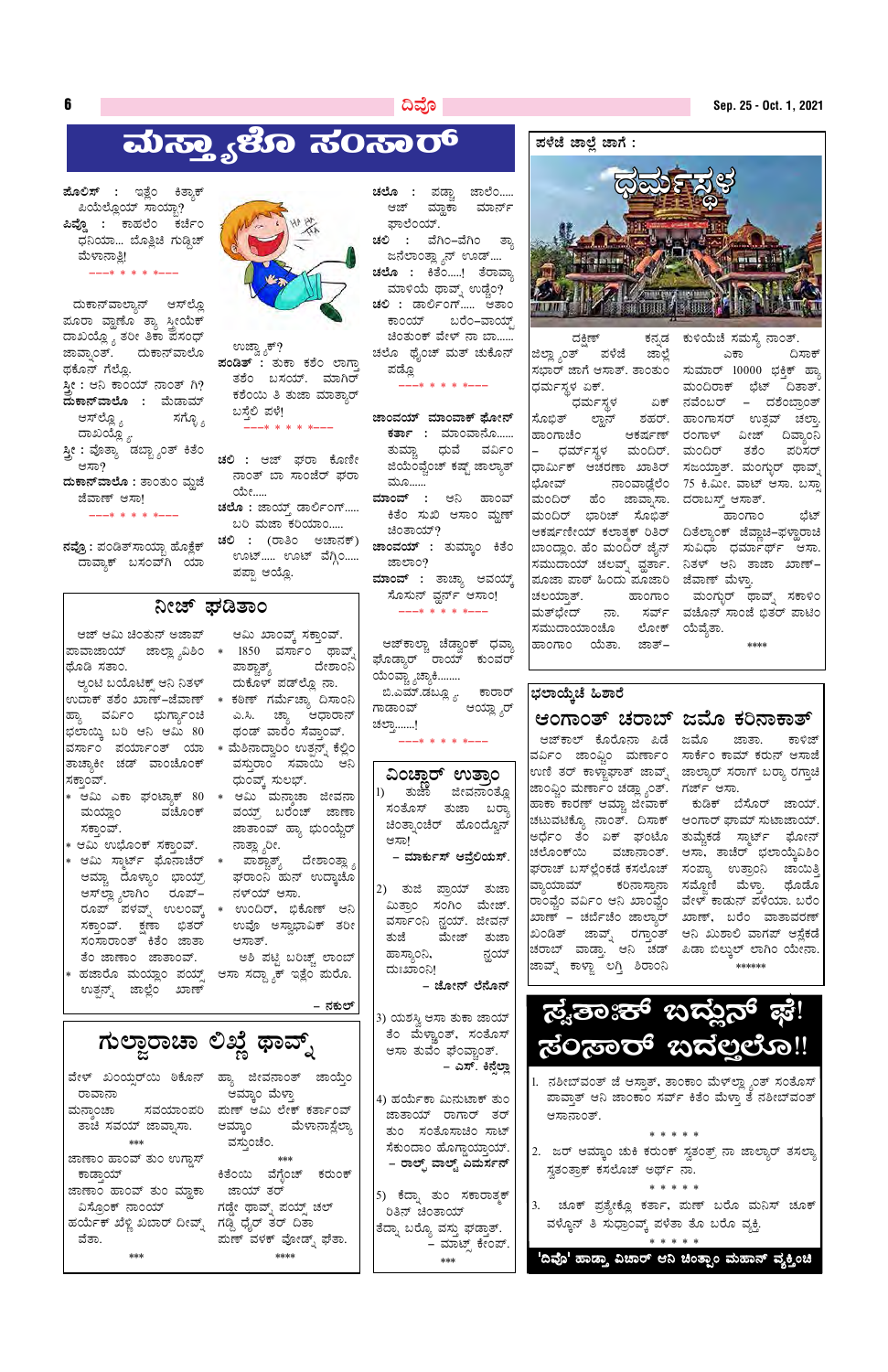### ದಿವೊ

# ಮಸ್ತ್ಯಾಳೊ ಸಂಸಾರ್

**ಮೊಲಿಸ್ :** ಇತ್ಲೆಂ ಕಿತ್ಯಾಕ್ ಪಿಯೆಲ್ಲೊಯ್ ಸಾಯ್ಬಾ? ಪಿವ್ಡೊ : ಕಾಹಲೆಂ ಕರ್ಚೆಂ ಧನಿಯಾ... ಬೊತ್ಲಿಚಿ ಗುಡ್ಗಿಚ್ ಮೆಳಾನಾತಿ! ---\* \* \* \* \*

 $\boldsymbol{6}$ 

ದುಕಾನ್ಎಾಲ್ಯಾನ್ ಆಸ್ಲ್ಡೂ ಮೂರಾ ವ್ಹಾಣೊ ತ್ಯಾ ಸ್ತ್ರೀಯೆಕ್ ದಾಖಯ್ಲ್ಯೊ ತರೀ ತಿಕಾ ಪಸಂಧ್ ಜಾವ್ನಾಂತ್. ದುಕಾನ್ವಾಲೊ ಥಕೊನ್ ಗೆಲ್ಲೊ. ಸ್ತೀ : ಆನಿ ಕಾಂಯ್ ನಾಂತ್ ಗಿ? **ದುಕಾನ್**ವಾಲೊ : ಮೆಡಾಮ್ ಸಗ್ಳೊ <sub>ಶಿ</sub> ಆಸ್**ಲ್ಲೊ** <sub>ಬಿ</sub> ದಾಖಯ್ಲ್ಯೋ ಸ್ತ್ರೀ : ವೊತ್ಯಾ ಡಬ್ಬ್ಯಾಂತ್ ಕಿತೆಂ ಆಸಾ? ದುಕಾನ್**ವಾಲೊ :** ತಾಂತುಂ ಮ್ಲಜೆ

ಜೆವಾಣ್ ಆಸಾ!  $---* * * * * * ---$ 

ನವ್ರೊ : ಪಂಡಿತ್ಸಾಯ್ಬಾ ಹೊಕ್ಲೆಕ್ ದಾವ್ಯಾಕ್ ಬಸಂವ್ಗ ಯಾ



ಉಜ್ಞ್ಗಾಕ್? ಪಂಡಿತ್ : ತುಕಾ ಕಶೆಂ ಲಾಗ್ತಾ ತಶೆಂ ಬಸಯ್. ಮಾಗಿರ್ ಕಶೆಂಯಿ ತಿ ತುಜಾ ಮಾತ್ತಾರ್ ಬಸ್ತೆಲಿ ಪಳೆ! \* \* \* \* \*

**ಚಲಿ :** ಆಜ್ ಘರಾ ಕೊಣೀ ನಾಂತ್ ಬಾ ಸಾಂಜೆರ್ ಘರಾ ಯೇ..... ಚಲೊ : ಜಾಯ್ಸ್ ಡಾರ್ಲಿಂಗ್..... ಬರಿ ಮಜಾ ಕರಿಯಾಂ..... ಚಲಿ : (ರಾತಿಂ ಅಚಾನಕ್) ಊಟ್..... ಊಟ್ ವೆಗ್ಗಿಂ..... ಪಪ್ಪಾ ಆಯ್ಲೊ.

# ನೀಜ್ ಫಡಿತಾಂ

ಆಜ್ ಆಮಿ ಚಿಂತುನ್ ಅಜಾಪ್ ಥೊಡಿ ಸತಾಂ.

ಆ್ಯಂಟಿ ಬಯೊಟಿಕ್ಸ್ ಆನಿ ನಿತಳ್ ಹ್ಯಾ ವರ್ವಿಂ ಭುರ್ಗ್ಯಾಂಚಿ ಭಲಾಯ್ಕಿ ಬರಿ ಆನಿ ಆಮಿ 80 ವರ್ಸಾಂ ಪರ್ಯಾಂತ್ ಯಾ  $\ast$  ಮೆಶಿನಾದ್ವಾರಿಂ ಉತ್ಪನ್ನ್ ಕೆಲ್ಲಿಂ ತಾಚ್ಯಾಕೀ ಚಡ್ ವಾಂಚೊಂಕ್ ಸಕ್ತಾಂವ್.

- \* ಆಮಿ ಎಕಾ ಘಂಟ್ಯಾಕ್ 80 \* ಆಮಿ ಮನ್ತಾಚಾ ಜೀವನಾ ಮಯ್ಲಾಂ ವಚೊಂಕ್ ಸಕ್ತಾಂವ್.
- \* ಆಮಿ ಉಭೊಂಕ್ ಸಕ್ತಾಂವ್.
- ಆಮ್ಚಾ ದೊಳ್ಯಾಂ ಭಾಯ್ರ್ ಅಸ್ಪಶ್ಯಾಲಾಗಿಂ ರೂಪ್– ಸಕ್ತಾಂವ್. ಕ್ಷಣಾ ಭಿತರ್ ಸಂಸಾರಾಂತ್ ಕಿತೆಂ ಜಾತಾ ತೆಂ ಜಾಣಾಂ ಜಾತಾಂವ್.
- ಉತ್ಪನ್ನ್ ಜಾಲ್ಲೆಂ ಖಾಣ್

ಆಮಿ ಖಾಂವ್ಕ್ ಸಕ್ತಾಂವ್. ಪಾಶ್ಚಾತ್ಯ್ ದೇಶಾಂನಿ ದುಕೊಳ್ ಪಡ್ಲ್ಲೂ ನಾ.

- ಎ.ಸಿ. ಚ್ಯಾ ಆಧಾರಾನ್ ಥಂಡ್ ವಾರೆಂ ಸೆವ್ತಾಂವ್.
- ವಸ್ತುರಾಂ ಸವಾಯಿ ಆನಿ ಧುಂವ್ಕ್ ಸುಲಭ್.
- ವಯ್ರ್ ಬರೆಂಚ್ ಜಾಣಾ ಜಾತಾಂವ್ ಹ್ಯಾ ಭುಂಯ್ಚೆರ್ ನಾತ್ಲ್ಸಾರೀ.
- ಆಮಿ ಸ್ಮಾರ್ಟ್ ಘೊನಾಚೆರ್ \* ಪಾಶ್ಚಾತ್ಯ್ ದೇಶಾಂತ್ಲ್ಯಾ ಘರಾಂನಿ ಹುನ್ ಉದ್ತಾಚೊ ನಳ್ಯ್ ಆಸಾ.
- ಉವೊ ಅಸ್ವಾಭಾವಿಕ್ ತರೀ ಆಸಾತ್.

ಅಶಿ ಪಟ್ಟಿ ಬರಿಚ್ಚ್ ಲಾಂಬ್ ಹಜಾರೊ ಮಯ್ಲಾಂ ಪಯ್ಸ್ ಆಸಾ ಸದ್ದ್ಯಾಕ್ ಇತ್ಲೆಂ ಮರೊ.

ಚಲೊ : ಪಡ್ಚಾ ಜಾಲೆಂ..... ಆಜ್ ಮ್ಲಾಕಾ ಮಾರ್ನ್ ಫಾಲೆಂಯ್.

ಚಲಿ : ವೆಗಿಂ–ವೆಗಿಂ ತ್ತಾ ಜನೆಲಾಂತ್ಲ್ಯಾನ್ ಊಡ್.... ಚಲೊ : ಕಿತೆಂ.....! ತೆರಾವ್ತಾ ಮಾಳಿಯೆ ಥಾವ್ನ್ ಉಡ್ಚೆಂ? ಚಲಿ : ಡಾರ್ಲಿಂಗ್..... ಆತಾಂ ಕಾಂಯ್ ಬರೆಂ–ವಾಯ್ಸ್ ಚಿಂತುಂಕ್ ವೇಳ್ ನಾ ಬಾ...... ಚಲೊ ಥೈಂಚ್ ಮತ್ ಚುಕೊನ್ ಪಡ್ಲೊ

 $---* * * * * * ---$ 

ಜಾಂವಯ್ ಮಾಂವಾಕ್ ಫೋನ್ **ಕರ್ತಾ :** ಮಾಂವಾನೊ...... ತುಮ್ಚಾ ಧುವೆ ವರ್ವಿಂ ಜಿಯೆಂವ್ವೆಂಚ್ ಕಷ್ಟ್ ಜಾಲ್ಯಾತ್ ಮೂ...... ಮಾಂವ್ : ಆನಿ ಹಾಂವ್ ಕಿತೆಂ ಸುಖಿ ಆಸಾಂ ಮ್ದಣ್ ಚಿಂತಾಯ್? **ಜಾಂವಯ್ :** ತುಮ್ಕಾಂ ಕಿತೆಂ ಜಾಲಾಂ? <mark>ಮಾಂವ್ :</mark> ತಾಚ್ಯಾ ಆವಯ್ಕ್ ಸೊಸುನ್ ವ್ಲರ್ನ್ ಆಸಾಂ!

---\* \* \* \* \*--

ಆಜ್ $\bar{\bm{\tau}}$ ಕಾಲ್ಚಾ ಚೆಡ್ವಾಂಕ್ ಧವ್ಯಾ ಘೊಡ್ತಾರ್ ರಾಯ್ ಕುಂವರ್ ಯೆಂವ್ಚ್ಯಾಚ್ಯಾಕಿ........ ಬಿ.ಎಮ್.ಡಬ್ಲ್ಯೂ ಕಾರಾರ್ ಗಾಡಾಂವ್ ಆಯ್ಲ್ಸ್ನಾರ್ ಚಲ್ಯಾ.......!

-\* \* \* \* \*---

| ವಿಂಚಾರ್      |                        | ಉತ್ತಾಂ     |
|--------------|------------------------|------------|
| 1) ತುಜಾ      |                        | ಜೀವನಾಂತ್ಲೊ |
| ಸಂತೊಸ್       |                        | ತುಜಾ ಬರ್ಾ  |
| ಚಿಂತ್ನಾಂಚೆರ್ |                        | ಹೊಂದ್ವೊನ್  |
| ಆಸಾ!         |                        |            |
|              | – ಮಾರ್ಕುಸ್ ಆವ್ರೆಲಿಯಸ್. |            |
|              |                        |            |
| 2) ತುಜಿ      | ಪ್ರಾಯ್                 | ತುಜಾ       |
| ಮಿತ್ರಾಂ      | ಸಂಗಿಂ                  | ಮೇಜ್.      |
| ವರ್ಸಾಂನಿ     | ನ್ಞಯ್.                 | ಜೀವನ್      |

ಮೇಜ್ ತುಜಾ ತುಜೆ ಹಾಸ್ಯಾಂನಿ, ನ್ಹಯ್ ದುಃಖಾಂನಿ!

– ಜೋನ್ ಲೆನೊನ್

#### ಪಳೆಜೆ ಜಾಲ್ಲೆ ಜಾಗೆ :



ಜಿಲ್ಲ್ಯಾಂತ್ ಪಳೆಜೆ ಜಾಲ್ಲೆ ಸಭಾರ್ ಜಾಗೆ ಆಸಾತ್. ತಾಂತುಂ ಸುಮಾರ್ 10000 ಭಕ್ತಿಕ್ ಹ್ಯಾ ಧರ್ಮಸ್ಥಳ ಏಕ್. ಧರ್ಮಸ್ಥಳ ಸೊಭಿತ್ ಲ್ಲಾನ್ ಶಹರ್. ಹಾಂಗಾಸರ್ ಉತ್ಸವ್ ಚಲ್ರಾ ಹಾಂಗಾಚೆಂ ಆಕರ್ಷಣ್ ರಂಗಾಳ್ ವೀಜ್ ದಿವ್ಯಾಂನಿ – ಧರ್ಮ್ಸಸ್ಥಳ ಮಂದಿರ್. ಮಂದಿರ್ ತಶೆಂ ಪರಿಸರ್ ಧಾರ್ಮಿಕ್ ಆಚರಣಾ ಖಾತಿರ್ ಸಜಯ್ತಾತ್. ಮಂಗ್ಬುರ್ ಥಾವ್ಶ್ ಭೋವ್ ನಾಂವಾಡ್ದೆಲೆಂ 75 ಕಿ.ಮೀ. ವಾಟ್ ಆಸಾ. ಬಸ್ತಾ ಮಂದಿರ್ ಹೆಂ ಜಾವ್ಶಾಸಾ. ದರಾಬಸ್ತ್ ಆಸಾತ್. ಮಂದಿರ್ ಭಾರಿಚ್ ಸೊಭಿತ್ ಪೂಜಾ ಪಾಠ್ ಹಿಂದು ಪೂಜಾರಿ ಜೆವಾಣ್ ಮೆಳ್ತಾ. ಚಲಯ್ತಾತ್. ಸಮುದಾಯಾಂಚೊ ಲೋಕ್ ಯೆವ್ನೆತಾ. ಹಾಂಗಾಂ ಯೆತಾ. ಜಾತ್–

ಕನ್ನಡ ಕುಳಿಯೆಚೆ ಸಮಸ್ಯೆ ನಾಂತ್. ಎಕಾ ದಿಸಾಕ್ ಮಂದಿರಾಕ್ ಭೆಟ್ ದಿತಾತ್ ಏಕ್ ನವೆಂಬರ್ – ದಶೆಂಬ್ರಾಂತ್ -<br>೧೯೧೦ರಹ ಭಟ್

ಆಕರ್ಷಣೀಯ್ ಕಲಾತ್ಮಕ್ ರಿತಿರ್ ದಿತೆಲ್ನಾಂಕ್ ಜೆವ್ಲಾಚಿ–ಫಳ್ಲಾರಾಚಿ ಬಾಂದ್ಲಾಂ. ಹೆಂ ಮಂದಿರ್ ಜೈನ್ ಸುವಿಧಾ ಧರ್ಮಾರ್ಥ್ ಆಸಾ. ಸಮುದಾಯ್ ಚಲವ್ನ್ ವ್ಹರ್ತಾ. ನಿತಳ್ ಆನಿ ತಾಜಾ ಖಾಣ್– ಹಾಂಗಾಂ ಮಂಗ್ಬುರ್ ಥಾವ್ನ್ ಸಕಾಳಿಂ ಮತ್ಭೇದ್ ನಾ. ಸರ್ವ್ ವಚೊನ್ $\,$ ಸಾಂಜೆ $\,$ ಭಿತರ್ $\,$ ಪಾಟಿಂ \*\*\*\*

# ಭಲಾಯ್ತೆಚೆ ಹಿಶಾರೆ ಆಂಗಾಂತ್ ಚರಾಬ್ ಜಮೊ ಕರಿನಾಕಾತ್

ಆಜ್**ಕಾಲ್ ಕೊರೊನಾ ಪಿಡೆ ಜಮೊ** ಜಾಂಫ್ಡಿಂ ಮರ್ಣಾಂ ಚಡ್ಲ್ಯಾಂತ್. ಗರ್ಜ್ ಆಸಾ. ಹಾಕಾ ಕಾರಣ್ ಆಮ್ಚಾ ಜೀವಾಕ್ ಚಟುವಟಿಕ್<mark>ಯೊ</mark> ನಾಂತ್. ದಿಸಾಕ್ ಆಂಗಾರ್ ಘಾಮ್ ಸುಟಾಜಾಯ್. ಅರ್ಧೆಂ ತೆಂ ಏಕ್ ಘಂಟೊ ತುಮ್ಕೆಕಡೆ ಸ್ಮಾರ್ಟ್ ಘೋನ್ ಚಲೊಂಕ್ಯ ವಚಾನಾಂತ್. ಆಸಾ, ತಾಚೆರ್ ಭಲಾಯ್ಕೆವಿಶಿಂ ಘರಾಚ್ ಬಸ್<sup></sup>ಲ್ಲೆಂಕಡೆ ಕಸಲೊಚ್ ಸಂಪ್ಯಾ ಉತ್ರಾಂನಿ ಜಾಯಿತ್ತಿ ವ್ಯಾಯಾಮ್ ಕರಿನಾಸ್ತಾನಾ ಸಮ್ಜೊಣಿ ಮೆಳ್ತಾ. ಥೊಡೊ ರಾಂವ್ಕೆಂ ವರ್ವಿಂ ಆನಿ ಖಾಂವ್ಕೆಂ ವೇಳ್ ಕಾಡುನ್ ಪಳೆಯಾ. ಬರೆಂ ಖಾಣ್ – ಚರ್ಬೆಚೆಂ ಜಾಲ್ತಾರ್ ಖಾಣ್, ಬರೆಂ ವಾತಾವರಣ್ ಖಂಡಿತ್ ಜಾವ್ನ್ ರಗ್ತಾಂತ್ ಆನಿ ಖುಶಾಲಿ ವಾಗಪ್ ಆಸ್ಲೆಕಡೆ ಚರಾಬ್ ವಾಡ್ತಾ. ಆನಿ ಚಡ್ ಪಿಡಾ ಬಿಲ್ಕುಲ್ ಲಾಗಿಂ ಯೇನಾ. ಜಾವ್ನ್ ಕಾಳ್ಜಾ ಲಗ್ತಿ ಶಿರಾಂನಿ

ಜಾತಾ. ಕಾಳಿಜ್ ವರ್ವಿಂ ಜಾಂ<u>ಫ್ಲಿಂ</u> ಮರ್ಣಾಂ ಸಾರ್ಕೆಂ ಕಾಮ್ ಕರುನ್ ಆಸಾ<mark>ಜೆ</mark> ಉಣಿ ತರ್ ಕಾಳ್ಣಾಘಾತ್ ಜಾವ್ನ್ ಜಾಲ್ಯಾರ್ ಸರಾಗ್ ಬರ್ರ್ಯಾ ರಗ್ತಾಚಿ

> ಕುಡಿಕ್ ಬೆಸೊರ್ ಜಾಯ್. \*\*\*\*\*\*

 $\mathbf{F}$ **R**  $\sim$   $\sim$   $\sim$   $\sim$   $\sim$ 

| – ನಕುಲ್                                                                                                                                                                                                                                                                                                                                                                                                                                                                                                                                                                             | 3) ಯಶಸ್ತಿ ಆಸಾ ತುಕಾ ಜಾಯ್                                                                                                                                                                                                              | ್ಟೌತಾಃಕ್ ಬದ್ದುನ್ ಫೆ!                                                                                                                                                                                                                                                                                                                                                     |
|-------------------------------------------------------------------------------------------------------------------------------------------------------------------------------------------------------------------------------------------------------------------------------------------------------------------------------------------------------------------------------------------------------------------------------------------------------------------------------------------------------------------------------------------------------------------------------------|--------------------------------------------------------------------------------------------------------------------------------------------------------------------------------------------------------------------------------------|--------------------------------------------------------------------------------------------------------------------------------------------------------------------------------------------------------------------------------------------------------------------------------------------------------------------------------------------------------------------------|
| ಗುಲ್ಜಾರಾಚಾ ಲಿಖ್ಞೆ ಥಾವ್ನ್                                                                                                                                                                                                                                                                                                                                                                                                                                                                                                                                                            | ತೆಂ ಮೆಳ್ಣಾಂತ್, ಸಂತೊಸ್ <br>ಆಸಾ ತುವೆಂ ಫೆಂವ್ಚಾಂತ್.<br>– ಎಸ್. ಕಿನ್ಸೆಲ್ಲಾ                                                                                                                                                                 | ್ದರಂತಾರ್ ಇದಲ್ಲಲೊ‼                                                                                                                                                                                                                                                                                                                                                        |
| ಹ್ಯಾ ಜೀವನಾಂತ್ ಜಾಯ್ತೆಂ<br>ವೇಳ್ ಖಂಯ್ಸರ್ಯಿ ಠಿಕೊನ್<br>ಆಮ್ಕಾಂ ಮೆಳ್ತಾ<br>ರಾವಾನಾ<br>ಮಣ್ ಆಮಿ ಲೇಕ್ ಕರ್ತಾಂವ್<br>ಮನಾಂಚಾ ಸವಯಾಂಪರಿ<br>ತಾಚೆ ಸವಯ್ ಜಾವ್ಸಾಸಾ. ಆಮ್ತಾಂ   ಮೆಳಾನಾಸ್ಲೆಲ್ಯಾ<br>ವಸ್ತುಂಚೆಂ.<br>***<br>ಜಾಣಾಂ ಹಾಂವ್ ತುಂ ಉಗ್ಗಾಸ್<br>***<br>ಕಿತೆಂಯಿ ವೆಗ್ಲೆಂಚ್ ಕರುಂಕ್<br><u>ಕಾಡಾಯ್ ರಾಜ್ಯ ಮಾಡಿದ ಮಾಡಿದ ಮಾಡಿದ ಮಾಡಿದ ಮಾಡಿದ ಮಾಡಿದ ಮಾಡಿದ ಮಾಡಿದ ಮಾಡಿದ ಮಾಡಿದ ಮಾಡಿದ ಮಾಡಿದ ಮಾಡಿದ ಮಾಡಿದ ಮಾಡಿದ ಮಾಡಿದ </u><br>ಜಾಯ್ ತರ್<br>ಜಾಣಾಂ ಹಾಂವ್ ತುಂ ಮ್ಲಾಕಾ<br>ವಿಸ್ರೊಂಕ್ ನಾಂಯ್               ಗಡ್ಡೇ ಥಾವ್ನ್ ಪಯ್ಸ್ ಚಲ್<br>ಹರ್ಯೆಕ್ ಖೆಳ್ಣಿ ಖಬಾರ್ ದೀವ್ನ್ ಗಡ್ಗಿ ಧೈರ್ ತರ್ ದಿತಾ<br>ಮಣ್ ವಳಕ್ ವೋಡ್ನ್ ಘೆತಾ.<br>ವೆತಾ.<br>$***$<br>**** | 4) ಹರ್ಯೆಕಾ ಮಿನುಟಾಕ್ ತುಂ<br>ಜಾತಾಯ್ ರಾಗಾರ್ ತರ್<br>ತುಂ ಸಂತೊಸಾಚಿಂ ಸಾಟ್  <br>ಸೆಕುಂದಾಂ ಹೊಗ್ಗಾಯಾಯ್.  <br>– ರಾಲ್ಷ್ ವಾಲ್ಟ್ ಎಮರ್ಸನ್<br> 5) ಕೆದ್ನಾ ತುಂ ಸಕಾರಾತ್ಮಕ್<br>ರಿತಿನ್ ಚಿಂತಾಯ್<br> ತೆದ್ನಾ ಬರ್ರ್ಯೊ ವಸ್ತು ಘಡ್ತಾತ್.<br>– ಮಾಟ್ಸ್ ಕೇಂಪ್.<br>*** | 1. ನಶೀಬ್ವಂತ್ ಜೆ ಆಸ್ತಾತ್, ತಾಂಕಾಂ ಮೆಳ್ಲ್ಲ್ಯಾಂತ್ ಸಂತೊಸ್<br>ಪಾವಾತ್ ಆನಿ ಜಾಂಕಾಂ ಸರ್ವ್ ಕಿತೆಂ ಮೆಳ್ತಾ ತೆ ನಶೀಬ್ವಂತ್<br>ಆಸಾನಾಂತ್.<br>2. ಜರ್ ಆಮ್ಕಾಂ ಚುಕಿ ಕರುಂಕ್ ಸ್ವತಂತ್ರ್ ನಾ ಜಾಲ್ಯಾರ್ ತಸಲ್ಯಾ<br>ಸ್ತತಂತ್ರಾಕ್ ಕಸಲೊಚ್ ಅರ್ಥ್ ನಾ.<br>3.  ಚೂಕ್ ಪ್ರತ್ಯೇಕ್ಲೊ ಕರ್ತಾ, ಮಣ್ ಬರೊ ಮನಿಸ್ ಚೂಕ್<br>ವಳ್ಕೊನ್ ತಿ ಸುಧ್ರಾಂವ್ಕ್ ಪಳೆತಾ ತೊ ಬರೊ ವ್ಯಕ್ತಿ.<br>'ದಿವೊ' ಹಾಡ್ತಾ ವಿಚಾರ್ ಆನಿ ಚಿಂತ್ಪಾಂ ಮಹಾನ್ ವ್ಯಕ್ತಿಂಚಿ |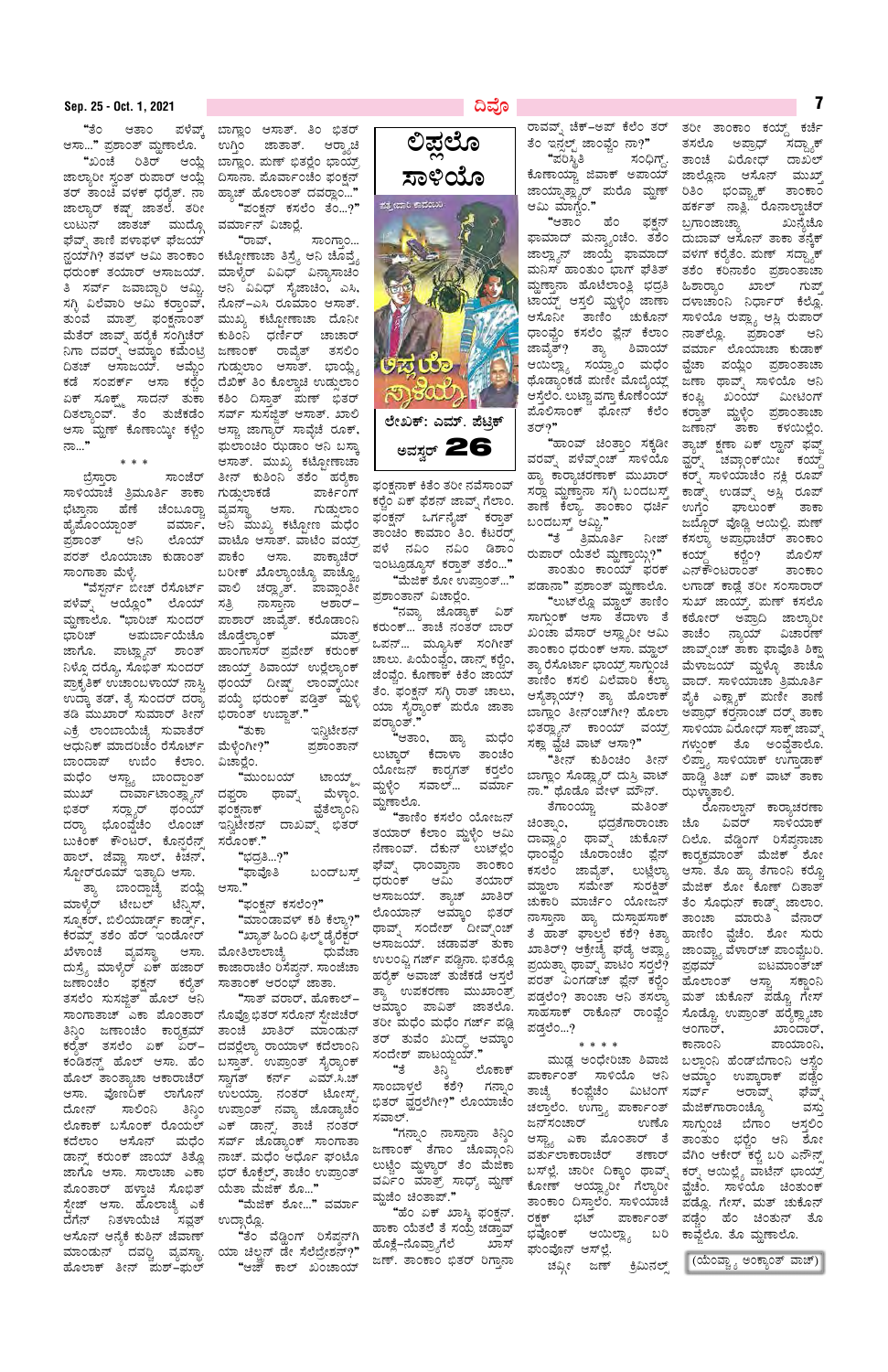ಪಳೆವ್ಕ್ "ತೆಂ ಆತಾಂ ಆಸಾ..." ಪ್ರಶಾಂತ್ ಮೃಣಾಲೊ.

ತರ್ ತಾಂಚಿ ವಳಕ್ ಧರ್ುತ್. ನಾ ಜಾಲ್ಯಾರ್ ಕಷ್ಟ್ ಜಾತಲೆ. ತರೀ ಲುಟುನ್ ಜಾತಚ್ ಮುದ್ಗೊ ಘೆವ್ಸ್ ತಾಣಿ ಪಳಾಫಳ್ ಘೆಜಯ್ ತುಂವೆ ಮಾತ್ರ್ ಫಂಕ್ಷನಾಂತ್ ನಿಗಾ ದವರ್ೃ ಆಮ್ಕಾಂ ಕಮೆಂಟ್ರಿ ಜಣಾಂಕ್ ರಾವ್ಯೆತ್ ನಾ…"

ಬ್ರೆಸ್ತಾರಾ ಸಾಳಿಯಾಚೆ ತ್ರಿಮೂರ್ತಿ ತಾಕಾ ಗುಡ್ಡುಲಾಕಡೆ ಭೆಟ್ತಾನಾ ಹೆಣೆ ಚೆಂಬೂರ್ರ್ಚಾ ಹೈಪೊಂಯ್ರಾಂತ್ ವರ್ಮಾ, ಪ್ರಶಾಂತ್ ಆನಿ ಲೊಯ್ ಪರತ್ ಲೊಯಾಚಾ ಕುಡಾಂತ್ ಸಾಂಗಾತಾ ಮೆಳ್ಳೆ.

"ವೆಸ್ಟರ್ನ್ ಬೀಚ್ ರೆಸೊರ್ಟ್ ಪಳೆವ್ನ್ ಆಯ್ಲೊಂ" ಲೊಯ್ ಮ್ದಣಾಲೊ. "ಭಾರಿಚ್ ಸುಂದರ್ ಭಾರಿಚ್ ಅಮರ್ಬಾಯೆಚೊ ಜೊಡ್ಗೆಲ್ಯಾಂಕ್ ನಿಳ್ನೊ ದರ್ರೊ, ಸೊಭಿತ್ ಸುಂದರ್ ಉದ್ಕಾ ತಡ್, ತ್ಯೆ ಸುಂದರ್ ದರ್ರಾ ತಡಿ ಮುಖಾರ್ ಸುಮಾರ್ ತೀನ್ ಎಕ್ರೆ ಲಾಂಬಾಯೆಚ್ಯೆ ಸುವಾತೆರ್ ಆಧುನಿಕ್ ಮಾದರಿಚೆಂ ರೆಸೊರ್ಟ್ ಬಾಂದಾಪ್ ಉಬೆಂ ಕೆಲಾಂ. ಮಧೆಂ ಆಸ್ಟ್ಯಾ ಬಾಂದ್ಪಾಂತ್ ಮುಖ್ ದಾರ್ವಾಟಾಂತ್ಲ್ಯಾನ್ ದಫ್ತರಾ ಭಿತರ್ ಸರ್ರ್ಜಾರ್ ಥಂಯ್ ದರ್ರ್ಯಾ ಭೊಂವ್ಡೆಚೆಂ ಲೊಂಚ್ ಬುಕಿಂಕ್ ಕೌಂಟರ್, ಕೊನ್ಸರೆನ್ಸ್ ಹಾಲ್, ಜೆವ್ಲಾ ಸಾಲ್, ಕಿಚನ್, ಸ್ಪೋರ್ರೂಮ್ ಇತ್ಯಾದಿ ಆಸಾ.

ಪಯ್ಲೆ ತ್ಯಾ ಬಾಂದ್ರಾಚ್ನೆ ಮಾಳ್ತೆರ್ ಟೇಬಲ್ ಟೆನ್ಸಿಸ್, ಸ್ಪೂಕರ್, ಬಿಲಿಯಾರ್ಡ್ ಕಾರ್ಡ್, ಕೆರಮ್ಸ್ ತಶೆಂ ಹೆರ್ ಇಂಡೋರ್ ವ್ಯವಸ್ಥಾ ಆಸಾ. ಮೋತಿಲಾಲಾಚ್ಯೆ ಖೆಳಾಂಚೆ ದುಸ್ರೈ ಮಾಳ್ಯೆರ್ ಏಕ್ ಹಜಾರ್ ಜಣಾಂಚೆಂ ಫಕ್ಷನ್ ಕರ್೦ತ್ ತಸಲೆಂ ಸುಸಜ್ಜಿತ್ ಹೊಲ್ ಆನಿ ಸಾಂಗಾತಾಚ್ ಎಕಾ ಮೊಂತಾರ್ ನೊವ್ರೊಭಿತರ್ ಸರೊನ್ ಸ್ಟೇಜಿಚರ್ ಕಂಡಿಶನ್ಡ್ ಹೊಲ್ ಆಸಾ. ಹೆಂ ಬಸ್ತಾತ್. ಉಪ್ರಾಂತ್ ಸೈರ್ರ್ಯಾಕ್ ಹೊಲ್ ತಾಂತ್ಯಾಚಾ ಆಕಾರಾಚೆರ್ ಸ್ವಾಗತ್ ಕರ್ನ್ ಎಮ್.ಸಿ.ಚ್ ಆಸಾ. ವೊಣದಿಕ್ ಲಾಗೊನ್ ಉಲಯ್ತಾ. ನಂತರ್ ಟೋಸ್ಟ್. ದೋನ್ ಸಾಲಿಂನಿ ತಿನ್ನಿಂ ಉಪ್ರಾಂತ್ ನವ್ಯಾ ಜೊಡ್ಯಾಚೆಂ ಲೊಕಾಕ್ ಬಸೊಂಕ್ ರೊಯಲ್ ಎಕ್ ಡಾನ್ಸ್. ತಾಚೆ ನಂತರ್ ಕದೆಲಾಂ ಆಸೊನ್ ಮಧೆಂ ಸರ್ವ್ ಜೊಡ್ಯಾಂಕ್ ಸಾಂಗಾತಾ ಡಾನ್ಸ್ ಕರುಂಕ್ ಜಾಯ್ ತಿತ್ಲೊ ನಾಚ್. ಮಧೆಂ ಅರ್ಧೊ ಘಂಟೊ ಜಾಗೊ ಆಸಾ. ಸಾಲಾಚಾ ಎಕಾ ಭರ್ ಕೊಕ್ಟೆಲ್ಸ್ ತಾಚೆಂ ಉಪ್ರಾಂತ್ ಪೊಂತಾರ್ ಹಳ್ತಾಚಿ ಸೊಭಿತ್ ಯೆತಾ ಮೆಜಿಕ್ ಶೊ..." ಸ್ಟೇಜ್ ಆಸಾ. ಹೊಲಾಚ್ಯೆ ಎಕೆ "ಮೆಜಿಕ್ ಶೋ..." ವರ್ಮಾ ದೆಗೆನ್ ನಿತಳಾಯೆಚಿ ಸವ್ಲತ್ ಉದ್ಗಾರ್ರೊ. ಮಾಂಡುನ್ ದವರ್ಣಿ ವ್ಯವಸ್ಥಾ. ಯಾ ಚಿಲ್ಡನ್ ಡೇ ಸೆಲೆಬ್ರೇಶನ್?" ಹೊಲಾಕ್ ತೀನ್ ಮಶ್–ಘುಲ್ "ಆಜ್ ಕಾಲ್ ಖಂಚಾಯ್

ಬಾಗ್ಲಾಂ ಆಸಾತ್. ತಿಂ ಭಿತರ್ ಉಗ್ಗಿಂ ಜಾತಾತ್. ಆರ್ರ್ಯಾಚಿ "ಖಂಚೆ ರಿತಿರ್ ಆಯ್ಲೆ ಬಾಗ್ಲಾಂ. ಮಣ್ ಭಿತರ್ರೆಂ ಭಾಯ್ರ್ ಜಾಲ್ತಾರೀ ಸ್ತಂತ್ ರುಪಾರ್ ಆಯ್ಲೆ ದಿಸಾನಾ. ಮೊರ್ವಾಂಚೆಂ ಫಂಕ್ಷನ್ ಹ್ಯಾಚ್ ಹೊಲಾಂತ್ ದವರ್ರಾಂ..."<br>"ಪಂಕ್ಷನ್ ಕಸಲೆಂ ತೆಂ...?" ವರ್ಮಾನ್ ವಿಚಾರ್ರ್ಲೆ

"ರಾವ್, ಸಾಂಗ್ತಾಂ... ನ್ಹಯ್ಗೆ? ತವಳ್ ಆಮಿ ತಾಂಕಾಂ ಕಟ್ಟೋಣಾಚಾ ತಿಸ್ತ್ಯೆ ಆನಿ ಚೊವ್ತೈ ಧರುಂಕ್ ತಯಾರ್ ಆಸಾಜಯ್. ಮಾಳ್ಯೆರ್ ವಿವಿಧ್ ವಿನ್ಯಾಸಾಚಿಂ ತಿ ಸರ್ವ್ ಜವಾಬ್ದಾರಿ ಆಮ್ಚಿ. ಆನಿ ವಿವಿಧ್ ಸೈಜಾಚಿಂ, ಎಸಿ, ಸಗ್ಗಿ ವಿಲೆವಾರಿ ಆಮಿ ಕರ್ರಾವ್, ನೊನ್–ಎಸಿ ರೂಮಾಂ ಆಸಾತ್. ಮುಖ್ಯ ಕಟ್ಟೋಣಾಚಾ ದೊನೀ ಮೆತೆರ್ ಜಾವ್ನ್ ಹರ್ರ್ಯೆ ಸಂಗ್ತಿಚೆರ್ ಕುಶಿಂನಿ ಧರ್ಣಿರ್ ಚಾಚಾರ್ ತಸಲಿಂ ದಿತಚ್ ಆಸಾಜಯ್. ಆಮ್ಲೆಂ ಗುಡ್ಸುಲಾಂ ಆಸಾತ್. ಭಾಯ್ಲ್ಯೆ ಕಡೆ ಸಂಪರ್ಕ್ ಆಸಾ ಕರ್ರೆಂ ದೆಖಿಕ್ ತಿಂ ಕೊಲ್ಲಾಚಿ ಉಡ್ತುಲಾಂ ಏಕ್ ಸೂಕ್ಷ್ಮ ಸಾದನ್ ತುಕಾ ಕಶಿಂ ದಿಸ್ತಾತ್ ಮಣ್ ಭಿತರ್ ದಿತಲ್ಯಾಂವ್. ತೆಂ ತುಜೆಕಡೆಂ ಸರ್ವ್ ಸುಸಜ್ಜಿತ್ ಆಸಾತ್.ಖಾಲಿ ಆಸಾ ಮ್ಹಣ್ ಕೊಣಾಯ್ಕೀ ಕಳ್ಚೆಂ ಆಸ್ಟಾ ಜಾಗ್ಯಾರ್ ಸಾವೈಚೆ ರೂಕ್, ಘುಲಾಂಚಿಂ ಝಡಾಂ ಆನಿ ಬಸ್ತಾ ಆಸಾತ್. ಮುಖ್ಯ ಕಟ್ಟೋಣಾಚಾ ಸಾಂಜೆರ್ ತೀನ್ ಕುಶಿಂನಿ ತಶೆಂ ಹರ್ರೈಾ ಪಾರ್ಕಿಂಗ್ ಆಸಾ. ಗುಡುಲಾಂ ವ್ಯವಸ್ಥಾ ಆನಿ ಮುಖ್ಯ ಕಟ್ಟೋಣ ಮಧೆಂ ವಾಟೊ ಆಸಾತ್. ವಾಟೆಂ ವಯ್ರ್ ಪಾಕೆಂ ಆಸಾ. ಪಾಕ್ಯಾಚೆರ್ ಬರೀಕ್ ಖೊಲ್ಯಾಂಚ್ಯೊ ಪಾಚ್ವೊ ವಾಲಿ ಚರ್ರ್ಲ್ಯಾತ್. ಪಾವ್ಸಾಂತೀ ಸತ್ರಿ ನಾಸ್ತಾನಾ ಆಶಾರ್– ಪಾಶಾರ್ ಜಾವ್ಮೆತ್. ಕರೊಡಾಂನಿ ಮಾತ್ರ್ ಜಾಗೊ. ಪಾಟ್ಲ್ಯಾನ್ ಶಾಂತ್ ಹಾಂಗಾಸರ್ ಪ್ರವೇಶ್ ಕರುಂಕ್ ಜಾಯ್ತ್ ಶಿವಾಯ್ ಉರ್ದೆಲ್ಯಾಂಕ್ ಪ್ರಾಕೃತಿಕ್ ಉಚಾಂಬಳಾಯ್ ನಾಸ್ತಿ ಥಂಯ್ ದೀಷ್ಟ್ ಲಾಂವ್ಕ್ರ್ಯ ಪಯ್ಶೆ ಭರುಂಕ್ ಪಡ್ತಿತ್ ಮ್ದಳ್ಳಿ ಭಿರಾಂತ್ ಉಬ್ಲಾತ್."

"ತುಕಾ ಇನ್ವಿಟೇಶನ್ ಮೆಳ್ಳೆಂಗೀ?" ಪ್ರಶಾಂತಾನ್ ವಿಚಾರ್ರೆ.

"ಮುಂಬಯ್ ಟಾಯ್ಮ್ಸ್ ಮೆಳ್ಳಾಂ. ಥಾವ್ನ್ ಫಂಕ್ಷನಾಕ್ ವ್ಹೆತೆಲ್ಯಾಂನಿ ಇನ್ಷಿಟೇಶನ್ ದಾಖವ್ನ್ ಭಿತರ್ ಸರೊಂಕ್."

"ಭದ್ರತಿ...?" "ಫಾವೊತಿ ಬಂದ್ಬಸ್ ಆಸಾ."

"ಫಂಕ್ಷನ್ ಕಸಲೆಂ?" "ಮಾಂಡಾವಳ್ ಕಶಿ ಕೆಲ್ನಾ?" "ಖ್ಯಾತ್ ಹಿಂದಿ ಫಿಲ್ಮ್ ಡೈರೆಕ್ಟರ್

ಧುವೆಚಾ ಕಾಜಾರಾಚೆಂ ರಿಸೆಪ್ಶನ್. ಸಾಂಜೆಚಾ ಸಾತಾಂಕ್ ಆರಂಭ್ ಜಾತಾ. "ಸಾತ್ ವರಾರ್, ಹೊಕಾಲ್–



ದಿವೊ



ಫಂಕ್ಷನಾಕ್ ಕಿತೆಂ ತರೀ ನವೆಸಾಂವ್ ಕರ್ರೆಂ ಏಕ್ ಫೆಶನ್ ಜಾವ್ನ್ ಗೆಲಾಂ. ಫಂಕ್ಷನ್ ಒರ್ಗನೈಜ್ ಕರ್ರಾತ್ ತಾಂಚಿಂ ಕಾಮಾಂ ತಿಂ. ಕೆಟರರ್ ಪಳೆ ನವಿಂ ನವಿಂ ಡಿಶಾಂ ಇಂಟ್ರೂಡ್ಯೂಸ್ ಕರ್ರಾತ್ ತಶೆಂ..." "ಮೆಜಿಕ್ ಶೋ ಉಪ್ರಾಂತ್…" ಪ್ರಶಾಂತಾನ್ ವಿಚಾರ್ರ್ಲೆ.

"ನವ್ಯಾ ಜೊಡ್ಯಾಕ್ ವಿಶ್ ಕರುಂಕ್... ತಾಚೆ ನಂತರ್ ಬಾರ್ ಒಪನ್... ಮ್ಯೂಸಿಕ್ ಸಂಗೀತ್ ಚಾಲು. ಪಿಯೆಂವ್ಚೆಂ, ಡಾನ್ಸ್ ಕರ್ರೈಂ, ಜೆಂವ್ವೆಂ. ಕೊಣಾಕ್ ಕಿತೆಂ ಜಾಯ್ ತೆಂ. ಫಂಕ್ಷನ್ ಸಗ್ಳಿ ರಾತ್ ಚಾಲು, ಯಾ ಸೈರ್ರ್ಯಾಕ್ ಮರೊ ಜಾತಾ ಪರ್ಾಂತ್."

ಿ.<br>"ಆತಾಂ, ಹ್ಯಾ ಮಧೆಂ ಲುಟ್ತಾರ್ ಕೆದಾಳಾ ತಾಂಚೆಂ ಯೋಜನ್ ಕಾರ್ರಗತ್ ಕರ್ರಲಿಂ ಮ್ದಳ್ಳೆಂ ಸವಾಲ್… ವರ್ಮಾ ಮ್ದಣಾಲೊ.

"ತಾಣಿಂ ಕಸಲೆಂ ಯೋಜನ್ ತಯಾರ್ ಕೆಲಾಂ ಮ್ದಳ್ಳೆಂ ಆಮಿ ನೆಣಾಂವ್. ದೆಕುನ್ ಲುಟ್ಲ್ಲೆಂ ಘೆವ್ನ್ ಧಾಂವ್ತಾನಾ ತಾಂಕಾಂ ಧರುಂಕ್ ಆಮಿ ತಯಾರ್ ಆಸಾಜಯ್. ತ್ಯಾಚ್ ಖಾತಿರ್ ಲೊಯಾನ್ ಆಮ್ಕಾಂ ಭಿತರ್ ಥಾವ್ನ್ ಸಂದೇಶ್ ದೀವ್ನ್ಂಚ್ ಆಸಾಜಯ್. ಚಡಾವತ್ ತುಕಾ ಉಲಂವ್ಚಿ ಗರ್ಜ್ ಪಡ್ಚಿನಾ. ಭಿತರ್ರೊ ಹರೈಕ್ ಅವಾಜ್ ತುಜೆಕಡೆ ಆಸ್ಥಲೆ ತ್ಯಾ ಉಪಕರಣಾ ಮುಖಾಂತ್ರ್ ಸಂದೇಶ್ ಪಾಟಯ್ಜಯ್." ಸವಾಲ್.

ರಾವವ್ನ್ ಚೆಕ್–ಅಪ್ ಕೆಲೆಂ ತರ್ ತರೀ ತಾಂಕಾಂ ಕಯ್ದ್ ತೆಂ ಇನ್ನಲ್ಟ್ ಜಾಂಫ್ತೆಂ ನಾ?" "ಪರಿಸ್ಥಿತಿ ಸಂಧಿಗ್ಧ್.

ಕೊಣಾಯ್ಚಾ ಜಿವಾಕ್ ಅಪಾಯ್ ಜಾಯ್ನಾತ್ಲ್ಯಾರ್ ಮರೊ ಮ್ದಣ್ ಆಮಿ ಮಾಗ್ಚೆಂ."

"ಆತಾಂ ಹೆಂ ಫಕ್ಷನ್ ಬ್ರಗಾಂಜಾಚ್ಯಾ ಫಾಮಾದ್ ಮನ್ಶ್ಯಾಂಚೆಂ. ತಶೆಂ ದುಬಾವ್ ಆಸೊನ್ ತಾಕಾ ತನ್ಕೆಕ್ ಜಾಲ್ಲ್ಯಾನ್ ಜಾಯ್ತೆ ಫಾಮಾದ್ ವಳಗ್ ಕರೈತೆಂ. ಮಣ್ ಸದ್ದ್ಯಾಕ್ ಮನಿಸ್ ಹಾಂತುಂ ಭಾಗ್ ಘೆತಿತ್ ತಶೆಂ ಕರಿನಾಶೆಂ ಪ್ರಶಾಂತಾಚಾ ಮ್ದಣ್ತಾನಾ ಹೊಟೆಲಾಂತ್ಲಿ ಭದ್ರತಿ ಹಿಶಾರ್ೂಂ ಖಾಲ್ ಗುಪ್ತ್ ಟಾಯ್ಟ್ ಆಸ್ತಲಿ ಮ್ಹಳ್ಳೆಂ ಜಾಣಾ ದಳಾಚಾಂನಿ ನಿರ್ಧಾರ್ ಕೆಲ್ಲೊ. ಆಸೊನೀ ತಾಣಿಂ ಚುಕೊನ್ ಸಾಳಿಯೊ ಆಪ್ಲ್ಯಾ ಆಸ್ಲಿ ರುಪಾರ್ ಧಾಂವ್ಚೆಂ ಕಸಲೆಂ ಪ್ಲೆನ್ ಕೆಲಾಂ ನಾತ್ಲ್ಲೊ. ಪ್ರಶಾಂತ್ ಆನಿ ಜಾವ್ಯೆತ್? ತ್ಯಾ ಶಿವಾಯ್ ವರ್ಮಾ ಲೊಯಾಚಾ ಕುಡಾಕ್ ಆಯಿಲ್ಲ್ಯಾ ಸಯ್ರ್ಯಾಂ ಮಧೆಂ ಥೊಡ್ಯಾಂಕಡೆ ಮಣೀ ಮೊಬೈಯ್ಲ್ ಆಸ್ತೆಲೆಂ. ಲುಟ್ಟಾ ವಗ್ತಾ ಕೊಣೆಂಯ್ ಮೊಲಿಸಾಂಕ್ ಘೋನ್ ಕೆಲೆಂ ತರ್?"

ವರವ್ಸ್ ಪಳೆವ್ಸ್ಂಚ್ ಸಾಳಿಯೊ ಹ್ಯಾ ಕಾರ್ರಾಚರಣಾಕ್ ಮುಖಾರ್ ಸರ್ರಾ ಮ್ಹಣ್ತಾನಾ ಸಗ್ಳಿ ಬಂದಬಸ್ತ್ ತಾಣೆ ಕೆಲ್ಯಾ. ತಾಂಕಾಂ ಧರ್ಚಿ ಬಂದಬಸ್ತ್ ಆಮ್ಚಿ"

"ತೆ ತಿ,ಮೂರ್ತಿ ನೀಜ್ ರುಪಾರ್ ಯೆತಲೆ ಮ್ಹಣ್ತಾಯ್ಗಿ?" ತಾಂತುಂ ಕಾಂಯ್ ಫರಕ್ ಪಡಾನಾ" ಪ್ರಶಾಂತ್ ಮೃಣಾಲೊ.

ಸಾಗ್ಪುಂಕ್ ಆಸಾ ತೆದಾಳಾ ತೆ ಖಂಚಾ ವೆಸಾರ್ ಆಸ್ಲ್ಯಾರೀ ಆಮಿ ತಾಂಕಾಂ ಧರುಂಕ್ ಆಸಾ. ಮ್ಲಾಲ್ ತ್ತಾ ರೆಸೊರ್ಟಾ ಭಾಯ್ರ್ ಸಾಗ್ಸುಂಚಿ ಮೆಳಾಜಯ್ ಮ್ದಳ್ಳೊ ತಾಚೊ ತಾಣಿಂ ಕಸಲಿ ವಿಲೆವಾರಿ ಕೆಲ್ನಾ ಆಸೈತ್ಗಾಯ್? ತ್ಯಾ ಹೊಲಾಕ್ ಬಾಗ್ಲಾಂ ತೀನ್ಂಚ್ಗೀ? ಹೊಲಾ ಅಪ್ರಾಧ್ ಕರ್ರನಾಂಚ್ ದರ್ರ್ನ್ ತಾಕಾ ಭಿತರ್ರ್ಲ್ಸನ್ ಕಾಂಯ್ ವಯ್ರ್ ಸಾಳಿಯಾ ವಿರೋಧ್ ಸಾಕ್ಸ್ ಜಾವ್ನ್ ಸಕ್ಲಾ ವ್ವೆಚಿ ವಾಟ್ ಆಸಾ?"

ಬಾಗ್ಲಾಂ ಸೊಡ್ಲ್ಯಾರ್ ದುಸ್ರಿ ವಾಟ್ ನಾ." ಥೊಡೊ ವೇಳ್ ಮೌನ್.

ಚಿಂತ್ಕಾಂ, ಭದ್ರತೆಗಾರಾಂಚಾ ಚೊ ವಿವರ್ ಸಾಳಿಯಾಕ್ ದಾವ್ಲ್ಯಾಂ ಥಾವ್ನ್ ಚುಕೊನ್ ಧಾಂವ್ವೆಂ ಚೊರಾಂಚೆಂ ಪ್ಲೆನ್ ಕಸಲೆಂ ಜಾವ್ಯೆತ್, ಲುಟ್ಲೆಲ್ಯಾ ಮ್ಹಾಲಾ ಸಮೇತ್ ಸುರಕ್ಷಿತ್ ಮೆಜಿಕ್ ಶೋ ಕೊಣ್ ದಿತಾತ್ ಚುಕಾರಿ ಮಾರ್ಚೆಂ ಯೋಜನ್ ನಾಸ್ತಾನಾ ಹ್ಯಾ ದುಸ್ಸಾಹಸಾಕ್ ತಾಂಚಾ ಮಾರುತಿ ವೆನಾರ್ ತೆ ಹಾತ್ ಘಾಲ್ಗಲೆ ಕಶೆ? ಕಿತ್ಯಾ ಹಾಣಿಂ ವೈಚೆಂ. ಶೋ ಸುರು ಖಾತಿರ್? ಆಕ್ರೇಡ್ಯೆ ಘಡ್ಯೆ ಆಪ್ಲ್ಯಾ ಜಾಂವ್ಚ್ಯಾ ವೆಳಾರ್ಚ್ ಪಾಂವ್ಚೆಬರಿ. ಪ್ರಥಮ್ ಪ್ರಯತ್ನಾ ಥಾವ್ನ್ ಪಾಟಿಂ ಸರ್ರಲೆ? ಐಟಮಾಂತ್ಚ್ ಪರತ್ ವಿಂಗಡ್ಚ್ ಪ್ಲೆನ್ ಕರ್ರ್ಚೆ ಹೊಲಾಂತ್ ಆಸ್ಟಾ ಸಕ್ಡಾಂನಿ ಪಡ್ತಲೆಂ? ತಾಂಚಾ ಆನಿ ತಸಲ್ಯಾ ಮತ್ ಚುಕೊನ್ ಪಡ್ಚೊ ಗೇಸ್ ಆಮ್ಕಾಂ ಪಾವಿತ್ ಜಾತಲೊ. ಸಾಹಸಾಕ್ ರಾಕೊನ್ ರಾಂವ್ಚೆಂ ಸೊಡ್ವೊ ಉಪ್ರಾಂತ್ ಹರೈಕ್ಲ್ಯಾಚಾ ತಿನ್ನಿಂ ಜಣಾಂಚಂ ಕಾರ್ರ್ಯಮ್ ತಾಂಚೆ ಖಾತಿರ್ ಮಾಂಡುನ್ ಎಲ್ಲ ಎಂಎಂ ಎಂಬರ್ ಎಂಜಿ ಪಡ್ತಲೆಂ...?<br>ಕರೈತ್ ತಸಲೆಂ ಏಕ್ ಏರ್– ದವರ್ರೆಲ್ಯಾ ರಾಯಾಳ್ ಕದೆಲಾಂನಿ ತರ್ ತುವೆಂ ಖುದ್ಧ್ ಆಮ್ನಾಂ<br>ಸಂದರ್ಹ ಸಂತಿ ಮಾಯಾಂನಿ, ಸಂಸೋತ್ ಸಂಪ್ರೇಂತ್ ಸಂಪ್ರೆಟ್ ಸಂತಿ ಸಂತಿ ಸಂತಿ ಸಂತಿ ಕಾನ ಮುಡ್ಡ ಅಂಧೇರಿಚಾ ಶಿವಾಜಿ ಬಲ್ದಾಂನಿ ಹೆಂಡ್ಬೆಗಾಂನಿ ಆಸ್ಟೆಂ ಭಿತರ್ ವ್ಹರ್ರಲೆಗೀ?" ಲೊಯಾಚೆಂ ಜೆಲ್ತಾಲೆಂ. ಉಗ್ತ್ಯಾ ಪಾರ್ಕಾಂತ್ ಮೆಜಿಕ್ಗ್ರಾರಾಂಚ್ಯೊ ` ವಸ್ತು ಜನ್ಸ್ಂಚಾರ್ - ಉಣೊ ಸಾಗ್ನುಂಚಿ ಬೆಗಾಂ ಆಸ್ಗಲಿಂ ಜಣಾಂಕ್ ತೆಗಾಂ ಚೊವ್ಗಾಂನಿ ವರ್ಷಲಾಕಾರಾಚೆರ್ ತಣಾರ್ ವೆಗಿಂ ಆಕೇರ್ ಕರ್ರೆ ಬರಿ ಎನೌನ್ ಲುಟ್ಟೆಂ ಮ್ಹಳ್ಯಾರ್ ತೆಂ ಮೆಜಿಕಾ ಬಸ್ಸ್ಲ್. ಚಾರೀ ದಿಕ್ಕಾಂ ಥಾವ್ನ್ ಕರ್ ಆಯಿಲ್ಲ್ಯೆ ವಾಟೆನ್ ಭಾಯ್ತ್ ವರ್ಷಿಂ ಮಾತ್ರ್ ಸಾಧ್ಯ್ ಮೃಣ್ ಕೋಣ್ ಆಯ್ಲ್ಯಾರೀ ಗೆಲ್ಯಾರೀ ವ್ಹೆಚೆಂ. ಸಾಳಿಯೊ ಚಿಂತುಂಕ್ ವ್ಹುಪೀರ ಮುತ್ತಾ ಗುತ್ತಾ ಮಾರ್ಚಾ ಅನ್ವಾತ್ಯರು ಗಿತ್ಯಾತು ಹ್ಹುಮಿತು ಗೇಸ್, ಮತ್ ಚುಕೊನ್<br>"ಹೆಂ ಏಕ್ ಖಾಸ್ಕಿ ಫಂಕ್ಷನ್. ರಕ್ಷಕ್ ಭಟ್ ಪಾರ್ಕಾಂತ್ ಪಡ್ಡೆಂ ಹೆಂ ಚಿಂತುನ್ ತೊ<br>ಹಾಕಾ ಯೆತಲೆ ತೆ ಸಯ್ರೆ ಚಡ್ತಾವ್ ಭವೊಂಕ್ ಆಯಿಲ್ಲ್ಯಾ ಬರಿ ಕಾವ್ಜೆಲೊ. ತೊ ಮ್ಹಣಾಲೊ.<br>ಹೊಕ್ಲೆ– 

ಕರ್ಚೆ ತಸಲೊ ಅಪ್ರಾಧ್ ಸದ್ದ್ಯ<del>ಾ</del>ಕ್ ತಾಂಚೆ ವಿರೋಧ್ ದಾಖಲ್ ಜಾಲ್ಲೊನಾ ಆಸೊನ್ ಮುಖ್ಸ್ ರಿತಿಂ ಭಂವ್ಚ್ಯಾಕ್ ತಾಂಕಾಂ ಹರ್ಕತ್ ನಾತ್ಲಿ. ರೊನಾಲ್ಡಾಚೆರ್ ಖುನ್ಯೆಚೊ ವ್ಹೆಚಾ ಪಯ್ಲೆಂ ಪ್ರಶಾಂತಾಚಾ ಜಣಾ ಥಾವ್ನ್ ಸಾಳಿಯೊ ಆನಿ ಕಂಪ್ಲಿ ಖಂಯ್ ಮೀಟಿಂಗ್ ಕರ್ರಾತ್ ಮ್ದಳ್ಳೆಂ ಪ್ರಶಾಂತಾಚಾ ಜಣಾನ್ ತಾಕಾ ಕಳಯಿಲ್ಲೆಂ. "ಹಾಂವ್ ಚಿಂತ್ತಾಂ ಸಕ್ಕಡೀ ತ್ಯಾಚ್ ಕ್ಷಣಾ ಏಕ್ ಲ್ದಾನ್ ಫವ್ತ್ ವ್ಹರ್ೃ ಚವ್ಗಾಂಕ್ಯೀ ಕಯ್ಮ್ ಕರ್ೃ ಸಾಳಿಯಾಚೆಂ ನಕ್ಷಿ ರೂಪ್ ಕಾಡ್ನ್ ಉಡವ್ನ್ ಅಸ್ಲಿ ರೂಪ್ ಉಗ್ಗೆಂ ಘಾಲುಂಕ್ ತಾಕಾ ಜಬ್ಬೊರ್ ವೊಡ್ಣಿ ಆಯಿಲ್ಲಿ. ಮಣ್ ಕಸಲ್ಯಾ ಅಪ್ರಾಧಾಚೆರ್ ತಾಂಕಾಂ ಕಯ್ದ್ ಕರ್ರ್ಚೆ ಮೊಲಿಸ್ ಎನ್ಕೌಂಟರಾಂತ್ ತಾಂಕಾಂ ಲಗಾಡ್ ಕಾಡ್ಲೆ ತರೀ ಸಂಸಾರಾರ್ "ಲುಟ್ಲ್ಲೊ ಮ್ಹಾಲ್ ತಾಣಿಂ ಸುಖ್ ಜಾಯ್ತ್ ಮಣ್ ಕಸಲೊ ಕರೋರ್ ಅಪ್ರಾದಿ ಜಾಲ್ತಾರೀ ತಾಚೆಂ ನ್ಯಾಯ್ ವಿಚಾರಣ್ ಜಾವ್ನ್ಂಚ್ ತಾಕಾ ಫಾವೊತಿ ಶಿಕ್ಷಾ ವಾದ್. ಸಾಳಿಯಾಚಾ ತಿಮೂರ್ತಿ ಪೈಕಿ ಎಕ್ಲ್ಯಾಕ್ ಮಣೀ ತಾಣೆ ಗಳ್ತುಂಕ್ ತೊ ಅಂವ್ಡೆತಾಲೊ. "ತೀನ್ ಕುಶಿಂಚಿಂ ತೀನ್ ಲಿಪ್ತ್ಯಾ ಸಾಳಿಯಾಕ್ ಉಗ್ತಾಡಾಕ್ ಹಾಡ್ಡಿ ತಿಚ್ ಏಕ್ ವಾಟ್ ತಾಕಾ ಝಳ್ತಾತಾಲಿ.

ತೆಗಾಂಯ್ಚಾ ಮತಿಂತ್ ರೊನಾಲ್ಡಾನ್ ಕಾರ್ಯಾಚರಣಾ ದಿಲೊ. ವೆಡ್ಡಿಂಗ್ ರಿಸೆಪ್ಷನಾಚಾ ಕಾರ್ತಕ್ರಮಾಂತ್ ಮೆಜಿಕ್ ಶೋ ಆಸಾ. ತೊ ಹ್ಯಾ ತೆಗಾಂನಿ ಕರ್ರೊ ತೆಂ ಸೊಧುನ್ ಕಾಡ್ನ್ ಜಾಲಾಂ.

7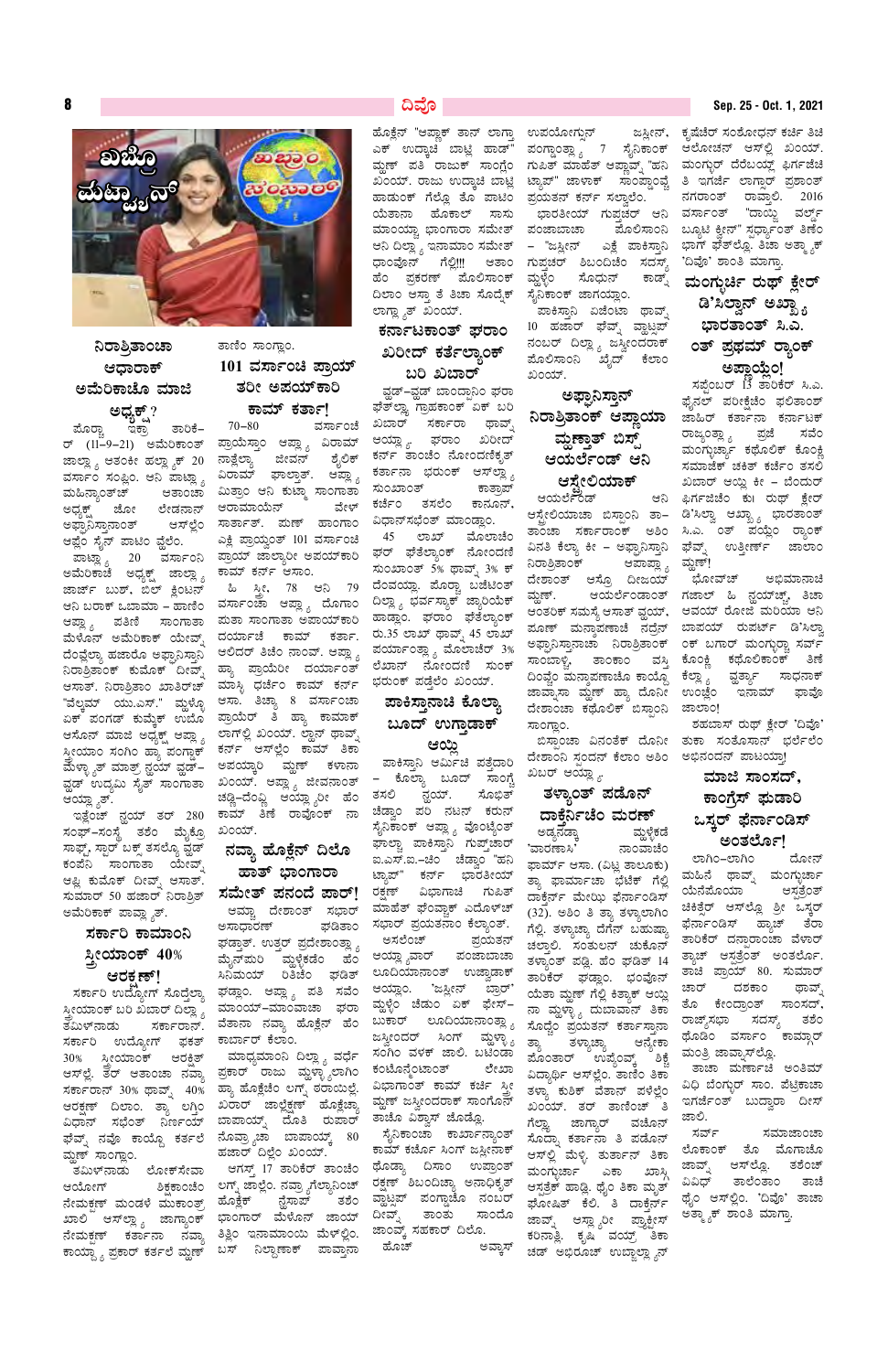8



ತಾಣಿಂ ಸಾಂಗ್ಲಾಂ.

 $70 - 80$ 

ಆರಾಮಾಯೆನ್

101 ವರ್ಸಾಂಚಿ ಪ್ರಾಯ್

ತರೀ ಅಪಯ್ಕಾರಿ

ಕಾಮ್ ಕರ್ತಾ!

ಪ್ರಾಯೆಸ್ತಾಂ ಆಪ್ಲ್ಯಾ ವಿರಾಮ್

ವಿರಾಮ್ ಘಾಲ್ತಾತ್. ಆಪ್ಲ್ಯಾ

ಮಿತ್ರಾಂ ಆನಿ ಕುಟ್ಮಾ ಸಾಂಗಾತಾ

ಸಾರ್ತಾತ್. ಮಣ್ ಹಾಂಗಾಂ

ಎಕ್ಲಿ ಪ್ರಾಯ್ವಂತ್ 101 ವರ್ಸಾಂಚಿ

ಪ್ರಾಯ್ ಜಾಲ್ಯಾರೀ ಅಪಯ್ಕಾರಿ

ಹಿ ಸ್ತೀ, 78 ಆನಿ 79

ಮತಾ ಸಾಂಗಾತಾ ಅಪಾಯ್ಕಾರಿ

ದರ್ಯಾಚೆ ಕಾಮ್ ಕರ್ತಾ.

ಆಲಿದರ್ ತಿಚೆಂ ನಾಂವ್. ಆಪ್ಲ್ಯಾ

ಹ್ಯಾ ಪ್ರಾಯೆರೀ ದರ್ಯಾಂತ್

ಮಾಸ್ಳಿ ಧರ್ಚೆಂ ಕಾಮ್ ಕರ್ನ್

ಆಸಾ. ತಿಚ್ಯಾ 8 ವರ್ಸಾಂಚಾ

ಪ್ರಾಯೆರ್ ತಿ ಹ್ಯಾ ಕಾಮಾಕ್

ಲಾಗ್ಲಲ್ಲಿ ಖಂಯ್. ಲ್ಹಾನ್ ಥಾವ್ನ್

ಕರ್ನ್ ಆಸ್ಲ್ರೆಂ ಕಾಮ್ ತಿಕಾ

ಅಪಯ್ಕಾರಿ ಮ್ಹಣ್ ಕಳಾನಾ

ಖಂಯ್. ಆಪ್ಲ್ಯಾ ಜೀವನಾಂತ್

ಚಡ್ಣಿ–ದೆಂವ್ಣಿ ಆಯ್ಲ್ಯಾರೀ ಹೆಂ

ಕಾಮ್ ತಿಣೆ ರಾವೊಂಕ್ ನಾ

ನವ್ಯಾ ಹೊಕ್ಲೆನ್ ದಿಲೊ

ಹಾತ್ ಭಾಂಗಾರಾ

ಆಮ್ಚಾ ದೇಶಾಂತ್ ಸಭಾರ್

ಘಡ್ತಾತ್. ಉತ್ತರ್ ಪ್ರದೇಶಾಂತ್ಲ್ಯಾ

ಮೈನ್ಮುರಿ ಮ್ದಳೈಕಡೆಂ ಹೆಂ

ಸಿನಿಮಯ್ ರಿತಿಚೆಂ ಘಡಿತ್

ಘಡ್ಲಾಂ. ಆಪ್ಲ್ಯಾ ಪತಿ ಸವೆಂ

ಖಂಯ್.

ಅಸಾಧಾರಣ್

ನಾತ್ಲೆಲ್ಯಾ ಜೀವನ್

ಕಾಮ್ ಕರ್ನ್ ಆಸಾಂ.

ಶೈಲಿಕ್

ವೇಳ್

# ನಿರಾತ್ರಿತಾಂಚಾ ಆಧಾರಾಕ್ ಅಮೆರಿಕಾಚೊ ಮಾಜಿ

ಅಧ್ಯಕ್ಷ್ ? ತಾರಿಕೆ– ಮೊರ್ರ್ಚಾ ಇಕ್ರಾ ರ್ (11–9–21) ಅಮೆರಿಕಾಂತ್ ಜಾಲ್ಲ್ಯಾ ಆತಂಕೀ ಹಲ್ಲ್ಯಾಕ್ 20 ವರ್ಸಾಂ ಸಂಪ್ಲಿಂ. ಆನಿ ಪಾಟ್ಲ್ಯಾ ಮಹಿನ್ಯಾಂತ್ಚ್ ಆತಾಂಚಾ ಜೋ ಲೇಡನಾನ್ ಅಧ್ಯಕ್ಷ್ ಅಫ್ಘಾನಿಸ್ತಾನಾಂತ್ ಆಸ್ಪ್ಲೆಂ ಆಫ್ಲೆಂ ಸೈನ್ ಪಾಟಿಂ ವ್ಲೆಲೆಂ.

ಪಾಟ್ಲ್ಯಾ 20 ವರ್ಸಾಂನಿ ಅಮೆರಿಕಾಚೆ ಅಧ್ಯಕ್ಷ ಜಾಲ್ಲ್ಯಾ ಜಾರ್ಜ್ ಬುಶ್, ಬಿಲ್ ಕ್ಲಿಂಟನ್ ಆನಿ ಬರಾಕ್ ಒಬಾಮಾ – ಹಾಣಿಂ ಪರ್ಸಾಂಚಾ ಆಪ್ಲ್ಯಾ ದೊಗಾಂ ಆಪ್ಲ್ಯಾ ಪತಿಣಿ ಸಾಂಗಾತಾ ಮೆಳೊನ್ ಅಮೆರಿಕಾಕ್ ಯೇವ್ಸ್ ದೆಂವ್ಲೆಲ್ಯಾ ಹಜಾರೊ ಅಫ್ಘಾನಿಸ್ತಾನಿ ನಿರಾತ್ರಿತಾಂಕ್ ಕುಮೊಕ್ ದೀವ್ಸ್ ಆಸಾತ್. ನಿರಾಶ್ರಿತಾಂ ಖಾತಿರ್ಚ್ "ವೆಲ್ಕಮ್ ಯು.ಎಸ್." ಮ್ದಳ್ಳೊ ಏಕ್ ಪಂಗಡ್ ಕುಮ್ಕೆಕ್ ಉಬೊ ಆಸೊನ್ ಮಾಜಿ ಅಧ್ಯಕ್ಷ್ ಆಪ್ಲ್ಯಾ ಸ್ತ್ರೀಯಾಂ ಸಂಗಿಂ ಹ್ಯಾ ಪಂಗ್ಡಾಕ್ ಮೆಳ್ಳ್ಯಾತ್ ಮಾತ್ರ್ ನ್ಹಯ್ ವ್ಹಡ್– ವ್ಹಡ್ ಉದ್ಯಮಿ ಸೈತ್ ಸಾಂಗಾತಾ ಆಯ್ಲ್ಶ್ಯಾತ್.

ಇತ್ಲೆಂಚ್ ನ್ಹಯ್ ತರ್ 280 ಸಂಫ್–ಸಂಸ್ಥೆ ತಶೆಂ ಮೈಕ್ರೊ ಸಾಫ್ಟ್, ಸ್ಟಾರ್ ಬಕ್ಸ್ ತಸಲ್ಗೊ ವ್ಲಡ್ ಕಂಪೆನಿ ಸಾಂಗಾತಾ ಯೇವ್ಶ್ ಆಫ್ಲಿ ಕುಮೊಕ್ ದೀವ್ಸ್ ಆಸಾತ್. ಸುಮಾರ್ 50 ಹಜಾರ್ ನಿರಾತ್ರಿತ್ **ಸಮೇತ್ ಪನಂದೆ ಪಾರ್!** ಅಮೆರಿಕಾಕ್ ಪಾವ್ಲ್ಯಾತ್.

# ಸರ್ಕಾರಿ ಕಾಮಾಂನಿ ಸ್ತ್ರೀಯಾಂಕ್ 40% ಆರಕ್ಷಣ್!

ಸರ್ಕಾರಿ ಉದ್ಯೋಗ್ ಸೊದ್ತೆಲ್ಯಾ

### ದಿವೊ

ಹೊಕ್ಲೆನ್ "ಆಪ್ಲಾಕ್ ತಾನ್ ಲಾಗ್ತಾ ಎಕ್ ಉದ್ಕಾಚಿ ಬಾಟ್ಲಿ ಹಾಡ್" ಹಾಡುಂಕ್ ಗೆಲ್ಲೊ ತೊ ಪಾಟಿಂ ಪ್ರಯತನ್ ಕರ್ನ್ ಸಲ್ವಾಲೆಂ. ಯೆತಾನಾ ಹೊಕಾಲ್ ಸಾಸು ಮಾಂಯ್ಚಾ ಭಾಂಗಾರಾ ಸಮೇತ್ ಪಂಜಾಬಾಚಾ ಆನಿ ದಿಲ್ಲಾ ೖ ಇನಾಮಾಂ ಸಮೇತ್ ಧಾಂವೊನ್ ಗೆಲ್ಲಿ!!! ಆತಾಂ ಹೆಂ ಪ್ರಕರಣ್ ಮೊಲಿಸಾಂಕ್ ದಿಲಾಂ ಆಸ್ತಾ ತೆ ತಿಚಾ ಸೊದ್ರೆಕ್ ಲಾಗ್ಲ್ಯಾತ್ ಖಂಯ್.

### ಕರ್ನಾಟಕಾಂತ್ ಘರಾಂ ಖರೀದ್ ಕರ್ತೆಲ್ಯಾಂಕ್ ಬರಿ ಖಬಾರ್

ವ್ಹಡ್-ವ್ಹಡ್ ಬಾಂದ್ರಾನಿಂ ಘರಾ ಘೆತ್೮್ಲಾ ಗ್ರಾಹಕಾಂಕ್ ಏಕ್ ಬರಿ ವರ್ಸಾಂಚೆ ಖಬಾರ್ ಸರ್ಕಾರಾ ಥಾವ್ಸ್ ಆಯ್ಲ್ಯಾ. ಘರಾಂ ಖರೀದ್ ಕರ್ನ್ ತಾಂಚೆಂ ನೋಂದಣಿಕೃತ್ ಕರ್ತಾನಾ ಭರುಂಕ್ ಆಸ್ಐ್ಲ್ಯ ಸುಂಖಾಂತ್ ಕಾತ್ರಾಪ್ ಕರ್ಜೆಂ ತಸಲೆಂ ಕಾನೂನ್, ವಿಧಾನ್ಸಭೆಂತ್ ಮಾಂಡ್ಲಾಂ.

> 45 ಲಾಖ್ ಮೊಲಾಚೆಂ ಘರ್ ಘೆತೆಲ್ಯಾಂಕ್ ನೋಂದಣಿ ಸುಂಖಾಂತ್ 5% ಥಾವ್ನ್ 3% ಕ್ ದೆಂವಯ್ಲಾ. ಪೊರ್ರ್ಚಾ ಬಜೆಟಿಂತ್ ದಿಲ್ಲಾ <sub>ನಿ</sub> ಭರ್ವಸ್ಯಾಕ್ ಜ್ಯಾರಿಯೆಕ್ ಹಾಡ್ಲಾಂ. ಘರಾಂ ಘೆತೆಲ್ಯಾಂಕ್ ರು.35 ಲಾಖ್ ಥಾವ್ನ್ 45 ಲಾಖ್ ಪರ್ಯಾಂತ್ಲ್ಯಾ ಮೊಲಾಚೆರ್ 3% ಲೆಖಾನ್ ನೋಂದಣಿ ಸುಂಕ್ ಭರುಂಕ್ ಪಡ್ತೆಲೆಂ ಖಂಯ್.

# ಪಾಕಿಸ್ತಾನಾಚಿ ಕೊಲ್ಲಾ ಬೂದ್ ಉಗ್ತಾಡಾಕ್

#### ಆಯ್ಲಿ

ಪಾಕಿಸ್ತಾನಿ ಆರ್ಮಿಚಿ ಪತ್ತೆದಾರಿ – ಕೊಲ್ಯಾ ಬೂದ್ ಸಾಂಗ್ಚೆ ನ್ಹಯ್. ತಸಲಿ ಸೊಭಿತ್ ಚೆಡ್ವಾಂ ಪರಿ ನಟನ್ ಕರುನ್ ಸೈನಿಕಾಂಕ್ ಆಪ್ಲ್ಯಾ ವೊಂಟೈಂತ್ ಘಾಲ್ಚಾ ಪಾಕಿಸ್ತಾನಿ ಗುಪ್ತ್ಚಾರ್ ಐ.ಎಸ್.ಐ.–ಚಿಂ ಚೆಡ್ವಾಂ "ಹನಿ ಟ್ನಾಪ್" ಕರ್ನ್ ಭಾರತೀಯ್ ರಕ್ಷಣ್ ವಿಭಾಗಾಚಿ ಗುಪಿತ್ ಮಾಹೆತ್ ಘೆಂವ್ಬಾಕ್ ಎದೊಳ್ಚ್ ಘಡಿತಾಂ ಸಭಾರ್ ಪ್ರಯತನಾಂ ಕೆಲ್ಯಾಂತ್. ಅಸಲೆಂಚ್ ಪ್ರಯತನ್ ಆಯ್ಲಾ ೄವಾರ್ ಪಂಜಾಬಾಚಾ ಲೂದಿಯಾನಾಂತ್ ಉಜ್ವಾಡಾಕ್ ಆಯ್ಲಾಂ. 'ಜಸ್ವೀನ್ ಬ್ರಾರ್' ಮ್ದಳ್ಳೆಂ ಚೆಡುಂ ಏಕ್ ಫೇಸ್-

ಉಪಯೋಗ್ಸುನ್ ಪಂಗ್ಡಾಂತ್ಲ್ಯಾ 7 ಸೈನಿಕಾಂಕ್ ಆಲೋಚನ್ ಆಸ್© ಖಂಯ್. ಮ್ದಣ್ ಪತಿ ರಾಜುಕ್ ಸಾಂಗ್ಲೆಂ ಗುಪಿತ್ ಮಾಹೆತ್ ಆಪ್ಲಾವ್ನ್ "ಹನಿ ಖಂಯ್. ರಾಜು ಉದ್ಕಾಚಿ ಬಾಟ್ಲಿ ಟ್ಯಾಪ್" ಜಾಳಾಕ್ ಸಾಂಪ್ಡಾಂವ್ಚೆ ಭಾರತೀಯ್ ಗುಪ್ತಚರ್ ಆನಿ ಮೊಲಿಸಾಂನಿ – "ಜಸ್ಲೀನ್ ಎಕ್ಲೆ ಪಾಕಿಸ್ತಾನಿ ಗುಪ್ತಚರ್ ಶಿಬಂದಿಚೆಂ ಸದಸ್ಯ್ ಮ್ದಳ್ಳೆಂ ಸೊಧುನ್ ಕಾಡ್ಪ್ ಸೈನಿಕಾಂಕ್ ಜಾಗಯ್ಲಾಂ. ಪಾಕಿಸ್ತಾನಿ ಏಜೆಂಟಾ ಥಾವ್ಸ್ 10 ಹಜಾರ್ ಘೆವ್ನ್ ವ್ಹಾಟ್ಸಪ್ ನಂಬರ್ ದಿಲ್ಲ್ಯಾ ಜಸ್ವೀಂದರಾಕ್ ಪೊಲಿಸಾಂನಿ ಖೈದ್ ಕೆಲಾಂ

# ಅಫ್ಘಾನಿಸ್ತಾನ್ ನಿರಾತ್ರಿತಾಂಕ್ ಆಪ್ಲಾಯಾ ಮ್ಹಣ್ತಾತ್ ಬಿಸ್ಟ್ ಆಯರ್ಲೆಂಡ್ ಆನಿ ಆಸ್ತೇಲಿಯಾಕ್

ಖಂಯ್.

ಆಯರ್ಲಿಂಡ್ ಆಸ್ಟ್ರಲಿಯಾಚಾ ಬಿಸ್ಟಾಂನಿ ತಾ– ತಾಂಚಾ ಸರ್ಕಾರಾಂಕ್ ಅಶಿಂ ಸಿ.ಎ. ಂತ್ ಪಯ್ಲೆಂ ರ್ಾಂಕ್ ವಿನತಿ ಕೆಲ್ಯಾ ಕೀ – ಅಫ್ಘಾನಿಸ್ತಾನಿ ನಿರಾತ್ರಿತಾಂಕ್ ಆಪಾಪ್ಲ್ಯಾ ದೇಶಾಂತ್ ಆಸ್ರೊ ದೀಜಯ್ ಮ್ಹಣ್. ಆಯರ್ಲೆಂಡಾಂತ್ ಗಜಾಲ್ ಹಿ ನ್ಲಯ್ಚ್, ತಿಚಾ ಆಂತರಿಕ್ ಸಮಸ್ಯೆ ಆಸಾತ್ ವ್ಹಯ್, ಆವಯ್ ರೋಜಿ ಮರಿಯಾ ಆನಿ ಪೂಣ್ ಮನ್ತಾಪಣಾಚೆ ನದ್ರೆನ್ ಅಫ್ಘಾನಿಸ್ತಾನಾಚಾ ನಿರಾತ್ರಿತಾಂಕ್ ಸಾಂಬಾಳ್ವಿ, ತಾಂಕಾಂ ವಸ್ತಿ ದಿಂಫ್ಚಂ ಮನ್ತಾಪಣಾಚೊ ಕಾಯ್ಗೊ ಜಾವ್ನಾಸಾ ಮ್ದಣ್ ಹ್ಯಾ ದೊನೀ ದೇಶಾಂಚಾ ಕಥೊಲಿಕ್ ಬಿಸ್ಪಾಂನಿ

ದೇಶಾಂನಿ ಸ್ಪಂದನ್ ಕೆಲಾಂ ಅಶಿಂ ಅಭಿನಂದನ್ ಪಾಟಯ್ಲಾ! ಖಬರ್ ಆಯ್ಲ್ಯಾ.

# ತಳ್ಯಾಂತ್ ಪಡೊನ್ ದಾಕೆರ್ನಿಚೆಂ ಮರಣ್

ಅಡ್ಯನಡ್ಕಾ ವ್ಹುಳ್ಳಿಕಡೆ 'ವಾರಣಾಸಿ' ನಾಂವಾಚೆಂ ಫಾರ್ಮ್ ಆಸಾ. (ವಿಟ್ಲ ತಾಲೂಕು) ತ್ತಾ ಫಾರ್ಮಾಚಾ ಭೆಟೆಕ್ ಗೆಲ್ಲಿ ದಾಕ್ಸೆರ್ನ್ ಮೇಝಿ ಫೆರ್ನಾಂಡಿಸ್ (32). ಅಶಿಂ ತಿ ತ್ಯಾ ತಳ್ಳಾಲಾಗಿಂ ಗೆಲ್ಲಿ. ತಳ್ಯಾಚ್ಯಾ ದೆಗೆನ್ ಬಹುಷ್ಯಾ ಚಲ್ತಾಲಿ. ಸಂತುಲನ್ ಚುಕೊನ್ ತಳ್ಯಾಂತ್ ಪಡ್ಲಿ. ಹೆಂ ಘಡಿತ್ 14 ತಾರಿಕೆರ್ ಘಡ್ಲಾಂ. ಭಂವೊನ್ ಯೆತಾ ಮ್ಹಣ್ ಗೆಲ್ಲಿ ಕಿತ್ಯಾಕ್ ಆಯ್ಲಿ ಸ್ತೀಯಾಂಕ್ ಬರಿ ಖಬಾರ್ ದಿಲ್ಲಾ ೃ ಮಾಂಯ್–ಮಾಂವಾಚಾ ಘರಾ ಮ್ದಿಳ್ಳಿ೦ <sup>ಚಡು೦ ಎಕ್</sup> ಘೀಸಿ – ನಾ ಮ್ದಳ್ಳ್ಯಾ ದುಬಾವಾನ್ ತಿಕಾ <sup>ಲುಲ</sup> <sup>ರೇಲದಶ್ರರಿಅ ಸಾಲಸಿದಾ,<br>ತಮಿಳ್ನಾಡು ಸರ್ಕಾರಾನ್. ವೆತಾನಾ ನವ್ಯಾ ಹೊಕ್ಲೆನ್ ಹೆಂ ಬುಕಾರ್ ಲೂದಿಯಾನಾ೦ತ್ಲ್ಯಾ ಸೊದ್ಚೆ೦ ಪ್ರಯತ</sup> ಅಮಿಳ ನಿಂದು ನಾರ್ವಲನಿನ. ಹಾಕಾಲ್ ಬಹತಿ ಹಾಕಾಲ್ ಸ್ಟ್ರಾಂಡರ್ ಸಿಂಗ್ ಮ್ಹಳ್ಳಾ ಹುಟ್ಟು ಹುದು. ತಾನು ಪ್ರಸ್ತುತಿ ಹೊಡಿಂ ವರ್ಸಾಂ ಕಾಮ್ಗಾರ್<br>ಸರ್ಕಾರಿ ಉದ್ಯೋಗ್ ಫಕತ್ ಕಾರ್ಬಾರ್ ಕೆಲಾಂ. ಜಸ್ವೀಂದರ್ ಸಿಂಗ್ ಮ್ಹಳ್ಳಾ ತ್ಯಾ ತಳ್ಯಾಚ್ಯಾ ಆನ್ಯೇಕಾ ಮಂತಿ ಜಾನಾಹಳ ---- = --- = <sub>ನೈ</sub> ----..<sub>ಶಾ</sub> -<br>ನೇಮಕ್ಷಣ್ ಕರ್ತಾನಾ ನವ್ಯಾ ತಿತ್ಲಿಂ ಇನಾಮಾಂಯಿ ಮೆಳ್ಲ್ಲಿಂ. <sup>ಜಾಂವ್ಕ್</sup> ಸಹಕಾರ್ ದಿಲೊ. ಕರಿನಾತ್ಲಿ. ಕೃಷಿ ವಯ್ರ್ ತಿಕಾ<br>ಕಾಯ್ದ್ಯಾ ಪ್ರಕಾರ್ ಕರ್ತಲೆ ಮ್ಹಣ್ ಬಸ್ ನಿಲ್ದಾಣಾಕ್ ಪಾವ್ತಾನಾ ಹೊಚ್ ಅವ್ಕಾಸ್ ಚಡ್ ಅಭಿರೂ

#### Sep. 25 - Oct. 1, 2021

ಜಸ್ಲೀನ್, ಕೃಷೆಚೆರ್ ಸಂಶೋಧನ್ ಕರ್ಚಿ ತಿಚಿ ಮಂಗ್ಬುರ್ ದೆರೆಬಯ್ಲ್ ಫಿರ್ಗಜೆಚಿ ತಿ ಇಗರ್ಜೆ ಲಾಗ್ಷಾರ್ ಪ್ರಶಾಂತ್ ನಗರಾಂತ್ ರಾವಾಲಿ. 2016 ವರ್ಸಾಂತ್ "ದಾಯ್ಜಿ ವರ್ಲ್ಡ್ ಬ್ಯೂಟಿ ಕ್ವೀನ್" ಸ್ಪರ್ಧ್ಯಾಂತ್ ತಿಣೆಂ ಭಾಗ್ ಘೆತ್ಲ್ಲೊ. ತಿಚಾ ಅತ್ಮ್ಯಾಕ್ 'ದಿವೊ' ಶಾಂತಿ ಮಾಗ್ತಾ

# ಮಂಗ್ಬರ್ಚಿ ರುಥ್ ಕ್ಷೇರ್ ಡಿ,೫ದ್ವಾನ್ ಅಖ್ಖ್ಯಾ ಭಾರತಾಂತ್ ಸಿ.ಎ. ೦ತ್ ಪ್ರಥಮ್ ರ್ೂಂಕ್ ಅಪ್ತಾಯ್ತೆಂ!

 $\pi$ ಪೆಂಬರ್  $13$  ತಾರಿಕೆರ್ ಸಿ.ಎ. ಫೈನಲ್ ಪರೀಕ್ಷೆಚೆಂ ಫಲಿತಾಂಶ್ ಜಾಹಿರ್ ಕರ್ತಾನಾ ಕರ್ನಾಟಕ್ ರಾಜ್ಯಂತ್ಲ್ಯಾ ಪ್ರಜೆ ಸವೆಂ ಮಂಗ್ಳುರ್ಚ್ಯಾ ಕಥೊಲಿಕ್ ಕೊಂಕ್ಲಿ ಸಮಾಜೆಕ್ ಚಕಿತ್ ಕರ್ಚೆಂ ತಸಲಿ ಖಬಾರ್ ಆಯ್ದಿ ಕೀ – ಬೆಂದುರ್ ಆನಿ ಫಿರ್ಗಜಿಚೆಂ ಕು। ರುಥ್ ಕ್ಷೇರ್ ಡಿ'ಸಿಲ್ವಾ ಆಖ್ಖ್ಯಾ ಭಾರತಾಂತ್ ಘೆವ್ಸ್ ಉತ್ತೀರ್ಣ್ ಜಾಲಾಂ ಮ್ದಣ್!

> ಭೋವ್ಚ್ ಅಭಿಮಾನಾಚಿ ಬಾಪಯ್ ರುಪರ್ಟ್ ಡಿ'ಸಿಲ್ತಾ ಂಕ್ ಬಗಾರ್ ಮಂಗ್ಳುರ್ರಾ ಸರ್ವ್ ಕೊಂಕ್ಲಿ ಕಥೊಲಿಕಾಂಕ್ ತಿಣೆ ವ್ಹರ್ತ್ಯಾ ಸಾಧನಾಕ್ ಕೆಲ್ಲಾ <sub>ಶಿ</sub> ಇನಾಮ್ ಉಂಜ್ಞೆಂ ಫಾವೊ ಜಾಲಾಂ!

ಶಹಬಾಸ್ ರುಥ್ ಕ್ಷೇರ್ 'ದಿವೊ' ಬಿಸ್ಪಾಂಚಾ ವಿನಂತೆಕ್ ದೊನೀ ತುಕಾ ಸಂತೊಸಾನ್ ಭರ್ಲೆಲೆಂ

# ಮಾಜಿ ಸಾಂಸದ್, ಕಾಂಗೆಸ್ ಘಡಾರಿ ಒಸ್ತರ್ ಫೆರ್ನಾಂಡಿಸ್

# ಅಂತಲೋ!

ಲಾಗಿಂ–ಲಾಗಿಂ ದೋನ್ ಮಹಿನೆ ಥಾವ್ನ್ ಮಂಗ್ಳುರ್ಚಾ ಆಸ್ಪತ್ರೆಂತ್ ಯೆನೆಪೊಯಾ ಚಿಕಿತ್ಸೆರ್ ಆಸ್ಟ್ರೊ ಶ್ರೀ ಒಸ್ಕರ್ ಫೆರ್ನಾಂಡಿಸ್ ಹ್ಯಾಚ್ ತೆರಾ ತಾರಿಕೆರ್ ದನ್ಪಾರಾಂಚಾ ವೆಳಾರ್ ತ್ಯಾಚ್ ಆಸ್ಪತ್ರೆಂತ್ ಅಂತರ್ಲೊ. ತಾಚಿ ಪ್ರಾಯ್ 80. ಸುಮಾರ್ ದಶಕಾಂ ಚಾರ್ ಥಾವ್ಸ್ ತೊ ಕೇಂದ್ರಾಂತ್ ಸಾಂಸದ್,

ಸಾಂಗ್ಲಾಂ.

ಮಾಂಯ್–ಮಾಂವಾಚಾ ಘರಾ

30% ಸ್ತ್ರೀಯಾಂಕ್ ಆರಕ್ಷತ್ ಮುದ್ದಿಮುರಿನಿ ದಿಲ್ಲ ಸ್ಟ್ರ ಎರ್ರಿ ಬಾಗಿರಿ ಹಾಲ್ಲ ಒಬೆರಿದು <sub>ಹೊಂ</sub>ತಾರ್ ಉಪ್ಯಂವ್ಕ್ ಶಿಕ್ಷ ಹಾತ್ರ ಒಬ್ಬಾ<br>ಆಸ್ಪಲ್ಲೆ ತರ್ ಆತಾಂಚಾ ನವ್ಯಾ ಪ್ರಕಾರ್ ರಾಜು ಮೃಳ್ಳ್ಯಾಲಾಗಿಂ ಕಂಟೊನ್ಮೆಂಟಾಂತ್ ರೇಖಾ ವಿದ್ಯಾರ್ಥಿ ಆಸ್ಪಲ್ಲೆಂ. ತಾಣಿಂ ತಿಕಾ ತ ್ನಲ್ನ ನಾಲ್ಕೂ ರಾಜ್ಯ ರಾವ್ ಅವರ ಅವರ ಅವರ ಅವರ ಸಮಾವಾಗ ಅವರ ಸಾಮಾನ್ಯ ಸಂಸ್ಥಾರ ಸಂಪ್ರದ ಅವರ ಸಮಾನ್ಯ ಸಾಲ್ಯ ಸಮಾವಾದ ಸಾಮಾನ್ಯ ಸಮಾಯ<br>- ತಮಿಳ್ ನಾಂಗ್ಲಾಂ. ಸ್ಟ್ರೀನ್ ಮಾಡಿದ ಪ್ರಾರಂಭವಾಗಿ ಸಂಪ್ರದ ಮಾಡುವ ಸಾಲ್ ಅವರ ಮುಖ್ಯ ಮಾರ್ಕ್ ಎಕಾ ಲೊಕಾಂಕ್ ತೊ ಮೊಗಾಚೊ<br>- ತಮಿಳ್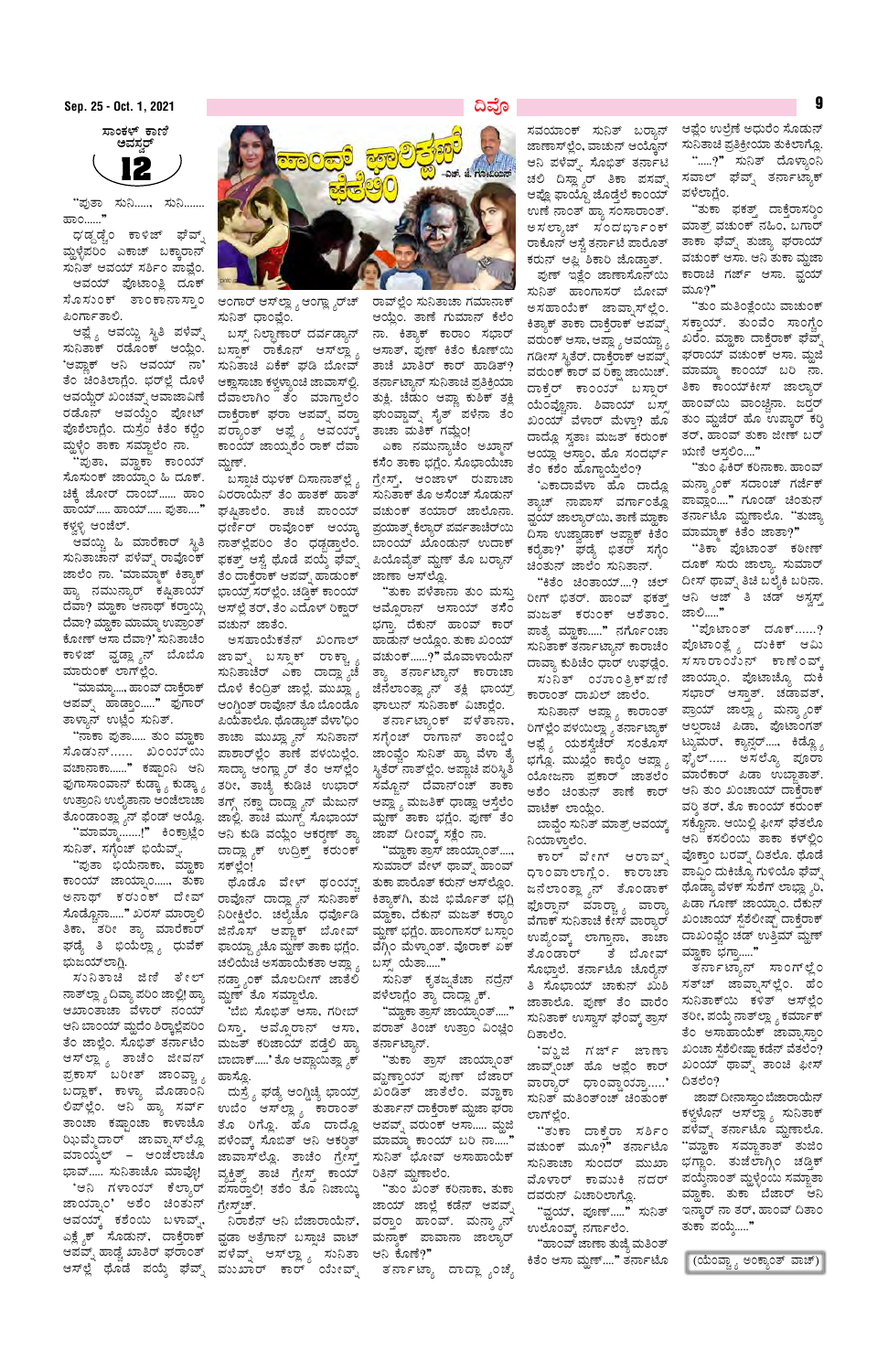ಸಾಂಕಳ್ ಕಾಣಿ ಅವಸ್ಥರ್

"ಪುತಾ ಸುನಿ....., ಸುನಿ...... ಹಾಂ......"

ಧಡ್ಡರೊಂ ಕಾಳಿಜ್ ಘೆವ್ನ್ ಮ್ದಳೈಪರಿಂ ಎಕಾಚ್ ಬಕ್ಕಾರಾನ್ ಸುನಿತ್ ಆವಯ್ ಸರ್ಶಿಂ ಪಾವ್ಲೆಂ. ಆವಯ್ ಪೊಟಾಂತ್ಲಿ ದೂಕ್ ಸೊಸುಂಕ್ ತಾಂಕಾನಾಸ್ತಾಂ ಆಂಗಾರ್ ಆಸ್ ಲ್ಲ್ಯಾಆಂಗ್ಲ್ಯಾರ್ಚ್ ರಾವ್ಲ್ಲೆಂ ಸುನಿತಾಚಾ ಗಮಾನಾಕ್ ಪಿಂರ್ಗಾತಾಲಿ.

ಆಪ್ಲ್ಯೆ ಆವಯ್ಚಿ ಸ್ಥಿತಿ ಪಳೆವ್ನ್ ಸುನಿತಾಕ್ ರಡೊಂಕ್ ಆಯ್ದೆಂ. 'ಆಪ್ಲಾಕ್ ಆನಿ ಆವಯ್ ನಾ' ತೆಂ ಚಿಂತಿಲಾಗ್ಲೆಂ. ಭರ್ಲ್ಲೆ ದೊಳೆ ಆವಯ್ಚೆರ್ ಖಂಚವ್ನ್ ಆವಾಜಾವಿಣೆ ರಡೊನ್ ಆವಯ್ಚೆಂ ಪೋಟ್ ಪೊಶೆಲಾಗ್ಲೆಂ. ದುಸ್ರೆಂ ಕಿತೆಂ ಕರ್ರೆಂ ಮ್ಲಳ್ಳೆಂ ತಾಕಾ ಸಮ್ಲಾಲೆಂ ನಾ.

"ಪುತಾ, ಮ್ಲಾಕಾ ಕಾಂಯ್ ಸೊಸುಂಕ್ ಜಾಯ್ನಾಂ ಹಿ ದೂಕ್. ಚಿಕ್ಕೆ ಜೋರ್ ದಾಂಬ್...... ಹಾಂ ವಿರರಾಯೆನ್ ತೆಂ ಹಾತಕ್ ಹಾತ್ ಹಾಯ್..... ಹಾಯ್..... ಪುತಾ...." ಕಳ್ಳಳ್ಳಿ ಆಂಜೆಲ್.

ಸುನಿತಾಚಾನ್ ಪಳೆವ್ನ್ ರಾವೊಂಕ್ ಜಾಲೆಂ ನಾ. 'ಮಾಮ್ಮಾಕ್ ಕಿತ್ಯಾಕ್ ಹ್ಯಾ ನಮುನ್ಯಾರ್ ಕಷ್ಟಿತಾಯ್ ದವಾ? ಮ್ಹಾಕಾ ಆನಾಥ್ ಕರ್ಾಯ್ಗಿ ದೆವಾ? ಮ್ಲಾಕಾ ಮಾಮ್ಮಾ ಉಪ್ರಾಂತ್ ಕೋಣ್ ಆಸಾ ದೆವಾ?' ಸುನಿತಾಚೆಂ ಕಾಳಿಜ್ ವ್ಹಡ್ಲ್ಯಾನ್ ಬೊಬೊ ಜಾವ್ನ್ ಬಸ್ಸಾಕ್ ರಾಕ್ಚ್ಯಾ ಮಾರುಂಕ್ ಲಾಗ್ಲಲ್ಲೆಂ.

"ಮಾಮ್ಮಾ...., ಹಾಂವ್ ದಾಕ್ತೆರಾಕ್ ಆಪವ್ನ್ ಹಾಡ್ತಾಂ....." ಫುಗಾರ್ ತಾಳ್ಯಾನ್ ಉಟ್ಲೆಂ ಸುನಿತ್.

"ನಾಕಾ ಪುತಾ..... ತುಂ ಮ್ಹಾಕಾ ಸೊಡುನ್...... ಖಂಯ್ಯ ವಚಾನಾಕಾ......" ಕಷ್ಟಾಂನಿ ಆನಿ ಫುಗಾಸಾಂವಾನ್ ಕುಡ್ಕ್ಯಾ ಕುಡ್ಕ್ಯಾ ಉತ್ರಾಂನಿ ಉಲೈತಾನಾ ಆಂಜೆಲಾಚಾ ತೊಂಡಾಂತ್ಲ್ಯಾನ್ ಫೆಂಡ್ ಆಯ್ಲೊ.

"ಮಾಮ್ಮಾ.......!" ಕಿಂಕ್ರಾಟ್ಲೆಂ ಸುನಿತ್, ಸಗೈಂಚ್ ಭಿಯೆವ್ನ್.

"ಪುತಾ ಭಿಯೆನಾಕಾ, ಮ್ಹಾಕಾ ಸಕ್ಲ್ದೆಂ! ಕಾಂಯ್ ಜಾಯ್ನಾಂ....., ತುಕಾ ಅನಾಥ್ ಕರುಂಕ್ ದೇವ್ ಸೊಡ್ಚೊನಾ....." ಖರಸ್ ಮಾರಾಲಿ ತಿಕಾ, ತರೀ ತ್ಯಾ ಮಾರೆಕಾರ್ ಘಡೈ ತಿ ಭಿಯೆಲ್ಲ್ಯಾ ಧುವೆಕ್ ಭುಜಯ್೮ಾಗ್ಲಿ.

ಸುನಿತಾಚಿ ಜಿಣಿ ತೇಲ್ ನಾತ್ಲ್ಲಾ ದಿವ್ಯಾ ಪರಿಂ ಜಾಲ್ಲಿ! ಹ್ಯಾಹ್ನು ಪ್ಲುಣ್ ತೊ ಸಮ್ಜಾಲೊ. ಆಸ್ ಲ್ಲ್ಯಾ ತಾಚೆಂ ಜೀವನ್ ಬಾಬಾಕ್.....'ತೊಆಪ್ಣಾಯಿತ್ಲ್ಯಾಕ್ ಪ್ರಕಾಸ್ ಬರೀತ್ ಜಾಂವ್ಚ್ಯಾ ಹಾಸ್ಲೊ. ಜಾಯ್ನಾಂ' ಅಶೆಂ ಚಿಂತುನ್ ಗ್ರೇಸ್ಜ್.



ಸುನಿತ್ ಧಾಂವ್ಲೆಂ.

ಬಸ್ಸ್ ನಿಲ್ದಾಣಾರ್ ದರ್ವಡ್ಯಾನ್ ಬಸ್ಸಾಕ್ ರಾಕೊನ್ ಆಸ್**ಲ್ಲಾ** <sub>ಬಿ</sub> ಸುನಿತಾಚಿ ಏಕೆಕ್ ಘಡಿ ಬೋವ್ ಆಕ್ಲಾಸಾಚಾ ಕಳ್ವಳ್ಯಾಂಚಿ ಜಾವಾಸ್್ಲಿ. ದೆವಾಲಾಗಿಂ ತೆಂ ಮಾಗಾಲೆಂ ದಾಕ್ತೆರಾಕ್ ಘರಾ ಆಪವ್ನ್ ವರ್ರ್ತಾ ಪರ್ರ್ಯಾಂತ್ ಆಪ್ಲ್ಯೆ ಆವಯ್ಕ್ ತಾಚಾ ಮತಿಕ್ ಗಮ್ಲೆಂ! ಕಾಂಯ್ ಜಾಯ್ಸಶೆಂ ರಾಕ್ ದೆವಾ ಮ್ಲಣ್.

ಬಸ್ಸಾಚಿ ಝಳಕ್ ದಿಸಾನಾತ್ಲ್ಲೈ ಗ್ರೇಸ್ತ್, ಆಂಜಾಳ್ ರುಪಾಚಾ ಘಷ್ಟಿತಾಲೆಂ. ತಾಚೆ ಪಾಂಯ್ ವಚುಂಕ್ ತಯಾರ್ ಜಾಲೊನಾ. ಧರ್ಣಿರ್ ರಾವೊಂಕ್ ಆಯ್ಕಾ ಪ್ರಯಾತ್ನ್ ಕೆಲ್ಯಾರ್ ಪರ್ವತಾಚೆರ್ಯಿ ಆವಯ್ಚಿ ಹಿ ಮಾರೆಕಾರ್ ಸ್ಥಿತಿ ನಾತ್ಲಲ್ಲೆಪರಿಂ ತೆಂ ಧಡ್ಗಡ್ತಾಲೆಂ. ಬಾಂಯ್ ಖೊಂಡುನ್ ಉದಾಕ್ ಫಕತ್ತ್ ಆಸ್ಚೆ ಥೊಡೆ ಪಯ್ಶೆ ಘೆವ್ನ್ ಪಿಯೊವೈತ್ ಮ್ಹಣ್ ತೊ ಬರ್ರ್ಯಾನ್ ತೆಂ ದಾಕ್ತೆರಾಕ್ ಆಪವ್ನ್ ಹಾಡುಂಕ್ ಭಾಯ್ರ್ ಸರ್ಲ್ಲೆಂ. ಚಡ್ಡಿಕ್ ಕಾಂಯ್ ಆಸ್ಐ್ಲೆ ತರ್, ತೆಂ ಎದೊಳ್ ರಿಕ್ಷಾರ್ ಆಮ್ನೊರಾನ್ ಆಸಾಯ್ ತಸೆಂ ವಚುನ್ ಜಾತೆಂ.

> ಅಸಹಾಯೆಕತೆನ್ ಖಂಗಾಲ್ ಸುನಿತಾಚೆರ್ ಎಕಾ ದಾದ್ಲ್ಯಾಚೆ ತ್ಯಾ ತರ್ನಾಟ್ಯಾನ್ ಕಾರಾಚಾ ದೊಳೆ ಕೆಂದ್ರಿತ್ ಜಾಲ್ಲೆ. ಮುಖ್ಲ್ಯಾ ಆಂಗ್ಡಿಂತ್ ರಾವೊನ್ ತೊ ಬೊಂಡೊ ಫಾಲುನ್ ಸುನಿತಾಕ್ ವಿಚಾರ್ರೆಂ. ಪಿಯೆತಾಲೊ. ಥೊಡ್ಯಾಚ್ ವೆಳಾ'ಧಿಂ ತಾಚಾ ಮುಖ್ಲ್ಯಾನ್ ಸುನಿತಾನ್ ಪಾಶಾರ್ಲ್ಲೆಂ ತಾಣೆ ಪಳಯಿಲ್ಲೆಂ. ಸಾದ್ಯಾ ಆಂಗ್ಲ್ಯಾರ್ ತೆಂ ಆಸ್ಲ್ರೆಂ ತರೀ, ತಾಚ್ಯೆ ಕುಡಿಚಿ ಉಭಾರ್ ತಗ್ಗ್ ನಕ್ಷಾ ದಾದ್ಲ್ಯಾನ್ ಮೆಜುನ್ ಜಾಲ್ಲಿ. ತಾಚಿ ಮುಗ್ಧ್ ಸೊಭಾಯ್ ಆನಿ ಕುಡಿ ವಯ್ಲೆಂ ಆಕರ್ರಣ್ ತ್ಯಾ ದಾದ್ಲ್ಯಾಕ್ ಉದ್ರಿಕ್ಸ್ ಕರುಂಕ್

ಥೊಡೊ ವೇಳ್ ಥಂಯ್ಚ್ ರಾವೊನ್ ದಾದ್ಲ್ಯಾನ್ ಸುನಿತಾಕ್ ನಿರೀಕ್ಷಿಲೆಂ. ಚಲ್ನೆಚೊ ಧರ್ವೊಡಿ ಜಿನೊಸ್ ಆಪ್ಲಾಕ್ ಬೋವ್ ಫಾಯ್ಗ್ಯಾಚೊ ಮ್ದಣ್ ತಾಕಾ ಭಗ್ಲೆಂ. ಚಲಿಯೆಚಿ ಅಸಹಾಯೆಕತಾ ಆಪ್ಲ್ಯಾ ನಡ್ತ್ಯಾಂಕ್ ಮೊಲದೀಗ್ ಜಾತೆಲಿ

ಪಳೆಲಾಗ್ಲೆಂ ತ್ಯಾ ದಾದ್ಲ್ಯಾಕ್. ಆಖಾಂತಾಚಾ ವಳಾರ್ ನಂಯ್ 'ಬೆಬಿ ಸೊಭಿತ್ ಆಸಾ, ಗರೀಬ್ ''ಮ್ಹಾಕಾ ತ್ರಾಸ್ ಜಾಯ್ನಾಂತ್.....' ಆನಿ ಬಾಂಯ್ ಮ್ಹದೆಂ ಶಿರ್ಧಾಲ್ಲೆಪರಿಂ ದಿಸ್ತಾ, ಆವ್ಸೊರಾನ್ ಆಸಾ, ಪರಾತ್ ತಿಂಚ್ ಉತ್ರಾಂ ವಿಂಚ್ಲಿಂ ಬಾಲ್ಯಂ ತೆಂ ಜಾಲ್ಲೆಂ. ಸೊಭಿತ್ ತರ್ನಾಟೆಂ ಮಜತ್ ಕರಿಜಾಯ್ ಪಡ್ತೆಲಿ ಹ್ಯಾ ತರ್ನಾಟ್ಯಾನ್. ಬದ್ಲಾಕ್, ಕಾಳ್ಯಾ ಮೊಡಾಂನಿ ದುಸ್ತ್ಯೆ ಘಡ್ಯೆ ಆಂಗ್ಡಿಚ್ಯೆ ಭಾಯ್ರ್ ಖಂಡಿತ್ ಜಾತೆಲೆಂ. ಮ್ಹಾಕಾ ಲಿಪ್ಲೆಂ. ಆನಿ ಹ್ಯಾ ಸರ್ವ್ ಉಬೆಂ ಆಸ್ಐ್ಲ್ಯಾ ಕಾರಾಂತ್ ತುರ್ತಾನ್ ದಾಕ್ತೆರಾಕ್ ಮ್ಹಜಾ ಫರಾ ತಾಂಚಾ ಕಷ್ಟಾಂಚಾ ಕಾಳಾಚೊ ತೊ ರಿಗ್ಲೊ. ಹೊ ದಾದ್ಲೊ ಆಪವ್ನ್ ವರುಂಕ್ ಆಸಾ..... ಮೃಜಿ ರಿಭುವೈುದಾರ್ ಜಾವ್ನಾಸ್ಲ್ಲೂ ಪಳೆಂವ್ಕ್ ಸೊಬಿತ್ ಆನಿ ಆಕರ್ರಿತ್ ಮಾಮ್ಮಾ ಕಾಂಯ್ ಬರಿ ನಾ....." ಮಾಯ್ಕಲ್ – ಆಂಜೆಲಾಚೊ ಜಾವಾಸ್ಲ್ಲೊ. ತಾಚೆಂ ಗ್ರೇಸ್ತ್ ಸುನಿತ್ ಭೋವ್ ಅಸಾಹಾಯೆಕ್ ಭಾವ್..... ಸುನಿತಾಚೊ ಮಾವೊೖ! ವ್ಯಕ್ತಿತ್ಸ್ ತಾಚಿ ಗ್ರೇಸ್ಸ್ ಕಾಯ್ ರಿತಿನ್ ಮೃಣಾಲೆಂ. .<br>'ಆನಿ ಗಳಾಯ್ ಕೆಲ್ಯಾರ್ ಪಸಾರ್ರಾಲಿ! ತಶೆಂ ತೊ ನಿಜಾಯ್ಕಿ ''ತುಂ ಖಂತ್ ಕರಿನಾಕಾ, ತುಕಾ ದವರುನ್ ವಿಚಾರಿಲಾಗ್ಲೊ. ಮ್ಹಾಕಾ. ತುಕಾ ಬೆಜಾರ್ ಆನಿ ಆವಯ್ಕ್ ಕಶೆಂಯಿ ಬಳಾವ್ನ್, ಾನಾಶೆನ್ ಆನಿ ಬೆಜಾರಾಯೆನ್, ವರ್ರಾಂ ಹಾಂವ್. ಮನ್ಶ್ಯಾನ್ ಎಕ್ಲೈಕ್ ಸೊಡುನ್, ದಾಕ್ತೆರಾಕ್ ವ್ಹಡಾ ಅತ್ರೆಗಾನ್ ಬಸ್ಸಾಚಿ ವಾಟ್ ಮನ್ಶಾಕ್ ಪಾವಾನಾ ಜಾಲ್ಯಾರ್ ಆಪವ್ನ್ ಹಾಡ್ಚೆ ಖಾತಿರ್ ಘರಾಂತ್ ಪಳೆವ್ನ್ ಆಸ್ಐ್ಲ್ಸ್ಲ್ ಸುನಿತಾ ಆನಿ ಕೊಣೆ?"

#### ದಿವೊ

ಆಯ್ಲೆಂ. ತಾಣೆ ಗುಮಾನ್ ಕೆಲೆಂ

ನಾ. ಕಿತ್ಯಾಕ್ ಕಾರಾಂ ಸಭಾರ್

ಆಸಾತ್, ಪುಣ್ ಕಿತೆಂ ಕೊಣ್ಯು

ತಾಚೆ ಖಾತಿರ್ ಕಾರ್ ಹಾಡಿತ್?

ತರ್ನಾಟ್ಯಾನ್ ಸುನಿತಾಚಿ ಪ್ರತಿಕ್ರಿಯಾ

ತುಕ್ಲಿ. ಚೆಡುಂ ಆಪ್ಲಾ ಕುಶಿಕ್ ತಕ್ಲಿ

ಘುಂವ್ಡಾವ್ನ್ ಸೈತ್ ಪಳೆನಾ ತೆಂ

ಎಕಾ ನಮುನ್ಯಾಚೆಂ ಅಖ್ತಾನ್

ಕಸೆಂ ತಾಕಾ ಭಗ್ಲೆಂ. ಸೊಭಾಯೆಚಾ

ಸುನಿತಾಕ್ ತೊ ಅಸೆಂಚ್ ಸೊಡುನ್

"ತುಕಾ ಪಳೆತಾನಾ ತುಂ ಮಸ್ತು

ಭಗ್ತಾ. ದೆಕುನ್ ಹಾಂವ್ ಕಾರ್

ಹಾಡುನ್ ಆಯ್ಲೊಂ. ತುಕಾ ಖಂಯ್

ವಚುಂಕ್......?" ಮೊವಾಳಾಯೆನ್

ಜೆನೆಲಾಂತ್ಲ್ಯಾನ್ ತಕ್ಲಿ ಭಾಯ್ರ್

ತರ್ನಾಟ್ಯಾಂಕ್ ಪಳೆತಾನಾ,

ಸಗೈಂಚ್ ರಾಗಾನ್ ತಾಂಬ್ಡೆಂ

ಜಾಂವ್ಚೆಂ ಸುನಿತ್ ಹ್ಯಾ ವೆಳಾ ತ್ಯೆ

ಸ್ಥಿತೆರ್ ನಾತ್ಲಲಿಂ. ಆಪ್ಲಾಚಿ ಪರಿಸ್ಥಿತಿ

ಸಮ್ಜೊನ್ ದೆವಾನ್೦ಚ್ ತಾಕಾ

ಆಪ್ಲ್ಯಾ ಮಜತಿಕ್ ಧಾಡ್ಲಾ ಆಸ್ತೆಲೆಂ

ಮ್ದಣ್ ತಾಕಾ ಭಗ್ಲೆಂ. ಪುಣ್ ತೆಂ

"ಮ್ದಾಕಾ ತ್ರಾಸ್ ಜಾಯ್ನಾಂತ್....,

ಸುಮಾರ್ ವೇಳ್ ಥಾವ್ನ್ ಹಾಂವ್

ತುಕಾ ಪಾರೊತ್ ಕರುನ್ ಆಸ್ಲ್ದೊಂ.

ಕಿತ್ಯಾಕ್ಗ್, ತುಜಿ ಭಿರ್ಮೊತ್ ಭಗ್ಗಿ

ಮ್ಲಾಕಾ, ದೆಕುನ್ ಮಜತ್ ಕರ್ಾಂ

ಮ್ದಣ್ ಭಗ್ಲೆಂ. ಹಾಂಗಾಸರ್ ಬಸ್ಸಾಂ

ವೆಗ್ಗಿಂ ಮೆಳ್ನಾಂತ್. ವೊರಾಕ್ ಏಕ್

ಸುನಿತ್ ಕೃತಜ್ನತೆಚಾ ನದ್ರೆನ್

ಬಸ್ಸ್ ಯೆತಾ....."

ಜಾಪ್ ದೀಂವ್ಕ್ ಸಕ್ಲೆಂ ನಾ.

ಜಾಣಾ ಆಸ್ಐ್ಲೊ.

ಸವಯಾಂಕ್ ಸುನಿತ್ ಬರ್ಥಾನ್ ಜಾಣಾಸ್ತ್ಲೆಂ, ವಾಚುನ್ ಆಯ್ಕೊನ್ ಆನಿ ಪಳೆವ್ನ್. ಸೊಭಿತ್ ತರ್ನಾಟಿ ಚಲಿ ದಿಸ್ಲ್ಯಾರ್ ತಿಕಾ ಪಸವ್ಶ್ ಆಪ್ಲೊ ಫಾಯ್ಗೊ ಜೊಡ್ತೆಲೆ ಕಾಂಯ್ ಪಳೆಲಾಗ್ಲೆಂ. ಉಣೆ ನಾಂತ್ ಹ್ಯಾ ಸಂಸಾರಾಂತ್. ಅಸಲ್ಯಾಚ್ ಸಂದರ್ಭಾಂಕ್ ರಾಕೊನ್ ಆಸ್ಟ್ರೆ ತರ್ನಾಟೆ ಪಾರೊತ್ ಕರುನ್ ಆಪ್ಲಿ ಶಿಕಾರಿ ಜೊಡ್ತಾಶ್. ಪುಣ್ ಇತ್ಲೆಂ ಜಾಣಾಸೊನ್ಯ

ಸುನಿತ್ ಹಾಂಗಾಸರ್ ಬೋವ್ ಅಸಹಾಯೆಕ್ ಜಾವ್ನಾಸ್ಲ್ರೆಂ. ಕಿತ್ಯಾಕ್ ತಾಕಾ ದಾಕ್ತೆರಾಕ್ ಆಪವ್ನ್ ವರುಂಕ್ ಆಸಾ, ಆಪ್ಲ್ಯಾ ಆವಯ್ಚ್ಯಾ ಗಡೀಸ್ ಸ್ಥಿತೆರ್. ದಾಕ್ತೆರಾಕ್ ಆಪವ್ನ್ ವರುಂಕ್ ಕಾರ್ ವ ರಿಕ್ಷಾ ಜಾಯಿಚ್. ದಾಕ್ಕೆರ್ ಕಾಂಯ್ ಬಸ್ಸಾರ್ ಯೆಂಪ್ಚೊನಾ. ಶಿವಾಯ್ ಬಸ್ಸ್ ಖಂಯ್ ವೆಳಾರ್ ಮೆಳ್ತಾ? ಹೊ ದಾದ್ಲೊ ಸ್ವತಾಃ ಮಜತ್ ಕರುಂಕ್ ಆಯ್ಲಾ ಆಸ್ತಾಂ, ಹೊ ಸಂದರ್ಭ್ ತೆಂ ಕಶೆಂ ಹೊಗ್ಗಾಯ್ತೆಲೆಂ?

'ಎಕಾದಾವೆಳಾ ಹೊ ದಾದ್ಲೊ ತ್ಯಾಚ್ ನಾಪಾಸ್ ವರ್ಗಾಂತ್ಲೊ ವ್ಲಯ್ ಜಾಲ್ಯಾರ್ಯಿ, ತಾಣೆ ಮ್ಲಾಕಾ ದಿಸಾ ಉಜ್ವಾಡಾಕ್ ಆಪ್ಲಾಕ್ ಕಿತೆಂ ಕರೈತಾ?' ಘಡ್ಯೆ ಭಿತರ್ ಸಗ್ಳೆಂ ಚಿಂತುನ್ ಜಾಲೆಂ ಸುನಿತಾನ್.

"ಕಿತೆಂ ಚಿಂತಾಯ್....? ಚಲ್ ರೀಗ್ ಭಿತರ್. ಹಾಂವ್ ಫಕತ್ ಮುಜತ್ ಕರುಂಕ್ ಆಶೆತಾಂ. ಪಾತ್ಯೆ ಮ್ಹಾಕಾ....." ನರ್ಗೊಂಚಾ ಸುನಿತಾಕ್ ತರ್ನಾಟ್ಯಾನ್ ಕಾರಾಚೆಂ ಪೊಟಾಂತ್ಲ್ಯೆ ದುಕಿಕ್ ಆಮಿ ದಾವ್ಯಾ ಕುಶಿಚೆಂ ಧಾರ್ ಉಘಡ್ದೆಂ. ಸ್ಸಾರಾಂರೆುನ್ ಕಾಣೆಂವ್ಸ್ ಕಾರಾಂತ್ ದಾಖಲ್ ಜಾಲೆಂ.

ಸುನಿತಾನ್ ಆಪ್ಲ್ಯಾ ಕಾರಾಂತ್ ರಿಗ್ ಲ್ಲೆಂ ಪಳಯಿಲ್ಲಾ ್ಯ ತರ್ನಾಟ್ಯಾಕ್ ಆಫ್ಲೈ ಯಶಸ್ವೆಚೆರ್ ಸಂತೊಸ್ ಭಗ್ಲೊ. ಮುಖ್ಲೆಂ ಕಾರ್ರ್ಯೆ ಆಪ್ಲ್ಯಾ ಯೋಜನಾ ಪ್ರಕಾರ್ ಜಾತಲೆಂ ಅಶೆಂ ಚಿಂತುನ್ ತಾಣೆ ಕಾರ್ ವಾಟೆಕ್ ಲಾಯ್ಲೆಂ.

ಬಾವ್ಡೆಂ ಸುನಿತ್ ಮಾತ್ರ್ ಆವಯ್ಕ್ ನಿಯಾಳ್ತಾಲೆಂ.

ಕಾರ್ ವೇಗ್ ಆರಾವ್ನ್ ಧಾಂವಾಲಾಗ್ಲೆಂ. ಕಾರಾಜಾ ಜನೆಲಾಂತ್ಲ್ಯಾನ್ ತೊಂಡಾಕ್ ಫೊರ್ರಾನ್ ವರಾರ್ಕ್ಚ್ಯ ವಾರ್ರ್ಯಾ ವೆಗಾಕ್ ಸುನಿತಾಚೆ ಕೇಸ್ ವಾರ್ರ್ನಾರ್ ಖಂಚಾಯ್ ಸ್ಪೆಶೆಲೀಷ್ಟ್ ದಾಕ್ಷೆರಾಕ್ ಉಪ್ತೆಂವ್ಕ್ ಲಾಗ್ತಾನಾ, ತಾಚಾ ತೊಂಡಾರ್ ತೆ ಬೋವ್ ಸೊಭ್ತಾಲೆ. ತರ್ನಾಟೊ ಚೊರೈನ್ ತಿ ಸೊಭಾಯ್ ಚಾಕುನ್ ಖುಶಿ ಸತ್ಚ್ ಜಾವ್ನಾಸ್ಲ್ಲೆಂ. ಹೆಂ ಜಾತಾಲೊ. ಪುಣ್ ತೆಂ ವಾರೆಂ

ಆಫ್ಲೆಂ ಉಲ್ರೆಣೆ ಅಧುರೆಂ ಸೊಡುನ್ ಸುನಿತಾಚಿ ಪ್ರತಿಕ್ರೀಯಾ ತುಕಿಲಾಗ್ಲೊ. ".....?" ಸುನಿತ್ ದೊಳ್ಳಾಂನಿ ಸವಾಲ್ ಘೆವ್ನ್ ತರ್ನಾಟ್ಯಾಕ್

"ತುಕಾ ಫಕತ್ತ್ ದಾಕ್ತೆರಾಸರ್ುಂ ಮಾತ್ರ್ ವಚುಂಕ್ ನಹಿಂ, ಬಗಾರ್ ತಾಕಾ ಘೆವ್ನ್ ತುಜ್ಯಾ ಘರಾಯ್ ವಚುಂಕ್ ಆಸಾ. ಆನಿ ತುಕಾ ಮ್ದಜಾ ಕಾರಾಚಿ ಗರ್ಜ್ ಆಸಾ. ವ್ಲಯ್ ಮೂ?"

"ತುಂ ಮತಿಂತ್ಲೆಂಯಿ ವಾಚುಂಕ್ ಸಕ್ತಾಯ್. ತುಂವೆಂ ಸಾಂಗ್ಟೆಂ ಖರೆಂ. ಮ್ಹಾಕಾ ದಾಕ್ತೆರಾಕ್ ಘೆವ್ನ್ ಘರಾಯ್ ವಚುಂಕ್ ಆಸಾ. ಮ್ಲಜಿ ಮಾಮ್ಮಾ ಕಾಂಯ್ ಬರಿ ನಾ. ತಿಕಾ ಕಾಂಯ್ಕೇಸ್ ಜಾಲ್ಯಾರ್ ಹಾಂವ್**ಯಿ** ವಾಂಚ್ಚಿನಾ. ಜರ್ರ್ ತುಂ ಮ್ದಜೆರ್ ಹೊ ಉಪ್ಕಾರ್ ಕರ್ ತರ್, ಹಾಂವ್ ತುಕಾ ಜೀಣ್ ಬರ್ ಋಣಿ ಆಸ್ತಲಿಂ...."

"ತುಂ ಫಿಕಿರ್ ಕರಿನಾಕಾ. ಹಾಂವ್ ಮನ್ತ್ಯಾಂಕ್ ಸದಾಂಚ್ ಗರ್ಜೆಕ್ ಪಾವ್ಲಾಂ...." ಗೂಂಡ್ ಚಿಂತುನ್ ತರ್ನಾಟೊ ಮ್ದಣಾಲೊ. ''ತುಜ್ತಾ ಮಾಮ್ತಾಕ್ ಕಿತೆಂ ಜಾತಾ?"

''ತಿಕಾ ಪೊಟಾಂತ್ ಕಠೀಣ್ ದೂಕ್ ಸುರು ಜಾಲ್ಯಾ. ಸುಮಾರ್ ದೀಸ್ ಥಾವ್ನ್ ತಿಚಿ ಬಲೈಕಿ ಬರಿನಾ. ಆನಿ ಆಜ್ ತಿ ಚಡ್ ಅಸ್ವಸ್ ಜಾಲಿ....."

''ಪೊಟಾಂತ್ ದೂಕ್......? ಸುನಿತ್ ೦ಸರಾ೦ತ್ರಿಕ್ಐಣಿ ಜಾಯ್ನಾ೦. ಪೊಟಾಚ್ಯೊ ದುಕಿ ಸಭಾರ್ ಆಸ್ತಾತ್. ಚಡಾವತ್, ಪ್ರಾಯ್ ಜಾಲ್ಲ್ಯಾ ಮನ್ಶ್ಯಾಂಕ್ ಆಲ್ಷರಾಚಿ ಪಿಡಾ, ಪೊಟಾಂಗತ್ ಟ್ಯುಮರ್, ಕ್ಯಾನ್ಸರ್...., ಕಿಡ್ಣ್ಯೊ ಫೈಲ್..... ಅಸಲ್ಯೊ ಪೂರಾ ಮಾರೆಕಾರ್ ಪಿಡಾ ಉಬ್ಜಾತಾತ್. ಆನಿ ತುಂ ಖಂಚಾಯ್ ದಾಕ್ತೆರಾಕ್ ವರ್ು ತೊ ಕಾಂಯ್ ಕರುಂಕ್ ಸಕ್ಚೊನಾ. ಆಯಿಲ್ಲಿ ಫೀಸ್ ಫೆತಲೊ ಆನಿ ಕಸಲಿಂಯಿ ತಾಕಾ ಕಳ್ಲಿಂ ವೊಕ್ತಾಂ ಬರವ್ನ್ ದಿತಲೊ. ಥೊಡೆ ಪಾವ್ಟಿಂ ದುಕಿಚ್ಯೊ ಗುಳಿಯೊ ಘೆವ್ನ್ ಥೊಡ್ಯಾ ವೆಳಕ್ ಸುಶೆಗ್ ಲಾಭ್ಲ್ಯಾರಿ, ಪಿಡಾ ಗೂಣ್ ಜಾಯ್ನಾಂ. ದೆಕುನ್ ದಾಖಂಫ್ಚೆಂ ಚಡ್ ಉತ್ತಿಮ್ ಮ್ಲಣ್ ಮ್ಹಾಕಾ ಭಗ್ತಾ....."

ತರ್ನಾಟ್ಯಾನ್ ಸಾಂಗ್ಲಲ್ಲೆಂ ಸುನಿತಾಕ್ಯು ಕಳಿತ್ ಆಸ್ಲ್ರೆಂ ತೆಂ ಅಸಾಹಾಯೆಕ್ ಜಾವ್ಶಾಸ್ತಾಂ 'ವ್ಹುಜಿ ಗರ್ಜ್ ಜಾಣಾ ಖಂಚಾಸ್ಪೆಶೆಲೀಷ್ಟಾಕಡೆನ್ನತೆತೆಲೆಂ? ಕಳ್ವಳೊನ್ ಆಸ್**ಲ್ಲ್ಯಾ ಸುನಿ**ತಾಕ್

g

ಆಸ್ಆ್ಲ್ ಥೊಡೆ ಪಯ್ಶೆ ಫೆವ್ನ್ ಮುಖಾರ್ ಕಾರ್ ಯೇವ್ನ್ ತರ್ನಾಟ್ಯಾ ದಾದ್ಲ್ಯಾಂಚ್ಯೆ

ಸುನಿತಾಕ್ ಉಸ್ವಾಸ್ ಫೆಂವ್ಕ್ ತ್ರಾಸ್ ತರೀ, ಪಯ್ಶೆ ನಾತ್ಲ್ಡ್ ಕರ್ಮಾಕ್

"ತುಕಾ ತ್ರಾಸ್ ಜಾಯ್ನಾಂತ್ ಜಾವ್ನ್ಂಚ್ ಹೊ ಆಫ್ಲೆಂ ಕಾರ್ ಖಂಯ್ ಥಾವ್ನ್ ತಾಂಚಿ ಫೀಸ್<br>ವ್ಹುಣ್ತಾಯ್ ಪುಣ್ ಬೆಜಾರ್ ವಾರ್ರ್ಯಾರ್ ಧಾಂವ್ಡಾಯ್ತಾ.....' ದಿತಲೆಂ? ಸುನಿತ್ ಮತಿಂತ್ಂಚ್ ಚಿಂತುಂಕ್ ಜಾಪ್ ದೀನಾಸ್ತಾಂ ಬೆಜಾರಾಯೆನ್ ಲಾಗ್ಲ್ಲೆಂ. ''ತುಕಾ ದಾಕ್ತೆರಾ ಸರ್ಶಿಂ ಪಳೆವ್ನ್ ತರ್ನಾಟೊ ಮ್ಹಣಾಲೊ. ವಚುಂಕ್ ಮೂ?" ತರ್ನಾಟೊ "ಮ್ಹಾಕಾ ಸಮ್ಜಾತಾತ್ ತುಜಿಂ

ಸುನಿತಾಚಾ ಸುಂದರ್ ಮುಖಾ ಭಗ್ಲಾಂ. ತುಜೆಲಾಗ್ಗಿಂ ಚಡ್ಕಿಕ್ ಮೊಳಾರ್ ಕಾಮುಕಿ ನದರ್ ಪಯ್ಯೆನಾಂತ್ ಮ್ದಳ್ಳೆಂಯಿ ಸಮ್ಜಾತಾ "ಹಾಂವ್ ಜಾಣಾ ತುಜ್ಯೆ ಮತಿಂತ್ ಕಿತೆಂ ಆಸಾ ಮ್ದಣ್...." ತರ್ನಾಟೊ

| (ಯೆಂವ್ಚ್ಯಾ ಅಂಕ್ಯಾಂತ್ ವಾಚ್) |  |  |
|----------------------------|--|--|
|----------------------------|--|--|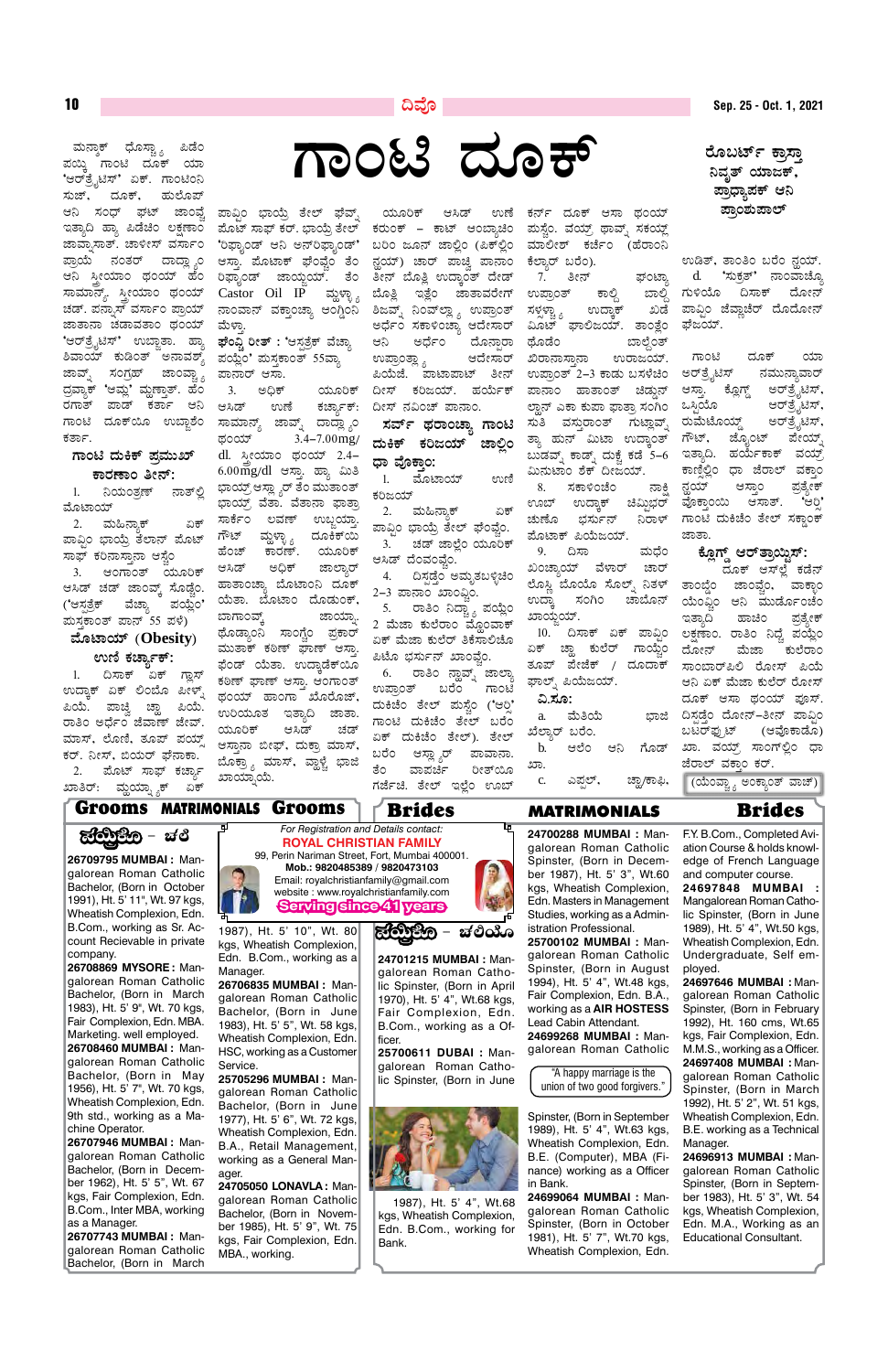ದೂಕ್ 'ಆರ್ತೈಟಿಸ್' ಏಕ್. ಗಾಂಟಿಂನಿ ಹುಲೊಪ್ ಜಾಂವ್ನ ಇತ್ತಾದಿ ಹ್ಯಾ ಪಿಡೆಚಿಂ ಲಕ್ಷಣಾಂ ಜಾವಾ,ಸಾತ್. ಚಾಳೀಸ್ ವರ್ಸಾಂ ಪ್ರಾಯೆ ನಂತರ್ ದಾದ್ಲ್ಯಾಂ ಆನಿ ಸೀಯಾಂ ಥಂಯ್ ಹೆಂ ಸಾಮಾನ್ಯ್. ಸ್ತ್ರೀಯಾಂ ಥಂಯ್ ಚಡ್. ಪನ್ನಾಸ್ ವರ್ಸಾಂ ಪ್ರಾಯ್ ಜಾತಾನಾ ಚಡಾವತಾಂ ಥಂಯ್ 'ಆರ್ತತ್ಪೆಟಿಸ್' ಉಬ್ಲಾತಾ. ಹ್ಯಾ ಶಿವಾಯ್ ಕುಡಿಂತ್ ಅನಾವಶ್ ಜಾವ್ನ್ ಸಂಗ್ರಹ್ ಜಾಂವ್ಚ್ಗ ದ್ರವ್ಯಾಕ್ 'ಆಮ್ಲ' ಮೃಣ್ತಾಶ್. ಹೆಂ ರಗಾತ್ ಪಾಡ್ ಕರ್ತಾ ಆನಿ ಗಾಂಟಿ ದೂಕ್ಯೂ ಉಬ್ಜಾಶಂ ಕರ್ತಾ.

#### <u>ಗಾಂಟಿ ದುಕಿಕ್ ಪ್ರಮುಖ್</u> <u>ಕಾರಣಾಂ ತೀನ್:</u>

1. ನಿಯಂತ್ರಣ್ ನಾತ್ಲಿ ಮೊಟಾಯ್

2. ಮಹಿನ್ಯಾಕ್ ಏಕ್ ಪಾವ್ರಿಂ ಭಾಯ್ರೆ ತೆಲಾನ್ ಪೊಟ್ ಸಾಫ್ ಕರಿನಾಸ್ತಾನಾ ಆಸ್ಟೆಂ 3. ಆಂಗಾಂತ್ ಯೂರಿಕ್ ಆಸಿಡ್ ಚಡ್ ಜಾಂವ್, ಸೊಡ್ಸೆಂ. ('ಆಸ್ಪತ್ರೆಕ್ ವೆಚ್ತಾ ಪಯ್ಲೆ೦' ಮಸಕಾಂತ್ ಪಾನ್ 55 ಪಳೆ)

<sup>10</sup> **¢ªÉÇ Sep. 25 - Oct. 1, 2021**

ರೊಬರ್ಟ್ ಕಾಸ<u>ಾ</u> ನಿವೃತ್ ಯಾಜಕ್ ಪ್ರಾಧ್ಯಾಪಕ್ ಆನಿ ಪಾಂಶುಪಾಲ್

ಉಡಿತ್, ತಾಂತಿಂ ಬರೆಂ ನ್ಲಯ್. d. *'ಸು*ಕ್ಸತ್' ನಾಂವಾಚ್ನೊ ಗುಳಿಯೊ ದಿಸಾಕ್ ದೋನ್ ಪಾವ್ಸಿಂ ಜೆವ್ಲಾಚೆರ್ ದೊದೋನ್ ಘೆಜಯ್.

ಗಾಂಟಿ ದೂಕ್ ಯಾ ಅರ್ತೈಟಿಸ್ ನಮುನ್ತಾವಾರ್ ಆಸ್ತಾ. ಕ್ಲೊಗ್ಡ್ ಅರ್ತತ್ಪ್ರೆಟಿಸ್, ಒಸ್ಗಿಯೊ ಆರ್ತತ್ವೆಟಿಸ್ ರುಮೆಟೊಯ್ಸ್ ಅರ್ತ್ಸೆಟಿಸ್, ಗೌಟ್, ಜ್ನೊಂಟ್ ಪೇಯ್ ಇತ್ತಾದಿ. ಹರ್ಯೆಕಾಕ್ ವಯ್ಸ್ ಕಾಣಿಲ್ಲಿಂ ಧಾ ಜೆರಾಲ್ ವಕ<u>ಾ</u>ಂ ನ್ಹಯ್ ಆಸ್ತಾಂ ಪ್ರತ್ಯೇಕ್ ವೊಕ್ತಾಂಯಿ ಆಸಾತ್. 'ಆರ್ರಿ ಗಾಂಟಿ ದುಕಿಚೆಂ ತೇಲ್ ಸಕ್ತಾಂಕ್ ಜಾತಾ

#### <u>ಕ್ಲೂ</u>ಗ್ಡ್ ಆರ್**ತ್ರಾಯ್ಡಿಸ್**:

ದೂಕ್ ಆಸ್್ಲಲೆ ಕಡೆನ್ ತಾಂಬ್ಡೆಂ ಜಾಂಪ್ಚೆಂ, ವಾಕ್ಟಾಂ<br>ಯೆಂಫ಼ಂ ಆನಿ ಮುರ್ಡೊಂಚೆಂ ಆನಿ ಮುರ್ಡೊಂಚೆಂ ಇತ್ತಾದಿ ಹಾಚಿಂ ಪ್ರತ್ಯೇಕ್ ಲಕ್ಷಣಾಂ. ರಾತಿಂ ನಿಧ್ವೆ ಪಯ್ಲೆಂ ದೋನ್ ಮೆಜಾ ಕುಲೆರಾಂ ಸಾಂಬಾರ್ಪಿಲಿ ರೋಸ್ ಪಿಯೆ ಆನಿ ಏಕ್ ಮೆಜಾ ಕುಲೆರ್ ರೋಸ್ ದೂಕ್ ಆಸಾ ಥಂಯ್ ಪೂಸ್. ದಿಸಡೆಂ ದೋನ್–ತೀನ್ ಪಾವಿಂ ಬಟರ್ಫ್ರುಟ್ (ಆವೊಕಾಡೊ) ಖಾ. ವಯ್ಸ್ ಸಾಂಗ್ಲಲಿಂ ಧಾ ಜೆರಾಲ್ ವಕಾಂ ಕರ್.

(ಯೆಂವ್ಟ್ನಾ ಅಂಕ್ನಾಂತ್ ವಾಚ್)

"A happy marriage is the union of two good forgivers."

1983), Ht. 5' 9", Wt. 70 kgs, Fair Complexion, Edn. MBA. Marketing. well employed. **26708460 MUMBAI :** Mangalorean Roman Catholic Bachelor, (Born in May 1956), Ht. 5' 7", Wt. 70 kgs, Wheatish Complexion, Edn. 9th std., working as a Machine Operator.



**26707946 MUMBAI :** Mangalorean Roman Catholic Bachelor, (Born in December 1962), Ht. 5' 5", Wt. 67 kgs, Fair Complexion, Edn. B.Com., Inter MBA, working as a Manager.

**26707743 MUMBAI :** Mangalorean Roman Catholic Bachelor, (Born in March

Bachelor, (Born in June 1983), Ht. 5' 5", Wt. 58 kgs, Wheatish Complexion, Edn. HSC, working as a Customer Service.

**25705296 MUMBAI :** Mangalorean Roman Catholic Bachelor, (Born in June 1977), Ht. 5' 6", Wt. 72 kgs, Wheatish Complexion, Edn. B.A., Retail Management, working as a General Manager.

**24705050 LONAVLA :** Mangalorean Roman Catholic Bachelor, (Born in November 1985), Ht. 5' 9", Wt. 75 kgs, Fair Complexion, Edn. MBA., working.

Fair Complexion, Edn. B.Com., working as a Officer.

**25700611 DUBAI :** Mangalorean Roman Catholic Spinster, (Born in June



#### **ªÉÆmÁAiÀiï (Obesity)**  <u>ಉಣಿ ಕರ್ಚ್ಯಾ</u>ಕ್:

1. ದಿಸಾಕ್ ಏಕ್ ಗ್ಲಾಸ್ ಉದ್ತಾಕ್ ಏಕ್ ಲಿಂಬೊ ಪೀಳ್ನ್ ಪಿಯೆ. ಪಾಚ್ವಿ ಚ್<mark>ಲಾ</mark> ಪಿಯೆ. ರಾತಿಂ ಅರ್ಧೆಂ ಜೆವಾಣ್ ಜೇವ್. ಮಾಸ್, ಲೊಣಿ, ತೂಪ್ ಪಯ್ ಕರ್. ನೀಸ್, ಬಿಯರ್ ಫೆನಾಕಾ. 2. ಮೊಟ್ ಸಾಫ್ ಕರ್ಚ್ನಾ ಖಾತಿರ್: ಮ್ದಯ್ಫ್ಯಾಕ್ ಏಕ್

> Spinster, (Born in February 1992), Ht. 160 cms, Wt.65 kgs, Fair Complexion, Edn. M.M.S., working as a Officer. **24697408 MUMBAI :** Mangalorean Roman Catholic Spinster, (Born in March 1992), Ht. 5' 2", Wt. 51 kgs, Wheatish Complexion, Edn. B.E. working as a Technical Manager.

> **24696913 MUMBAI :** Mangalorean Roman Catholic Spinster, (Born in September 1983), Ht. 5' 3", Wt. 54 kgs, Wheatish Complexion, Edn. M.A., Working as an Educational Consultant.

working as a **Air Hostess** Lead Cabin Attendant. **24699268 MUMBAI :** Mangalorean Roman Catholic

Spinster, (Born in September 1989), Ht. 5' 4", Wt.63 kgs, Wheatish Complexion, Edn. B.E. (Computer), MBA (Finance) working as a Officer in Bank.

**24699064 MUMBAI :** Mangalorean Roman Catholic Spinster, (Born in October 1981), Ht. 5' 7", Wt.70 kgs, Wheatish Complexion, Edn.

1987), Ht. 5' 4", Wt.68 kgs, Wheatish Complexion, Edn. B.Com., working for Bank.

**UÁAn zÀÆPï** ªÀÄ£ÁêPï zsÉÆ¸ÁÑ÷å ¦qÉA

ಪಾವ್ನಿಂ ಭಾಯ್ರೆ ತೇಲ್ ಘೆವ್ನ್ ಪೊಟ್ ಸಾಫ್ ಕರ್. ಭಾಯ್ರೆ ತೇಲ್ 'ರಿಫ್ಯಾಂಡ್ ಆನಿ ಅನ್ರ್ಫ್ಯಾಂಡ್' ಆಸ್ತಾ. ಪೊಟಾಕ್ ಫೆಂವ್ವೆಂ ತೆಂ ರಿಫ್ಟಾಂಡ್ ಜಾಯ್ಜಯ್. ತೆಂ Castor Oil IP ಮ್ಹಳ್ಳಾ<sub>ನಿ</sub> ನಾಂವಾನ್ ವಕ್ತಾಂಚ್ಯಾ ಆಂಗ್ಡಿಂನಿ ಮೆಳಾ.

**ಘೆಂ**ವ್ವಿ ರೀತ್ : 'ಆಸ್ಪತ್ರೆಕ್ ವೆಚ್ಯಾ ಪಯ್ಲೆಂ' ಮಸ್ತಕಾಂತ್ 55ವ್ಯಾ ಪಾನಾರ್ ಆಸಾ.

3. ಅಧಿಕ್ ಯೂರಿಕ್ ಆಸಿಡ್ ಉಣೆ ಕರ್ಚ್ಯಾಕ್: ಸಾಮಾನ್ಯ್ ಜಾವ್ನ್ ದಾದ್ಲ್ಯಾಂ ಥಂಯ್ 3.4–7.00mg/  $dl.$   $\lambda$  $\epsilon$ ಯಾಂ ಥಂಯ್ 2.4-6.00mg/dl ಆಸ್ತಾ. ಹ್ಯಾ ಮಿತಿ ಭಾಯ್ರ್ ಆಸ್ಲ್ಯಾರ್ ತೆಂ ಮುತಾಂತ್ ಭಾಯ್. ವೆತಾ. ವೆತಾನಾ ಫಾತಾ ಸಾರ್ಕೆಂ ಲವಣ್ ಉಬ್ಜಯ್ತಾ ಗೌಟ್ ಮ್ದಳ್ಳಾ<sub> $\delta$ </sub> ದೂಕಿಕ್**ಯಿ** ಹೆಂಚ್ ಕಾರಣ್. ಯೂರಿಕ್ ಆಸಿಡ್ ಅಧಿಕ್ ಜಾಲ್ಶಾರ್ ಹಾತಾಂಚ್ಯಾ ಬೊಟಾಂನಿ ದೂಕ್ ಯೆತಾ. ಬೊಟಾಂ ದೊಡುಂಕ್, ಬಾಗಾಂವ್ತ್ ಜಾಯ್ಸಾ ಥೊಡ್ಯಾಂನಿ ಸಾಂಗ್ಚೆಂ ಪ್ರಕಾರ್ ಮುತಾಕ್ ಕಠಿಣ್ ಘಾಣ್ ಆಸ್ತಾ ಫೆಂಡ್ ಯೆತಾ. ಉದ್ರಾಡೆಕ್ಯೂ ಕಠಿಣ್ ಘಾಣ್ ಆಸ್ತಾ. ಆಂಗಾಂತ್ ಥಂಯ್ ಹಾಂಗಾ ಖೊರೊಜ್, ಉರಿಯೂತ ಇತ್ತಾದಿ ಜಾತಾ. ಯೂರಿಕ್ ಆಸಿಡ್ ಚಡ್ ಆಸ್ತಾನಾ ಬೀಫ್, ದುಕ್ತಾ ಮಾಸ್, ಬೊಕ್ರ್ಯಾ ಮಾಸ್, ವ್ಹಾಳ್ಚೆ ಭಾಜಿ ಖಾಯ್ಸಾಯೆ.

ಯೂರಿಕ್ ಆಸಿಡ್ ಉಣೆ ಕರುಂಕ್ – ಕಾಟ್ ಆಂಬ್ಯಾಚಿಂ ಬರಿಂ ಜೂನ್ ಜಾಲ್ಲಿಂ (ಪಿಕ್ಲ್ಲಿಂ ನ್ದಯ್) ಚಾರ್ ಪಾಚ್ರಿ ಪಾನಾಂ ತೀನ್ ಬೊತ್ತಿ ಉದ್ರಾಂತ್ ದೇಡ್ ಬೊತ್ಲಿ ಇತ್ಲೆಂ ಜಾತಾವರೇಗ್ ಶಿಜವ್ನ್ ನಿಂವ್**ಲ್ಲ್ರ್ಸ್ ಉಪ್ರಾಂ**ತ್ ಅರ್ಧೆಂ ಸಕಾಳಿಂಚ್ನಾ ಆದೇಸಾರ್ ಆನಿ ಅರ್ಧೆಂ ದೊನಾರಾ ಉಪ್ರಾಂತ್ಲ್ಯಾ ಆದೇಸಾರ್ ಪಿಯೆಜೆ. ಪಾಟಾಪಾಟ್ ತೀನ<u>್</u> ದೀಸ್ ಕರಿಜಯ್. ಹರ್ಯೆಕ್ ದೀಸ್ ನವಿಂಚ್ ಪಾನಾಂ.

ಸರ್ವ್ ಥರಾಂಚ್ನಾ ಗಾಂಟ<u>ಿ</u> ದುಕಿಕ್ ಕರಿಜಯ್ **ಜಾಲಿಂ** ಧಾ ವೊಕ<u>ಾ</u>ಂ:

1. ಮೊಟಾಯ್ ಉಣಿ ಕರಿಜಯ್

2. ಮಹಿನ್ಸಾಕ್ ಏಕ್ ಪಾವ್ಗಿಂ ಭಾಯ್ರೆ ತೇಲ್ ಘೆಂವ್ತೆಂ. 3. ಚಡ್ ಜಾಲೆಂ ಯೂರಿಕ್ ಆಸಿಡ್ ದೆಂವಂವ್ವೆಂ.

4. ದಿಸ್ಪಡ್ಗೆಂ ಅಮೃತಬಳ್ಳಿಚಿಂ 2-3 ಪಾನಾಂ ಖಾಂಫ಼ಿಂ.

5. ರಾತಿಂ ನಿದ್ವ್ಯಾ ಪಯ್ಲೆಂ 2 ಮೆಜಾ ಕುಲೆರಾಂ ಮ್ಲೊಂವಾಕ್ ಏಕ್ ಮೆಜಾ ಕುಲೆರ್ ತಿಕೆಸಾಲಿಚೊ ಪಿಟೊ ಭರ್ಸುನ್ ಖಾಂವ್ವೆಂ.

6. ರಾತಿಂ ನ್ಹಾವ್ನ್ ಜಾಲ್ಯಾ ಉಪ್ರಾಂತ್ ಬರೆಂ ಗಾಂಟಿ ದುಕಿಚೆಂ ತೇಲ್ ಮಸ್ಟೆಂ ('ಆರ್ ಗಾಂಟಿ ದುಕಿಚೆಂ ತೇಲ್ ಬರೆಂ ಏಕ್ ದುಕಿಚೆಂ ತೇಲ್). ತೇಲ್ ಬರೆಂ ಆಸ್ಲ್ಯಾರ್ ಪಾವಾನಾ. ತೆಂ ವಾಪರ್ಚಿ ರೀತ್ಯೂ ಗರ್ಜೆಚಿ. ತೇಲ್ ಇಲ್ಲೆಂ ಊಬ್

ಕರ್ನ್ ದೂಕ್ ಆಸಾ ಥಂಯ್ ಹುಸ್ಟೆಂ. ವಯ್, ಥಾವ್ಸ್ ಸಕಯ್<u>ಜ</u>್ ಮಾಲೀಶ್ ಕರ್ಚೆಂ (ಹೆರಾಂನಿ ಕೆಲ್ತಾರ್ ಬರೆಂ). 7. ತೀನ್ ಫ್೦ಟ್ನಾ ಉಪ್ರಾಂತ್ ಕಾಲ್ದಿ ಬಾಲ್ದಿ ಸಳ್ವಳ್ಳಾ<sub>, ಸ</sub>ಂದ್ರಾಕ್ ಖಡೆ ಮಿೂಟ್ ಘಾಲಿಜಯ್. ತಾಂತ್ಲೆಂ ಥೊಡೆಂ ಬಾಲ್ಗೆಂತ್ ಖಿರಾನಾಸ್ತಾನಾ ಉರಾಜಯ್. ಉಪ್ರಾಂತ್ 2–3 ಕಾಡು ಬಸಳೆಚಿಂ ಪಾನಾಂ ಹಾತಾಂತ್ ಚಿಡ್ಡುನ್ ಲ್ಹಾನ್ ಎಕಾ ಕುಪಾ ಫಾತ್ರಾ ಸಂಗಿಂ ಸುತಿ ವಸ್ತುರಾಂತ್ ಗುಟ್ಲಾವ್ಶ್ ತ್ಯಾ ಹುನ್ ಮಿಟಾ ಉದ್ತಾಂತ್ ಬುಡವ್ನ್ ಕಾಡ್ನ್ ದುಕ್ಚೆ ಕಡೆ 5–6 ಮಿನುಟಾಂ ಶೆಕ್ ದೀಜಯ್.

8. ಸಕಾಳಿಂಚೆಂ ನಾಕ್ಷಿ ಊಬ್ ಉದ್ಕಾಕ್ ಚಿಮ್ಟಿಭರ್<br>ಚುಣೊ ಭರ್ಸುನ್ ನಿರಾಳ್ ಚುಣೊ ಭರ್ಸುನ್ ಪೊಟಾಕ್ ಪಿಯೆಜಯ್.

9. ದಿಸಾ ಮಧೆಂ ಖಂಚ್ನಾಯ್ ವೆಳಾರ್ ಚಾರ್ ಲೊಸ್ಲಿ ಬೊಯೊ ಸೊಲ್ನ್ ನಿತಳ್ ಉದ್ತಾ ಸಂಗಿಂ ಚಾಬೊನ್ ಖಾಯ್ತಯ್.

10. ದಿಸಾಕ್ ಏಕ್ ಪಾವ್ಗಿಂ ಏಕ್ ಚ್ಹಾ ಕುಲೆರ್ ಗಾಯ್ಚೆಂ ತೂಪ್ ಪೇಜೆಕ್ / ದೂದಾಕ್ ಫಾಲ್ನ್ ಪಿಯೆಜಯ್.

<u>ನಿ.ಸೂ:</u> a. ಮೆತಿಯೆ ಭಾಜಿ ಖೆಲ್ಕಾರ್ ಬರೆಂ. b. ಆಲೆಂ ಆನಿ ಗೊಡ್ ಖಾ.

c. ಎಪ್ಪಲ್, ಚ್ಲಾ/ಕಾಫಿ,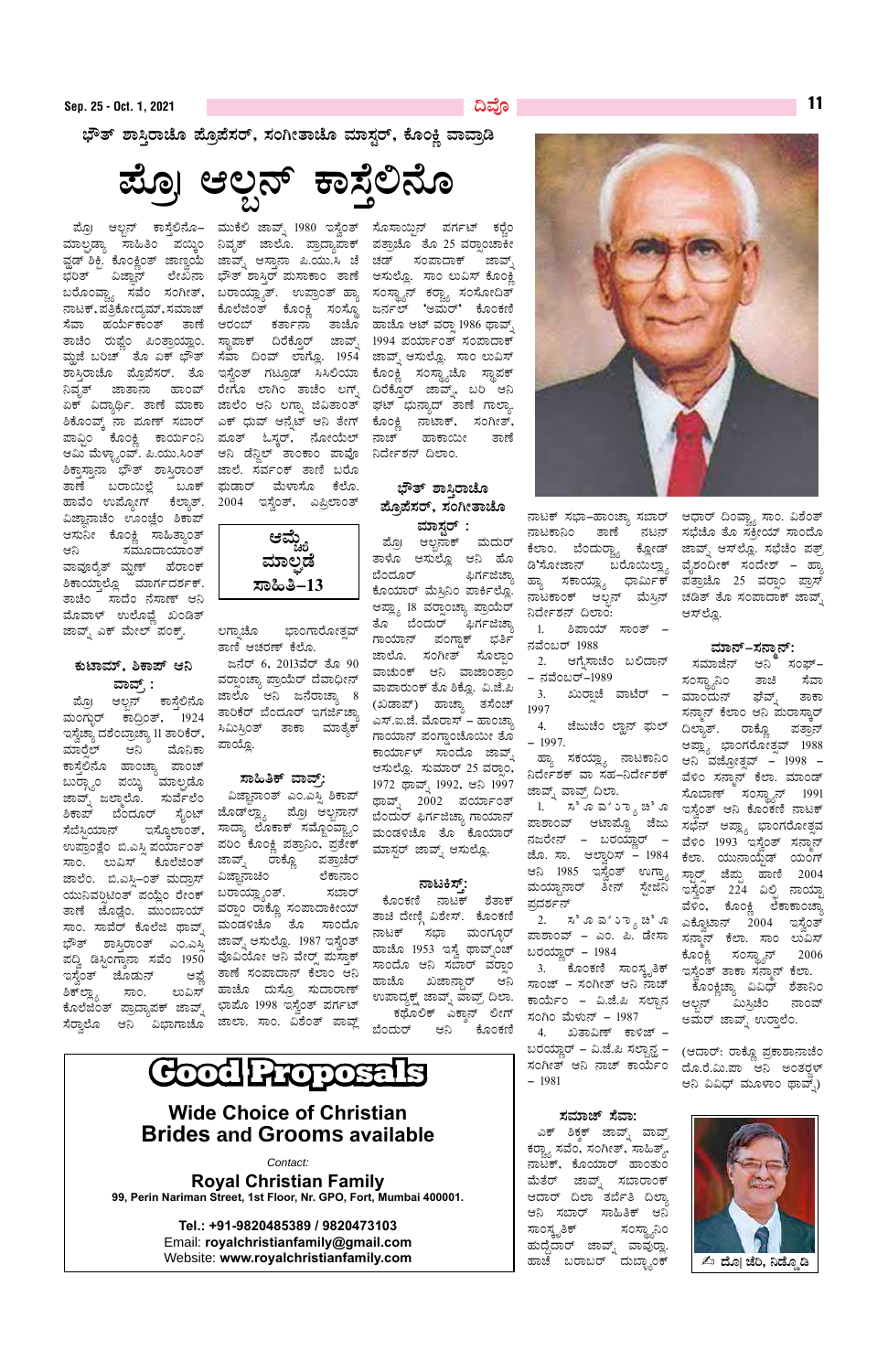ಭೌತ್ ಶಾಸ್ತಿರಾಚೊ ಪ್ರೊಪೆಸರ್, ಸಂಗೀತಾಚೊ ಮಾಸ್ಟರ್, ಕೊಂಕ್ಷಿ ವಾವ್ರಾಡಿ

ಪ್ರೊ ಆಲ್ಬನ್ ಕಾಸ್ತೆಲಿನೊ

ಶಿಕ್ತಾಸ್ತಾನಾ ಭೌತ್ ಶಾಸ್ತಿರಾಂತ್ ಜಾಲೆ. ಸರ್ವಂಕ್ ತಾಣಿ ಬರೊ ತಾಣೆ ಬರಾಯಿಲ್ಲೆ ಹಾವೆಂ ಉಪ್ಯೋಗ್ ಕೆಲ್ಯಾತ್. 2004 ಇಸ್ವೆಂತ್, ಎಪ್ರಿಲಾಂತ್ ವಿಜ್ಞಾನಾಚೆಂ ಊಂಜ್ಲೆಂ ಶಿಕಾಪ್ ಆಸುನೀ ಕೊಂಕ್ಲಿ ಸಾಹಿತ್ಯಾಂತ್ ಸಮೂದಾಯಾಂತ್ ಆನಿ ವಾವೂರೈತ್ ಮ್ದಣ್ ಹೆರಾಂಕ್ ಶಿಕಾಯ್ತಾಲ್ಲೊ ಮಾರ್ಗದರ್ಶಕ್. ತಾಚೆಂ ಸಾದೆಂ ನೆಸಾಣ್ ಆನಿ ಮೊವಾಳ್ ಉಲೊವ್ಣೆ ಖಂಡಿತ್ ಜಾವ್ನ್ ಎಕ್ ಮೇಲ್ ಪಂಕ್ತ್.

#### ಕುಟಾಮ್, ಶಿಕಾಪ್ ಆನಿ ವಾವ್, :

ಪ್ರೊ। ಆಲ್ಬನ್ ಕಾಸ್ತೆಲಿನೊ ಮಂಗ್ಬುರ್ ಕಾದ್ರಿಂತ್, 1924 ಇಸ್ವೆಚ್ಯಾ ದಶೆಂಬ್ರಾಚ್ಯಾ 11 ತಾರಿಕೆರ್, ಮಾರ್ರೆಲ್ ಆನಿ ಮೊನಿಕಾ ಕಾಸ್ತೆಲಿನೊ ಹಾಂಚ್ಯಾ ಪಾಂಚ್ ಬುರ್ಗ್ಗಾಂ ಪಯ್ಕಿ ಮಾಲ್ಪಡೊ ಜಾವ್ನ್ ಜಲ್ಮಾಲೊ. ಸುರ್ವೆಲೆಂ ಶಿಕಾಪ್ ಬೆಂದೂರ್ ಸೈಂಟ್ ಜೊಡ್**ಲ್ಲ್ಯಾ ಪ್ರೊ ಆಲ್ಬ**ನಾನ್ ಸೆಬೆಸ್ಟಿಯಾನ್ ಇಸ್ಕೊಲಾಂತ್, ಉಪ್ರಾಂತ್ಲೆಂ ಬಿ.ಎಸ್ಪಿ ಪರ್ಯಾಂತ್ ಸಾಂ. ಲುವಿಸ್ ಕೊಲೆಜಿಂತ್ ಜಾಲೆಂ. ಬಿ.ಎಸ್ಸಿ–೦ತ್ ಮದ್ರಾಸ್ ಯುನಿವರ್ರಿಟಿಂತ್ ಪಯ್ಲೆಂ ರೇಂಕ್ ಬರಾಯ್ಲ್ಯಾಂತ್. ತಾಣೆ ಜೊಡ್ಲೆಂ. ಮುಂಬಾಯ್ ಸಾಂ. ಸಾವೆರ್ ಕೊಲೆಜಿ ಥಾವ್ಶ್ ಭೌತ್ ಶಾಸ್ತಿರಾಂತ್ ಎಂ.ಎಸ್ತಿ ಜಾವ್ನ್ ಆಸುಲ್ಲೊ. 1987 ಇಸ್ಲೆಂತ್ ಪದ್ವಿ ಡಿಸ್ಟಿಂಗ್ಶಾನಾ ಸವೆಂ 195 $\overset{\sim}{0}$  ವೊವಿಯೋ ಆನಿ ವೇರ್ಸ್ ಪುಸ್ತಾಕ್ ಇಸ್ತೆಂತ್ ಜೊಡುನ್ ಶಿಕ್ಊ್ಯ ಲುವಿಸ್ ಸಾಂ.

ಪ್ರೊ ಆಲ್ಬನ್ ಕಾಸ್ತೆಲಿನೊ– ಮುಕೆಲಿ ಜಾವ್ನ್ 1980 ಇಸ್ವೆಂತ್ ಸೊಸಾಯ್ಟಿನ್ ಪರ್ಗಟ್ ಕರ್ರ್ಡೆಂ ಮಾಲ್ಟಡ್ಯಾ ಸಾಹಿತಿಂ ಪಯ್ಕಿಂ ನಿವೃತ್ ಜಾಲೊ. ಪ್ರಾದ್ಯಾಪಾಕ್ ಪತ್ರಾಚೊ ತೊ 25 ವರ್ರಾಂಚಾಕೀ ವ್ಹಡ್ ಶಿಕ್ಷಿ. ಕೊಂಕ್ಲಿಂತ್ ಜಾಣ್ವಯೆ ಜಾವ್ನ್ ಆಸ್ತಾನಾ ಪಿ.ಯು.ಸಿ ಚೆ ಚಡ್ ಸಂಪಾದಾಕ್ ಜಾವ್ನ್ ಭರಿತ್ ವಿಜ್ಞಾನ್ ಲೇಖನಾ ಭೌತ್ ಶಾಸ್ತಿರ್ ಮಸಾಕಾಂ ತಾಣೆ ಆಸುಲ್ಲೊ. ಸಾಂ ಲುವಿಸ್ ಕೊಂಕ್ಲಿ ಬರೊಂವ್ಚ್ಯಾ ಸವೆಂ ಸಂಗೀತ್, ಬರಾಯ್ಲ್ಯಾತ್. ಉಪ್ರಾಂತ್ ಹ್ಯಾ ಸಂಸ್ಥ್ಯಾನ್ ಕರ್ರ್ಚ್ಯಾ ಸಂಸೋದಿತ್ ನಾಟಕ್, ಪತ್ರಿಕೋದ್ಯಮ್, ಸಮಾಜ್ ಕೊಲೆಜಿಂತ್ ಕೊಂಕ್ಲಿ ಸಂಸ್ಥೊ ಜರ್ನಲ್ 'ಅಮರ್' ಕೊಂಕಣಿ ಸೆವಾ ಹರ್ಯೆಕಾಂತ್ ತಾಣೆ ಆರಂಬ್ ಕರ್ತಾನಾ ತಾಚೊ ಹಾಚೊ ಆಟ್ ವರ್ತಾ 1986 ಥಾವ್ಸ್ ತಾಚೆಂ ರುಪ್ಣೆಂ ಪಿಂತ್ರಾಯ್ಲಾಂ. ಸ್ಥಾಪಾಕ್ ದಿರೆಕ್ತೊರ್ ಜಾವ್ನ್ 1994 ಪರ್ಯಾಂತ್ ಸಂಪಾದಾಕ್ ಮ್ಲಜೆ ಬರಿಚ್ ತೊ ಏಕ್ ಭೌತ್ ಸೆವಾ ದಿಂವ್ ಲಾಗ್ಲೊ. 1954 ಜಾವ್ನ್ ಆಸುಲ್ಲೊ. ಸಾಂ ಲುವಿಸ್ ಶಾಸ್ತಿರಾಚೊ ಪ್ರೊಪೆಸರ್. ತೊ ಇಸ್ವೆಂತ್ ಗಟ್ರೂಡ್ ಸಿಸಿಲಿಯಾ ಕೊಂಕ್ಲಿ ಸಂಸ್ಥ್ಯಾಚೊ ಸ್ಥಾಪಕ್ ನಿವೃತ್ ಜಾತಾನಾ ಹಾಂವ್ ರೇಗೊ ಲಾಗಿಂ ತಾಚೆಂ ಲಗ್ನ್ ದಿರೆಕ್ತೊರ್ ಜಾವ್ನ್, ಬರಿ ಆನಿ ಏಕ್ ವಿದ್ಯಾರ್ಥಿ. ತಾಣೆ ಮಾಕಾ ಜಾಲೆಂ ಆನಿ ಲಗ್ನಾ ಜಿವಿತಾಂತ್ ಘಟ್ ಭುನ್ಯಾದ್ ತಾಣೆ ಗಾಲ್ಯಾ. ಶಿಕೊಂವ್ಕ್ ನಾ ಪೂಣ್ ಸಬಾರ್ ಎಕ್ ಧುವ್ ಆನ್ನೆಟ್ ಆನಿ ತೇಗ್ ಕೊಂಕ್ಲಿ ನಾಟಾಕ್, ಸಂಗೀತ್, ಪಾವ್ಟಿಂ ಕೊಂಕ್ಲಿ ಕಾರ್ಯಂನಿ ಪೂತ್ ಓಸ್ಕರ್, ನೋಯೆಲ್ ನಾಚ್ ಹಾಕಾಯೀ ಆಮಿ ಮೆಳ್ಳ್ಯಾಂವ್. ಪಿ.ಯು.ಸಿಂತ್ ಆನಿ ಡೆನ್ಜಿಲ್ ತಾಂಕಾಂ ಪಾವೊ ನಿರ್ದೇಶನ್ ದಿಲಾಂ. ಬೂಕ್ ಘುಡಾರ್ ಮೆಳಾಸೊ ಕೆಲೊ.



ಲಗ್ನಾಚೊ ಭಾಂಗಾರೋತ್ಸವ್ ತಾಣಿ ಆಚರಣ್ ಕೆಲೊ. ಜನೆರ್ 6, 2013ವೆರ್ ತೊ 90 ವರ್ರಾಂಚ್ಯಾ ಪ್ರಾಯೆರ್ ದೆವಾಧೀನ್ ಜಾಲೊ ಆನಿ ಜನೆರಾಚ್ಯಾ  $8<sup>8</sup>$ ತಾರಿಕೆರ್ ಬೆಂದೂರ್ ಇಗರ್ಜಿಚ್ಯಾ ಸಿಮಿಸ್ರಿಂತ್ ತಾಕಾ ಮಾತ್ಮೆಕ್ ಪಾಯ್ಲೊ.

#### ಸಾಹಿತಿಕ್ ವಾವ್ರ್:

ವಿಜ್ಞಾನಾಂತ್ ಎಂ.ಎಸ್ಸಿ ಶಿಕಾಪ್ ಸಾದ್ಯಾ ಲೊಕಾಕ್ ಸಮ್ಜೊಂವ್ಲ್ಯಾಂ ಪರಿಂ ಕೊಂಕ್ಲಿ ಪತ್ರಾನಿಂ, ಪ್ರತೇಕ್ ಪತ್ರಾಚೆರ್ ಜಾವ್ನ್ ರಾಕ್ಣೊ ಲೆಕಾನಾಂ ವಿಜ್ಞಾನಾಚಿಂ ಸಬಾರ್ ವರ್ರಾಂ ರಾಕ್ಣೊ ಸಂಪಾದಾಕೀಯ್ ಮಂಡಳಿಚೊ ತೊ ಸಾಂದೊ ಆಫ್ಞೆ ತಾಣೆ ಸಂಪಾದಾನ್ ಕೆಲಾಂ ಆನಿ ಹಾಚೊ ದುಸ್ರೊ ಸುದಾರಾಣ್

ತಾಣೆ

# ಭೌತ್ ಶಾಸಿರಾಚೊ ಪ್ರೊಪೆಸರ್, ಸಂಗೀತಾಚೊ

ಮಾಸ್ಟರ್ : ಪ್ರೂ1 ಆಲ್ಬನಾಕ್ ಮದುರ್ ತಾಳೊ ಆಸುಲ್ಲೊ ಆನಿ ಹೊ ಫಿರ್ಗಜಿಚ್ಯಾ ಬೆಂದೂರ್ ಕೊಯಾರ್ ಮೆಸ್ರಿನಿಂ ಪಾರ್ಕಿಲ್ಲೊ. ಆಪ್ಲ್ಯಾ 18 ವರ್ರಾಂಚ್ಯಾ ಪ್ರಾಯೆರ್ ತೊ ಬೆಂದುರ್ ಫಿರ್ಗಜಿಚ್ಯಾ ಗಾಯಾನ್ ಪಂಗ್ಡಾಕ್ ಭರ್ತಿ ಜಾಲೊ. ಸಂಗೀತ್ ಸೊಲ್ಪಾಂ ವಾಚುಂಕ್ ಆನಿ ವಾಜಾಂತ್ರಾಂ ವಾಪಾರುಂಕ್ ತೊ ಶಿಕ್ಲೊ. ವಿ.ಜೆ.ಪಿ (ಖಡಾಪ್) ಹಾಚ್ಯಾ ತಸೆಂಚ್ ಎಸ್.ಐ.ಜೆ. ಮೊರಾಸ್ – ಹಾಂಚ್ಯಾ ಗಾಯಾನ್ ಪಂಗ್ಡಾಂಚೊಯೀ ತೊ ಕಾರ್ಯಾಳ್ ಸಾಂದೊ ಜಾವ್ನ್ ಆಸುಲ್ಲೊ. ಸುಮಾರ್ 25 ವರ್ರಾಂ, 1972 ಥಾವ್ನ್ 1992, ಆನಿ 1997 ಥಾವ್ನ್ 2002 ಪರ್ಯಾಂತ್ ಬೆಂದುರ್ ಫಿರ್ಗಜಿಚ್ಯಾ ಗಾಯಾನ್ ಮಂಡಳಿಚೊ ತೊ ಕೊಯಾರ್ ಮಾಸ್ಟರ್ ಜಾವ್ನ್ ಆಸುಲ್ಲೊ.

#### ನಾಟಕಿಸ್:

ಕೊಂಕಣಿ ನಾಟಕ್ ಶೆತಾಕ್ ತಾಚಿ ದೇಣ್ಗೆ ವಿಶೇಸ್. ಕೊಂಕಣಿ ನಾಟಕ್ ಸಭಾ ಮಂಗ್ಛೂರ್ ಹಾಚೊ 1953 ಇಸ್ವೆ ಥಾವ್ನ್ಂಚ್ ಸಾಂದೊ ಆನಿ ಸಬಾರ್ ವರ್ರಾಂ ಹಾಚೊ ಖಜಾನ್ದಾರ್ ಆನಿ ಉಪಾದ್ಯಕ್ಷ್ ಜಾವ್ನ್ ವಾವ್ರ್ ದಿಲಾ. ಕಾರ್ಯಂ – ವಿ.ಜೆ.ಪಿ ಸಲ್ದಾನ



ನಾಟಕಾನಿಂ ತಾಣೆ ಕೆಲಾಂ. ಬೆಂದುರ್<sub>ಜು</sub> ಡಿ'ಸೋಜಾನ್ ಬರೊಯಿಲ್ಲ್ಯಾ ಹ್ಯಾ ಸಕಾಯ್ಲ್ಯಾ ಧಾರ್ಮಿಕ್ ನಾಟಕಾಂಕ್ ಆಲ್ಬನ್ ಮೆಸ್ರಿನ್ ಚಡಿತ್ ತೊ ಸಂಪಾದಾಕ್ ಜಾವ್ನ್ ನಿರ್ದೇಶನ್ ದಿಲಾಂ:

1. ಶಿಪಾಯ್ ಸಾಂತ್ – ನವೆಂಬರ್ 1988 2. ಆಗೈಸಾಚೆಂ ಬಲಿದಾನ್

– ನವೆಂಬರ್–1989 ಖುರ್ರಾಚೆ ವಾಟೆರ್ –  $3.$ 1997

ಜೆಜುಚೆಂ ಲ್ಹಾನ್ ಘುಲ್ 4.  $-1997.$ 

ನಿರ್ದೇಶಕ್ ವಾ ಸಹ–ನಿರ್ದೇಶಕ್ ಜಾವ್ನ್ ವಾವ್ರ್ ದಿಲಾ.

1. సి.ంబిఎెం<sub>ఠ</sub> జి.ం ಪಾಶಾಂವ್ ಆಟಾಷ್ಚೊ ಜೆಜು ನಜರೇನ್ – ಬರಯ್ಣಾರ್ – ಜೊ. ಸಾ. ಆಲ್ವಾರಿಸ್ – 1984 ಆನಿ 1985 ಇಸ್ವೆಂತ್ ಉಗ್ತ್ಯಾ ಮಯ್ದಾನಾರ್ ತೀನ್ ಸ್ಟೇಜಿನಿ ಪ್ರದರ್ಶನ್

ಪಾಶಾಂವ್ – ಎಂ. ಪಿ. ಡೇಸಾ ಬರಯ್ಲಾರ್ – 1984

3. ಕೊಂಕಣಿ ಸಾಂಸ್ಕೃತಿಕ್ ಸಾಂಜ್ – ಸಂಗೀತ್ ಆನಿ ನಾಚ್

ನಾಟಕ್ ಸಭಾ–ಹಾಂಚ್ಯಾ ಸಬಾರ್ ಆಧಾರ್ ದಿಂವ್ಚ್ಯಾ ಸಾಂ. ವಿಶೆಂತ್ ್ ನಟನ್ ಸಭೆಚೊ ತೊ ಸಕ್ತೀಯ್ ಸಾಂದೊ ಕ್ಲೋಡ್ ಜಾವ್ನ್ ಆಸ್ಲ್ಲೊ. ಸಭೆಚೆಂ ಪತ್ರ್ ವೈಶಂದೀಕ್ ಸಂದೇಶ್ – ಹ್ಯಾ ಪತ್ರಾಚೊ 25 ವರ್ರಾಂ ಪ್ರಾಸ್ ಆಸ್ಟ್ರೊ.

#### ಮಾನ್–ಸನ್ತಾನ್:

ಸಮಾಜೆನ್ ಆನಿ ಸಂಘ್– ಸಂಸ್ಥ್ಯಾನಿಂ ತಾಚಿ ಸೆವಾ ಘೆವ್ನ್ ಮಾಂದುನ್ ತಾಕಾ ಸನ್ಮಾನ್ ಕೆಲಾಂ ಆನಿ ಮರಾಸ್ಕಾರ್ ದಿಲ್ಯಾತ್. ರಾಕ್ಡೊ ಪತ್ರಾನ್ ಆಪ್ಲ್ಯಾ ಭಾಂಗರೋತ್ಸವ್ 1988 ಹ್ಯಾ ಸಕಯ್ಲ್ಯಾ ನಾಟಕಾನಿಂ ಆನಿ ವಜ್ರೋತ್ಸವ್ – 1998 – ವೆಳಿಂ ಸನ್ಮಾನ್ ಕೆಲಾ. ಮಾಂಡ್ ಸೊಬಾಣ್ ಸಂಸ್ಥ್ಯಾನ್ 1991 ಇಸ್ತೆಂತ್ ಆನಿ ಕೊಂಕಣಿ ನಾಟಕ್ ಸಭೆನ್ ಆಪ್ಲ್ಯಾ ಭಾಂಗರೋತ್ಸವ ವೆಳಿಂ 1993 ಇಸ್ಲೆಂತ್ ಸನ್ಮಾನ್ ಕೆಲಾ. ಯುನಾಯ್ಟೆಡ್ ಯಂಗ್ ಸ್ಟಾರ್ ಜೆಪ್ಪು ಹಾಣಿ 2004 ಇಸ್ಲೆಂತ್ 224 ವಿಲ್ಪಿ ನಾಯ್ಬಾ ವೆಳಿಂ, ಕೊಂಕ್ಣಿ ಲೆಕಾಕಾಂಚ್ಯಾ ಎಕ್ವೊಟಾನ್ 2004 ಇಸ್ವೆಂತ್ ಸನ್ಮಾನ್ ಕೆಲಾ. ಸಾಂ ಲುವಿಸ್ ಕೊಂಕ್ಲಿ ಸಂಸ್ಥ್ಯಾನ್ 2006 ಇಸ್ತೆಂತ್ ತಾಕಾ ಸನ್ತಾನ್ ಕೆಲಾ. ಕೊಂಕ್ಲಿಚ್ಯಾ ವಿವಿಧ್ ಶೆತಾನಿಂ

ಆಲ್ಷನ್ ಮಿಸ್ತಿಚೆಂ ನಾಂವ್

ಅಮರ್ ಜಾವ್ನ್ ಉರ್ತಾಲೆಂ.

ಕೊಲೆಜಿಂತ್ ಪ್ರಾದ್ಯಾಪಕ್ ಜಾವ್ನ್ ಛಾಮೊ 1998 ಇಸ್ವೆಂತ್ ಪರ್ಗಟ್<br>ಸೆರ್ರಾಲೊ ಆನಿ ವಿಭಾಗಾಚೊ ಜಾಲಾ. ಸಾಂ. ವಿಶೆಂತ್ ಪಾವ್ಲ್ ಕಥೊಲಿಕ್ ಎಕ್ಶಾನ್ ಲೀಗ್ ಸಂಗಿಂ ಮೆಳುನ್ – 1987 ಬೆಂದುರ್ ಆನಿ ಕೊಂಕಣಿ 4. ಖತಾವಿಣ್ ಕಾಳಿಜ್ –

Coodlinoposa

# **Wide Choice of Christian Brides and Grooms available**

Contact:

Royal Christian Family 99, Perin Nariman Street, 1st Floor, Nr. GPO, Fort, Mumbai 400001.

> Tel.: +91-9820485389 / 9820473103 Email: royalchristianfamily@gmail.com Website: www.royalchristianfamily.com

ಬರಯ್ಲಾರ್ – ವಿ.ಜೆ.ಪಿ ಸಲ್ದಾನ್ಹ – (ಆದಾರ್: ರಾಕ್ಲೊ ಪ್ರಕಾಶಾನಾಚೆಂ ಸಂಗೀತ್ ಆನಿ ನಾಚ್ ಕಾರ್ಯೆಂ ದೊ.ರೆ.ಮಿ.ಪಾ ಆನಿ ಅಂತರ್ರಳ್  $-1981$ ಆನಿ ವಿವಿಧ್ ಮೂಳಾಂ ಥಾವ್ಸ್)

ಸಮಾಜ್ ಸೆವಾ: ಎಕ್ ಶಿಕ್ತಕ್ ಜಾವ್ಶ್ ವಾವ್ರ್ ಕರ್ರ್ಜ್ಗ ಸವೆಂ, ಸಂಗೀತ್, ಸಾಹಿತ್ಯ್, ನಾಟಕ್, ಕೊಯಾರ್ ಹಾಂತುಂ ಮೆತೆರ್ ಜಾವ್ನ್ ಸಬಾರಾಂಕ್ ಆದಾರ್ ದಿಲಾ ತರ್ಬೆತಿ ದಿಲ್ಲಾ ಆನಿ ಸಬಾರ್ ಸಾಹಿತಿಕ್ ಆನಿ ಸಾಂಸ್ಕೃತಿಕ್ ಸಂಸ್ಥ್ಯಾನಿಂ ಹುದ್ದೆದಾರ್ ಜಾವ್ನ್ ವಾವುರ್ಲಾ ಹಾಚೆ ಬರಾಬರ್ ದುಬ್ಬ್ಯಾಂಕ್

≰ಾ ದೊ∣ ಜೆರಿ, ನಿಡ್ಡೊಡಿ